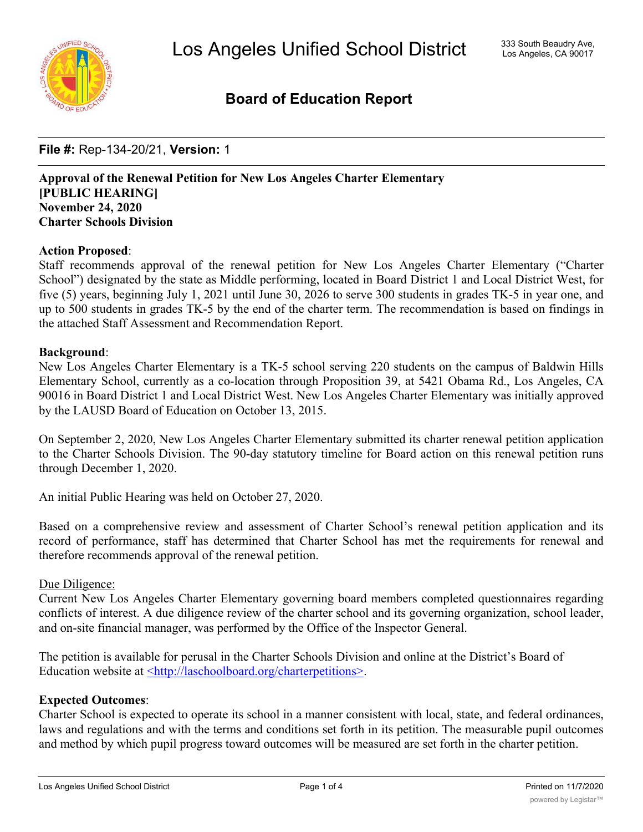

# **Board of Education Report**

**File #:** Rep-134-20/21, **Version:** 1

**Approval of the Renewal Petition for New Los Angeles Charter Elementary [PUBLIC HEARING] November 24, 2020 Charter Schools Division**

#### **Action Proposed**:

Staff recommends approval of the renewal petition for New Los Angeles Charter Elementary ("Charter School") designated by the state as Middle performing, located in Board District 1 and Local District West, for five (5) years, beginning July 1, 2021 until June 30, 2026 to serve 300 students in grades TK-5 in year one, and up to 500 students in grades TK-5 by the end of the charter term. The recommendation is based on findings in the attached Staff Assessment and Recommendation Report.

#### **Background**:

New Los Angeles Charter Elementary is a TK-5 school serving 220 students on the campus of Baldwin Hills Elementary School, currently as a co-location through Proposition 39, at 5421 Obama Rd., Los Angeles, CA 90016 in Board District 1 and Local District West. New Los Angeles Charter Elementary was initially approved by the LAUSD Board of Education on October 13, 2015.

On September 2, 2020, New Los Angeles Charter Elementary submitted its charter renewal petition application to the Charter Schools Division. The 90-day statutory timeline for Board action on this renewal petition runs through December 1, 2020.

An initial Public Hearing was held on October 27, 2020.

Based on a comprehensive review and assessment of Charter School's renewal petition application and its record of performance, staff has determined that Charter School has met the requirements for renewal and therefore recommends approval of the renewal petition.

#### Due Diligence:

Current New Los Angeles Charter Elementary governing board members completed questionnaires regarding conflicts of interest. A due diligence review of the charter school and its governing organization, school leader, and on-site financial manager, was performed by the Office of the Inspector General.

The petition is available for perusal in the Charter Schools Division and online at the District's Board of Education website at <http://laschoolboard.org/charterpetitions>.

#### **Expected Outcomes**:

Charter School is expected to operate its school in a manner consistent with local, state, and federal ordinances, laws and regulations and with the terms and conditions set forth in its petition. The measurable pupil outcomes and method by which pupil progress toward outcomes will be measured are set forth in the charter petition.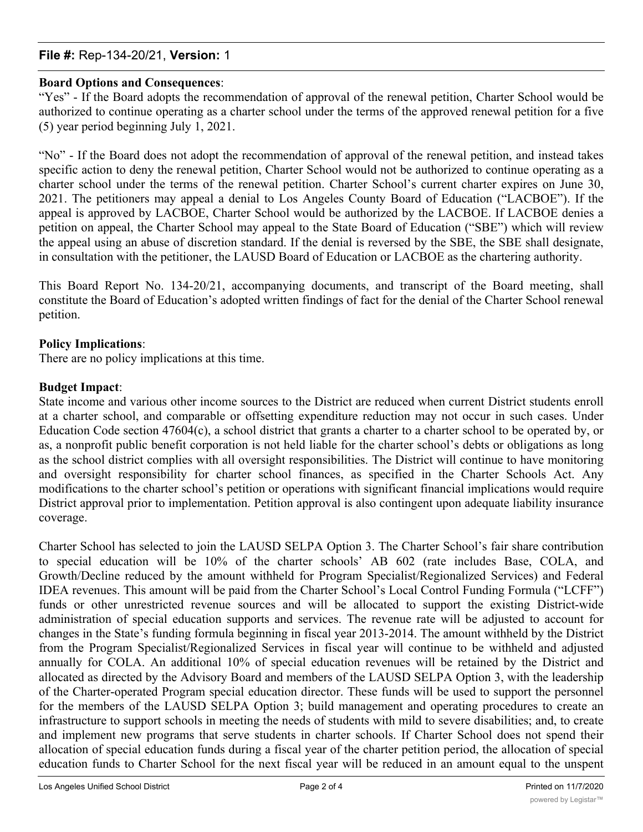### **File #:** Rep-134-20/21, **Version:** 1

### **Board Options and Consequences**:

"Yes" - If the Board adopts the recommendation of approval of the renewal petition, Charter School would be authorized to continue operating as a charter school under the terms of the approved renewal petition for a five (5) year period beginning July 1, 2021.

"No" - If the Board does not adopt the recommendation of approval of the renewal petition, and instead takes specific action to deny the renewal petition, Charter School would not be authorized to continue operating as a charter school under the terms of the renewal petition. Charter School's current charter expires on June 30, 2021. The petitioners may appeal a denial to Los Angeles County Board of Education ("LACBOE"). If the appeal is approved by LACBOE, Charter School would be authorized by the LACBOE. If LACBOE denies a petition on appeal, the Charter School may appeal to the State Board of Education ("SBE") which will review the appeal using an abuse of discretion standard. If the denial is reversed by the SBE, the SBE shall designate, in consultation with the petitioner, the LAUSD Board of Education or LACBOE as the chartering authority.

This Board Report No. 134-20/21, accompanying documents, and transcript of the Board meeting, shall constitute the Board of Education's adopted written findings of fact for the denial of the Charter School renewal petition.

### **Policy Implications**:

There are no policy implications at this time.

### **Budget Impact**:

State income and various other income sources to the District are reduced when current District students enroll at a charter school, and comparable or offsetting expenditure reduction may not occur in such cases. Under Education Code section 47604(c), a school district that grants a charter to a charter school to be operated by, or as, a nonprofit public benefit corporation is not held liable for the charter school's debts or obligations as long as the school district complies with all oversight responsibilities. The District will continue to have monitoring and oversight responsibility for charter school finances, as specified in the Charter Schools Act. Any modifications to the charter school's petition or operations with significant financial implications would require District approval prior to implementation. Petition approval is also contingent upon adequate liability insurance coverage.

Charter School has selected to join the LAUSD SELPA Option 3. The Charter School's fair share contribution to special education will be 10% of the charter schools' AB 602 (rate includes Base, COLA, and Growth/Decline reduced by the amount withheld for Program Specialist/Regionalized Services) and Federal IDEA revenues. This amount will be paid from the Charter School's Local Control Funding Formula ("LCFF") funds or other unrestricted revenue sources and will be allocated to support the existing District-wide administration of special education supports and services. The revenue rate will be adjusted to account for changes in the State's funding formula beginning in fiscal year 2013-2014. The amount withheld by the District from the Program Specialist/Regionalized Services in fiscal year will continue to be withheld and adjusted annually for COLA. An additional 10% of special education revenues will be retained by the District and allocated as directed by the Advisory Board and members of the LAUSD SELPA Option 3, with the leadership of the Charter-operated Program special education director. These funds will be used to support the personnel for the members of the LAUSD SELPA Option 3; build management and operating procedures to create an infrastructure to support schools in meeting the needs of students with mild to severe disabilities; and, to create and implement new programs that serve students in charter schools. If Charter School does not spend their allocation of special education funds during a fiscal year of the charter petition period, the allocation of special education funds to Charter School for the next fiscal year will be reduced in an amount equal to the unspent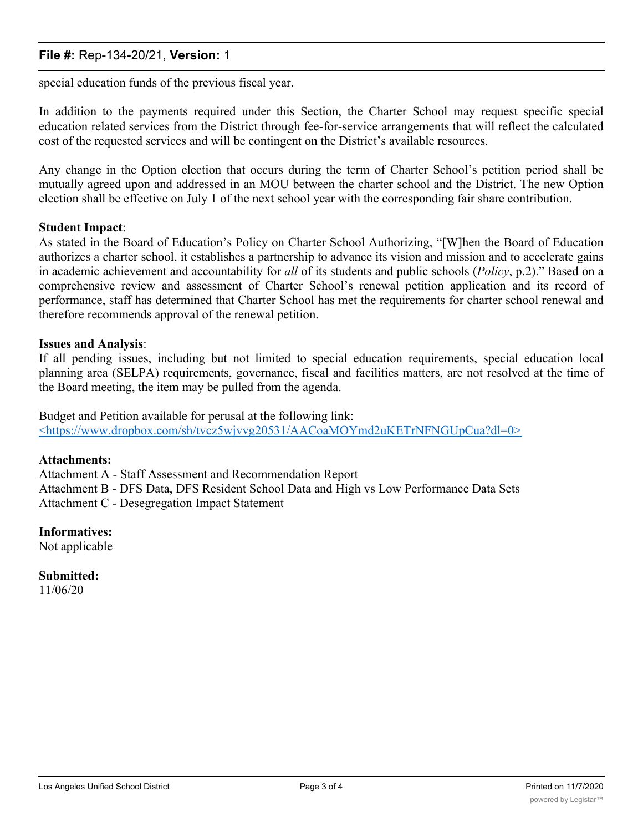### **File #:** Rep-134-20/21, **Version:** 1

special education funds of the previous fiscal year.

In addition to the payments required under this Section, the Charter School may request specific special education related services from the District through fee-for-service arrangements that will reflect the calculated cost of the requested services and will be contingent on the District's available resources.

Any change in the Option election that occurs during the term of Charter School's petition period shall be mutually agreed upon and addressed in an MOU between the charter school and the District. The new Option election shall be effective on July 1 of the next school year with the corresponding fair share contribution.

#### **Student Impact**:

As stated in the Board of Education's Policy on Charter School Authorizing, "[W]hen the Board of Education authorizes a charter school, it establishes a partnership to advance its vision and mission and to accelerate gains in academic achievement and accountability for *all* of its students and public schools (*Policy*, p.2)." Based on a comprehensive review and assessment of Charter School's renewal petition application and its record of performance, staff has determined that Charter School has met the requirements for charter school renewal and therefore recommends approval of the renewal petition.

#### **Issues and Analysis**:

If all pending issues, including but not limited to special education requirements, special education local planning area (SELPA) requirements, governance, fiscal and facilities matters, are not resolved at the time of the Board meeting, the item may be pulled from the agenda.

Budget and Petition available for perusal at the following link: <https://www.dropbox.com/sh/tvcz5wjvvg20531/AACoaMOYmd2uKETrNFNGUpCua?dl=0>

#### **Attachments:**

Attachment A - Staff Assessment and Recommendation Report Attachment B - DFS Data, DFS Resident School Data and High vs Low Performance Data Sets Attachment C - Desegregation Impact Statement

### **Informatives:**

Not applicable

**Submitted:** 11/06/20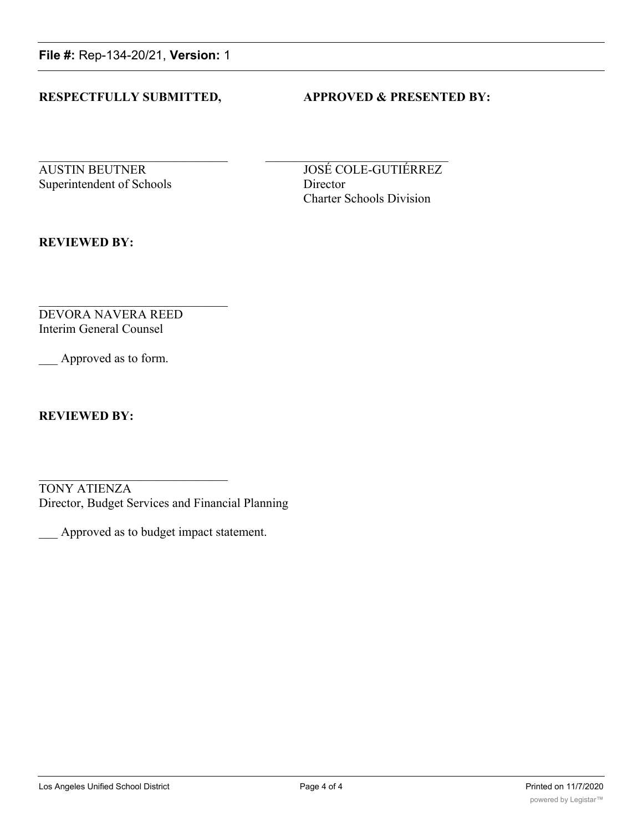**File #:** Rep-134-20/21, **Version:** 1

### **RESPECTFULLY SUBMITTED, APPROVED & PRESENTED BY:**

Superintendent of Schools Director

AUSTIN BEUTNER JOSÉ COLE-GUTIÉRREZ Charter Schools Division

**REVIEWED BY:**

DEVORA NAVERA REED Interim General Counsel

Approved as to form.

**REVIEWED BY:**

TONY ATIENZA Director, Budget Services and Financial Planning

\_\_\_ Approved as to budget impact statement.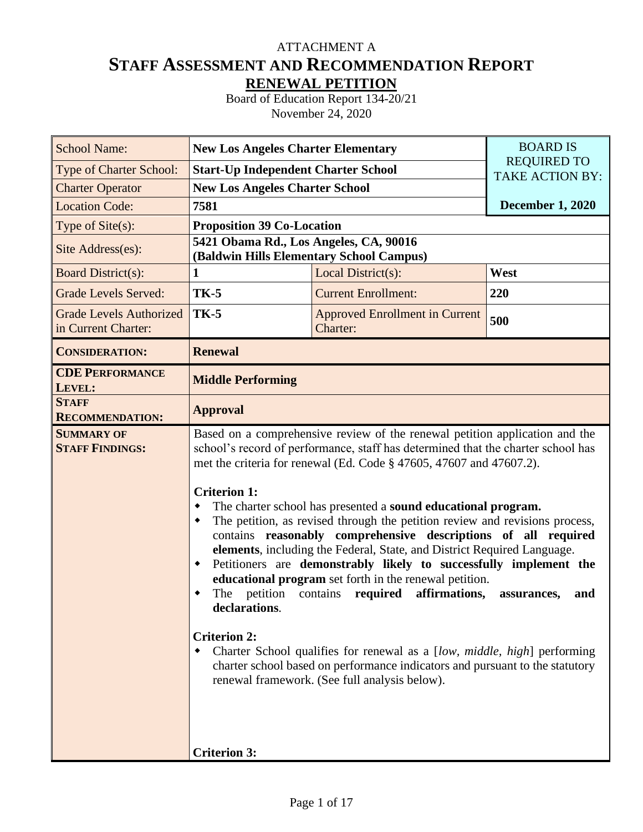# **STAFF ASSESSMENT AND RECOMMENDATION REPORT RENEWAL PETITION** ATTACHMENT A

Board of Education Report 134-20/21 November 24, 2020

| <b>School Name:</b>                                   | <b>New Los Angeles Charter Elementary</b>                                                                                                                                                                                                                                                                                                                                                                                                                                                                                                                                                                                                                                                                                                                                                                                                                                                                                                                                                                                                | <b>BOARD IS</b>                                   |                         |  |
|-------------------------------------------------------|------------------------------------------------------------------------------------------------------------------------------------------------------------------------------------------------------------------------------------------------------------------------------------------------------------------------------------------------------------------------------------------------------------------------------------------------------------------------------------------------------------------------------------------------------------------------------------------------------------------------------------------------------------------------------------------------------------------------------------------------------------------------------------------------------------------------------------------------------------------------------------------------------------------------------------------------------------------------------------------------------------------------------------------|---------------------------------------------------|-------------------------|--|
| Type of Charter School:                               | <b>Start-Up Independent Charter School</b>                                                                                                                                                                                                                                                                                                                                                                                                                                                                                                                                                                                                                                                                                                                                                                                                                                                                                                                                                                                               | <b>REQUIRED TO</b><br><b>TAKE ACTION BY:</b>      |                         |  |
| <b>Charter Operator</b>                               | <b>New Los Angeles Charter School</b>                                                                                                                                                                                                                                                                                                                                                                                                                                                                                                                                                                                                                                                                                                                                                                                                                                                                                                                                                                                                    |                                                   |                         |  |
| <b>Location Code:</b>                                 | 7581                                                                                                                                                                                                                                                                                                                                                                                                                                                                                                                                                                                                                                                                                                                                                                                                                                                                                                                                                                                                                                     |                                                   | <b>December 1, 2020</b> |  |
| Type of Site(s):                                      | <b>Proposition 39 Co-Location</b>                                                                                                                                                                                                                                                                                                                                                                                                                                                                                                                                                                                                                                                                                                                                                                                                                                                                                                                                                                                                        |                                                   |                         |  |
| Site Address(es):                                     | 5421 Obama Rd., Los Angeles, CA, 90016                                                                                                                                                                                                                                                                                                                                                                                                                                                                                                                                                                                                                                                                                                                                                                                                                                                                                                                                                                                                   | (Baldwin Hills Elementary School Campus)          |                         |  |
| <b>Board District(s):</b>                             | 1                                                                                                                                                                                                                                                                                                                                                                                                                                                                                                                                                                                                                                                                                                                                                                                                                                                                                                                                                                                                                                        | Local District(s):                                | West                    |  |
| <b>Grade Levels Served:</b>                           | <b>TK-5</b>                                                                                                                                                                                                                                                                                                                                                                                                                                                                                                                                                                                                                                                                                                                                                                                                                                                                                                                                                                                                                              | <b>Current Enrollment:</b>                        | 220                     |  |
| <b>Grade Levels Authorized</b><br>in Current Charter: | <b>TK-5</b>                                                                                                                                                                                                                                                                                                                                                                                                                                                                                                                                                                                                                                                                                                                                                                                                                                                                                                                                                                                                                              | <b>Approved Enrollment in Current</b><br>Charter: | 500                     |  |
| <b>CONSIDERATION:</b>                                 | <b>Renewal</b>                                                                                                                                                                                                                                                                                                                                                                                                                                                                                                                                                                                                                                                                                                                                                                                                                                                                                                                                                                                                                           |                                                   |                         |  |
| <b>CDE PERFORMANCE</b><br>LEVEL:                      | <b>Middle Performing</b>                                                                                                                                                                                                                                                                                                                                                                                                                                                                                                                                                                                                                                                                                                                                                                                                                                                                                                                                                                                                                 |                                                   |                         |  |
| <b>STAFF</b><br><b>RECOMMENDATION:</b>                | <b>Approval</b>                                                                                                                                                                                                                                                                                                                                                                                                                                                                                                                                                                                                                                                                                                                                                                                                                                                                                                                                                                                                                          |                                                   |                         |  |
| <b>SUMMARY OF</b><br><b>STAFF FINDINGS:</b>           | Based on a comprehensive review of the renewal petition application and the<br>school's record of performance, staff has determined that the charter school has<br>met the criteria for renewal (Ed. Code § 47605, 47607 and 47607.2).<br><b>Criterion 1:</b><br>The charter school has presented a sound educational program.<br>٠<br>The petition, as revised through the petition review and revisions process,<br>٠<br>contains reasonably comprehensive descriptions of all required<br>elements, including the Federal, State, and District Required Language.<br>Petitioners are demonstrably likely to successfully implement the<br>٠<br>educational program set forth in the renewal petition.<br>The petition contains required affirmations,<br>assurances,<br>and<br>declarations.<br><b>Criterion 2:</b><br>Charter School qualifies for renewal as a [low, middle, high] performing<br>٠<br>charter school based on performance indicators and pursuant to the statutory<br>renewal framework. (See full analysis below). |                                                   |                         |  |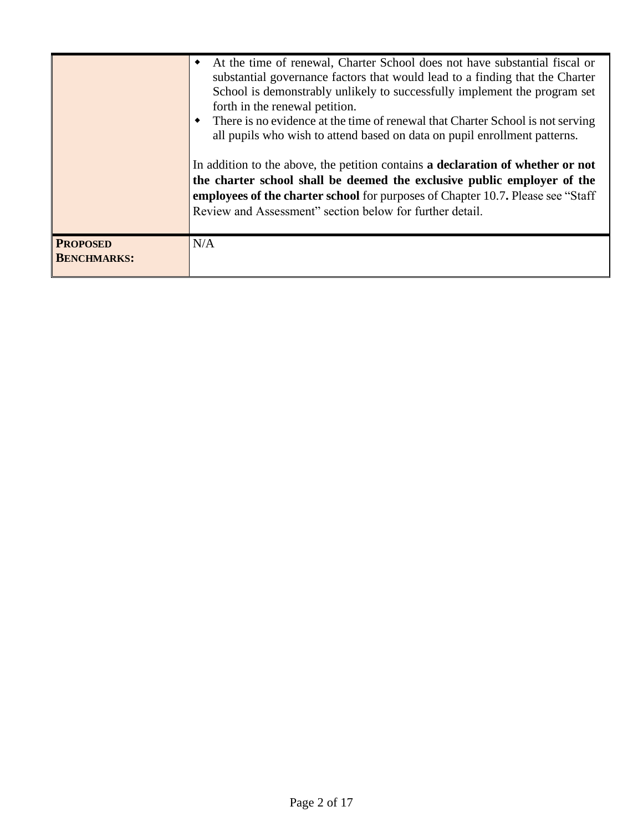|                                       | At the time of renewal, Charter School does not have substantial fiscal or<br>٠<br>substantial governance factors that would lead to a finding that the Charter<br>School is demonstrably unlikely to successfully implement the program set<br>forth in the renewal petition.<br>There is no evidence at the time of renewal that Charter School is not serving<br>all pupils who wish to attend based on data on pupil enrollment patterns.<br>In addition to the above, the petition contains a declaration of whether or not<br>the charter school shall be deemed the exclusive public employer of the<br><b>employees of the charter school</b> for purposes of Chapter 10.7. Please see "Staff"<br>Review and Assessment" section below for further detail. |
|---------------------------------------|--------------------------------------------------------------------------------------------------------------------------------------------------------------------------------------------------------------------------------------------------------------------------------------------------------------------------------------------------------------------------------------------------------------------------------------------------------------------------------------------------------------------------------------------------------------------------------------------------------------------------------------------------------------------------------------------------------------------------------------------------------------------|
| <b>PROPOSED</b><br><b>BENCHMARKS:</b> | N/A                                                                                                                                                                                                                                                                                                                                                                                                                                                                                                                                                                                                                                                                                                                                                                |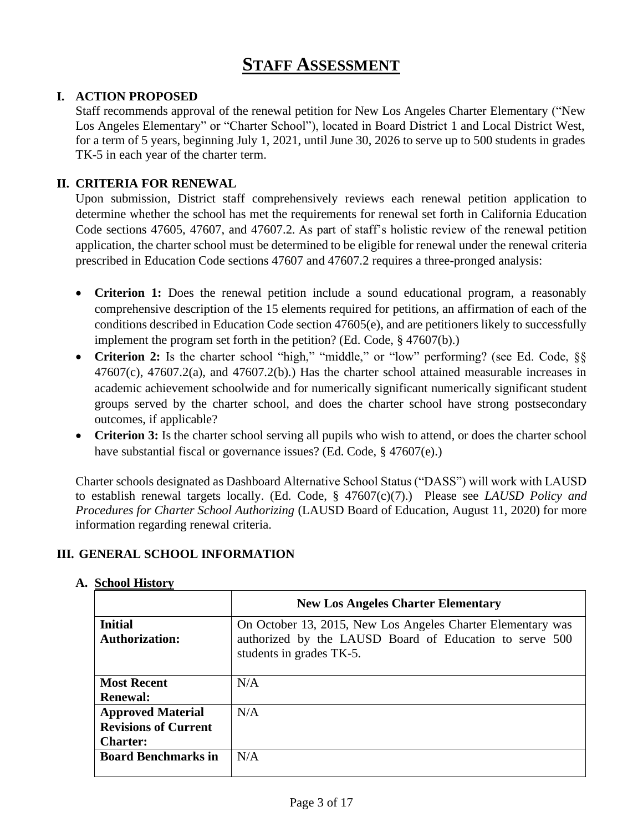# **STAFF ASSESSMENT**

## **I. ACTION PROPOSED**

Staff recommends approval of the renewal petition for New Los Angeles Charter Elementary ("New Los Angeles Elementary" or "Charter School"), located in Board District 1 and Local District West, for a term of 5 years, beginning July 1, 2021, until June 30, 2026 to serve up to 500 students in grades TK-5 in each year of the charter term.

### **II. CRITERIA FOR RENEWAL**

Upon submission, District staff comprehensively reviews each renewal petition application to determine whether the school has met the requirements for renewal set forth in California Education Code sections 47605, 47607, and 47607.2. As part of staff's holistic review of the renewal petition application, the charter school must be determined to be eligible for renewal under the renewal criteria prescribed in Education Code sections 47607 and 47607.2 requires a three-pronged analysis:

- **Criterion 1:** Does the renewal petition include a sound educational program, a reasonably comprehensive description of the 15 elements required for petitions, an affirmation of each of the conditions described in Education Code section 47605(e), and are petitioners likely to successfully implement the program set forth in the petition? (Ed. Code, § 47607(b).)
- Criterion 2: Is the charter school "high," "middle," or "low" performing? (see Ed. Code, §§  $47607(c)$ ,  $47607.2(a)$ , and  $47607.2(b)$ . Has the charter school attained measurable increases in academic achievement schoolwide and for numerically significant numerically significant student groups served by the charter school, and does the charter school have strong postsecondary outcomes, if applicable?
- **Criterion 3:** Is the charter school serving all pupils who wish to attend, or does the charter school have substantial fiscal or governance issues? (Ed. Code, § 47607(e).)

Charter schools designated as Dashboard Alternative School Status ("DASS") will work with LAUSD to establish renewal targets locally. (Ed. Code, § 47607(c)(7).) Please see *LAUSD Policy and Procedures for Charter School Authorizing* (LAUSD Board of Education, August 11, 2020) for more information regarding renewal criteria.

### **III. GENERAL SCHOOL INFORMATION**

|                                         | <b>New Los Angeles Charter Elementary</b>                                                                                                          |
|-----------------------------------------|----------------------------------------------------------------------------------------------------------------------------------------------------|
| <b>Initial</b><br><b>Authorization:</b> | On October 13, 2015, New Los Angeles Charter Elementary was<br>authorized by the LAUSD Board of Education to serve 500<br>students in grades TK-5. |
| <b>Most Recent</b>                      | N/A                                                                                                                                                |
| <b>Renewal:</b>                         |                                                                                                                                                    |
| <b>Approved Material</b>                | N/A                                                                                                                                                |
| <b>Revisions of Current</b>             |                                                                                                                                                    |
| <b>Charter:</b>                         |                                                                                                                                                    |
| <b>Board Benchmarks in</b>              | N/A                                                                                                                                                |
|                                         |                                                                                                                                                    |

### **A. School History**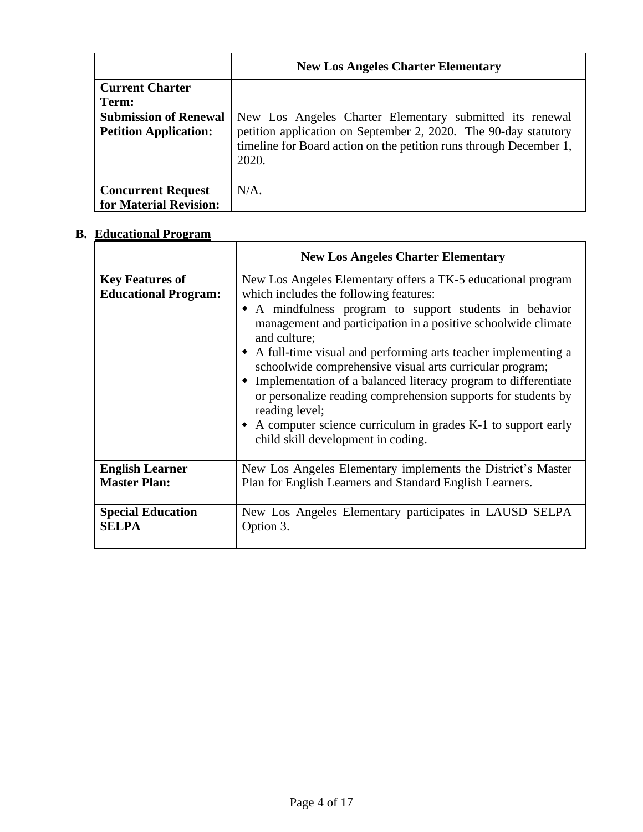|                                                              | <b>New Los Angeles Charter Elementary</b>                                                                                                                                                                  |
|--------------------------------------------------------------|------------------------------------------------------------------------------------------------------------------------------------------------------------------------------------------------------------|
| <b>Current Charter</b><br>Term:                              |                                                                                                                                                                                                            |
| <b>Submission of Renewal</b><br><b>Petition Application:</b> | New Los Angeles Charter Elementary submitted its renewal<br>petition application on September 2, 2020. The 90-day statutory<br>timeline for Board action on the petition runs through December 1,<br>2020. |
| <b>Concurrent Request</b><br>for Material Revision:          | $N/A$ .                                                                                                                                                                                                    |

# **B. Educational Program**

|                                                       | <b>New Los Angeles Charter Elementary</b>                                                                                                                                                                                                                                                                                                                                                                                                                                                                                                                                                                                                        |
|-------------------------------------------------------|--------------------------------------------------------------------------------------------------------------------------------------------------------------------------------------------------------------------------------------------------------------------------------------------------------------------------------------------------------------------------------------------------------------------------------------------------------------------------------------------------------------------------------------------------------------------------------------------------------------------------------------------------|
| <b>Key Features of</b><br><b>Educational Program:</b> | New Los Angeles Elementary offers a TK-5 educational program<br>which includes the following features:<br>• A mindfulness program to support students in behavior<br>management and participation in a positive schoolwide climate<br>and culture;<br>• A full-time visual and performing arts teacher implementing a<br>schoolwide comprehensive visual arts curricular program;<br>• Implementation of a balanced literacy program to differentiate<br>or personalize reading comprehension supports for students by<br>reading level;<br>• A computer science curriculum in grades K-1 to support early<br>child skill development in coding. |
| <b>English Learner</b>                                | New Los Angeles Elementary implements the District's Master                                                                                                                                                                                                                                                                                                                                                                                                                                                                                                                                                                                      |
| <b>Master Plan:</b>                                   | Plan for English Learners and Standard English Learners.                                                                                                                                                                                                                                                                                                                                                                                                                                                                                                                                                                                         |
| <b>Special Education</b>                              | New Los Angeles Elementary participates in LAUSD SELPA                                                                                                                                                                                                                                                                                                                                                                                                                                                                                                                                                                                           |
| <b>SELPA</b>                                          | Option 3.                                                                                                                                                                                                                                                                                                                                                                                                                                                                                                                                                                                                                                        |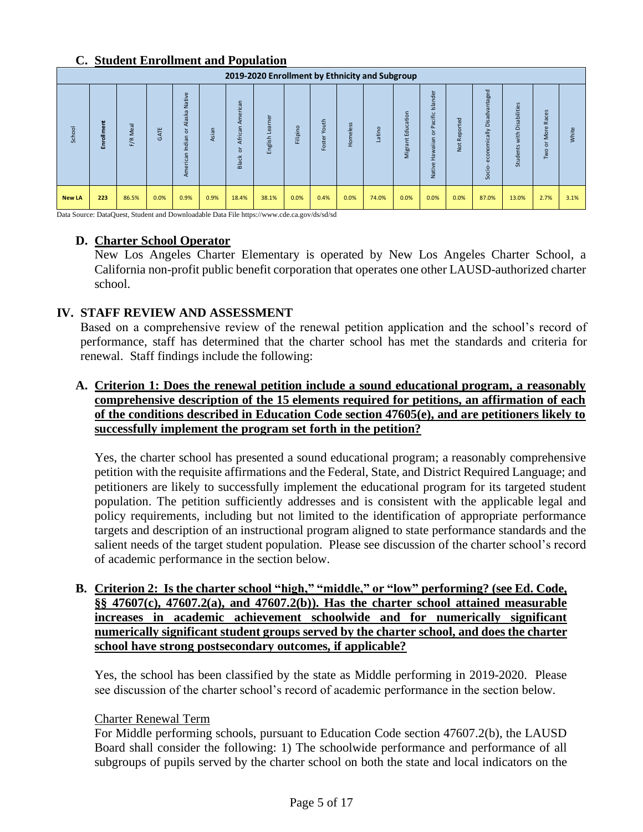### **C. Student Enrollment and Population**

|               | 2019-2020 Enrollment by Ethnicity and Subgroup |             |      |                                                         |       |                                   |                   |          |                 |          |       |                                       |                                                                                                                                          |                                                 |                                                                                                                                          |                                                                                            |                                                                    |       |
|---------------|------------------------------------------------|-------------|------|---------------------------------------------------------|-------|-----------------------------------|-------------------|----------|-----------------|----------|-------|---------------------------------------|------------------------------------------------------------------------------------------------------------------------------------------|-------------------------------------------------|------------------------------------------------------------------------------------------------------------------------------------------|--------------------------------------------------------------------------------------------|--------------------------------------------------------------------|-------|
| School        | Enrollment                                     | Meal<br>F/R | GATE | Native<br>Alaska<br>ă<br>$\mathbf{C}$<br>dia<br>_<br>Αm | Asian | American<br>African<br>ਨ<br>Black | earner<br>English | Filipino | Youth<br>Foster | Homeless | atino | tion<br>o<br>ਨ<br>ш<br>⋷<br>ത<br>Migr | ndei<br>$\sigma$<br>ळ<br>−<br>$\circ$<br>통<br>$\Omega$<br>$\epsilon$<br>$\sigma$<br>≔<br>$\sigma$<br>$\sigma$<br>œ<br>$\omega$<br>Native | ಾ<br>$\overline{e}$<br>ō<br>မြ<br>œ<br><b>z</b> | $\overline{\sigma}$<br>$\omega$<br>ā<br>Ë<br>ㅎ<br>$\sigma$<br>ü<br>ä<br>≧<br>$\sigma$<br><u>ب</u><br>-<br>$\Omega$<br>$\Omega$<br>Socio- | $\mathbf{v}$<br>abilities<br>$\overline{a}$<br>ä<br>ŧ<br>$\geq$<br>nts<br>$\omega$<br>Stud | කි<br>ō<br>$\sigma$<br>œ<br>More<br>$\overline{5}$<br>$\circ$<br>Š | White |
| <b>New LA</b> | 223                                            | 86.5%       | 0.0% | 0.9%                                                    | 0.9%  | 18.4%                             | 38.1%             | 0.0%     | 0.4%            | 0.0%     | 74.0% | 0.0%                                  | 0.0%                                                                                                                                     | 0.0%                                            | 87.0%                                                                                                                                    | 13.0%                                                                                      | 2.7%                                                               | 3.1%  |

Data Source: DataQuest, Student and Downloadable Data File https://www.cde.ca.gov/ds/sd/sd

## **D. Charter School Operator**

New Los Angeles Charter Elementary is operated by New Los Angeles Charter School, a California non-profit public benefit corporation that operates one other LAUSD-authorized charter school.

## **IV. STAFF REVIEW AND ASSESSMENT**

Based on a comprehensive review of the renewal petition application and the school's record of performance, staff has determined that the charter school has met the standards and criteria for renewal. Staff findings include the following:

## **A. Criterion 1: Does the renewal petition include a sound educational program, a reasonably comprehensive description of the 15 elements required for petitions, an affirmation of each of the conditions described in Education Code section 47605(e), and are petitioners likely to successfully implement the program set forth in the petition?**

Yes, the charter school has presented a sound educational program; a reasonably comprehensive petition with the requisite affirmations and the Federal, State, and District Required Language; and petitioners are likely to successfully implement the educational program for its targeted student population. The petition sufficiently addresses and is consistent with the applicable legal and policy requirements, including but not limited to the identification of appropriate performance targets and description of an instructional program aligned to state performance standards and the salient needs of the target student population. Please see discussion of the charter school's record of academic performance in the section below.

### **B. Criterion 2: Is the charter school "high," "middle," or "low" performing? (see Ed. Code, §§ 47607(c), 47607.2(a), and 47607.2(b)). Has the charter school attained measurable increases in academic achievement schoolwide and for numerically significant numerically significant student groups served by the charter school, and does the charter school have strong postsecondary outcomes, if applicable?**

Yes, the school has been classified by the state as Middle performing in 2019-2020. Please see discussion of the charter school's record of academic performance in the section below.

### Charter Renewal Term

For Middle performing schools, pursuant to Education Code section 47607.2(b), the LAUSD Board shall consider the following: 1) The schoolwide performance and performance of all subgroups of pupils served by the charter school on both the state and local indicators on the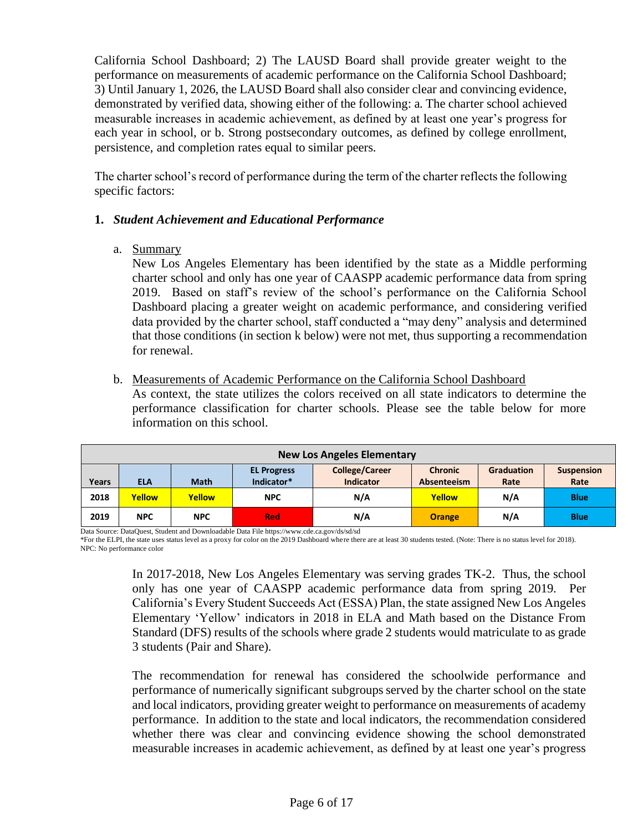California School Dashboard; 2) The LAUSD Board shall provide greater weight to the performance on measurements of academic performance on the California School Dashboard; 3) Until January 1, 2026, the LAUSD Board shall also consider clear and convincing evidence, demonstrated by verified data, showing either of the following: a. The charter school achieved measurable increases in academic achievement, as defined by at least one year's progress for each year in school, or b. Strong postsecondary outcomes, as defined by college enrollment, persistence, and completion rates equal to similar peers.

The charter school's record of performance during the term of the charter reflects the following specific factors:

### **1.** *Student Achievement and Educational Performance*

a. Summary

New Los Angeles Elementary has been identified by the state as a Middle performing charter school and only has one year of CAASPP academic performance data from spring 2019. Based on staff's review of the school's performance on the California School Dashboard placing a greater weight on academic performance, and considering verified data provided by the charter school, staff conducted a "may deny" analysis and determined that those conditions (in section k below) were not met, thus supporting a recommendation for renewal.

b. Measurements of Academic Performance on the California School Dashboard

As context, the state utilizes the colors received on all state indicators to determine the performance classification for charter schools. Please see the table below for more information on this school.

| <b>New Los Angeles Elementary</b>                                                                                                                                                  |            |               |            |     |               |     |                   |  |
|------------------------------------------------------------------------------------------------------------------------------------------------------------------------------------|------------|---------------|------------|-----|---------------|-----|-------------------|--|
| <b>College/Career</b><br><b>Chronic</b><br>Graduation<br><b>EL Progress</b><br>Indicator*<br><b>Indicator</b><br><b>Math</b><br>Rate<br>Absenteeism<br>Years<br>Rate<br><b>ELA</b> |            |               |            |     |               |     | <b>Suspension</b> |  |
| 2018                                                                                                                                                                               | Yellow     | <b>Yellow</b> | <b>NPC</b> | N/A | <b>Yellow</b> | N/A | <b>Blue</b>       |  |
| 2019                                                                                                                                                                               | <b>NPC</b> | <b>NPC</b>    | <b>Red</b> | N/A | <b>Orange</b> | N/A | <b>Blue</b>       |  |

Data Source: DataQuest, Student and Downloadable Data File https://www.cde.ca.gov/ds/sd/sd

\*For the ELPI, the state uses status level as a proxy for color on the 2019 Dashboard where there are at least 30 students tested. (Note: There is no status level for 2018). NPC: No performance color

> In 2017-2018, New Los Angeles Elementary was serving grades TK-2. Thus, the school only has one year of CAASPP academic performance data from spring 2019. Per California's Every Student Succeeds Act (ESSA) Plan, the state assigned New Los Angeles Elementary 'Yellow' indicators in 2018 in ELA and Math based on the Distance From Standard (DFS) results of the schools where grade 2 students would matriculate to as grade 3 students (Pair and Share).

> The recommendation for renewal has considered the schoolwide performance and performance of numerically significant subgroups served by the charter school on the state and local indicators, providing greater weight to performance on measurements of academy performance. In addition to the state and local indicators, the recommendation considered whether there was clear and convincing evidence showing the school demonstrated measurable increases in academic achievement, as defined by at least one year's progress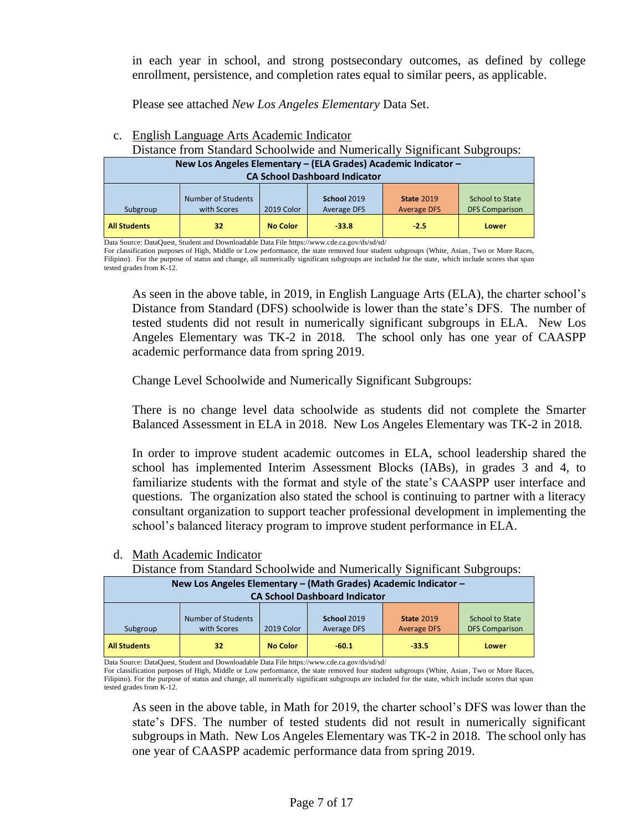in each year in school, and strong postsecondary outcomes, as defined by college enrollment, persistence, and completion rates equal to similar peers, as applicable.

Please see attached *New Los Angeles Elementary* Data Set.

|                                                                                                        | Distance from Blandard Benoofwide and Funnerically Bightheam Bubgroups. |                 |                            |                                         |                                          |  |
|--------------------------------------------------------------------------------------------------------|-------------------------------------------------------------------------|-----------------|----------------------------|-----------------------------------------|------------------------------------------|--|
| New Los Angeles Elementary - (ELA Grades) Academic Indicator -<br><b>CA School Dashboard Indicator</b> |                                                                         |                 |                            |                                         |                                          |  |
| Subgroup                                                                                               | <b>Number of Students</b><br>with Scores                                | 2019 Color      | School 2019<br>Average DFS | <b>State 2019</b><br><b>Average DFS</b> | School to State<br><b>DFS Comparison</b> |  |
| <b>All Students</b>                                                                                    | 32                                                                      | <b>No Color</b> | 33.8                       | $-2.5$                                  | Lower                                    |  |

#### c. English Language Arts Academic Indicator

Distance from Standard Schoolwide and Numerically Significant Subgroups:

Data Source: DataQuest, Student and Downloadable Data File https://www.cde.ca.gov/ds/sd/sd/

For classification purposes of High, Middle or Low performance, the state removed four student subgroups (White, Asian, Two or More Races, Filipino). For the purpose of status and change, all numerically significant subgroups are included for the state, which include scores that span tested grades from K-12.

As seen in the above table, in 2019, in English Language Arts (ELA), the charter school's Distance from Standard (DFS) schoolwide is lower than the state's DFS. The number of tested students did not result in numerically significant subgroups in ELA. New Los Angeles Elementary was TK-2 in 2018. The school only has one year of CAASPP academic performance data from spring 2019.

Change Level Schoolwide and Numerically Significant Subgroups:

There is no change level data schoolwide as students did not complete the Smarter Balanced Assessment in ELA in 2018. New Los Angeles Elementary was TK-2 in 2018.

In order to improve student academic outcomes in ELA, school leadership shared the school has implemented Interim Assessment Blocks (IABs), in grades 3 and 4, to familiarize students with the format and style of the state's CAASPP user interface and questions. The organization also stated the school is continuing to partner with a literacy consultant organization to support teacher professional development in implementing the school's balanced literacy program to improve student performance in ELA.

**New Los Angeles Elementary – (Math Grades) Academic Indicator – CA School Dashboard Indicator** Subgroup Number of Students with Scores 2019 Color **School** 2019 Average DFS **State** 2019 Average DFS School to State DFS Comparison **All Students 32 No Color -60.1 -33.5 Lower**

## d. Math Academic Indicator

Distance from Standard Schoolwide and Numerically Significant Subgroups:

Data Source: DataQuest, Student and Downloadable Data File https://www.cde.ca.gov/ds/sd/sd/

For classification purposes of High, Middle or Low performance, the state removed four student subgroups (White, Asian, Two or More Races, Filipino). For the purpose of status and change, all numerically significant subgroups are included for the state, which include scores that span tested grades from K-12.

As seen in the above table, in Math for 2019, the charter school's DFS was lower than the state's DFS. The number of tested students did not result in numerically significant subgroups in Math. New Los Angeles Elementary was TK-2 in 2018. The school only has one year of CAASPP academic performance data from spring 2019.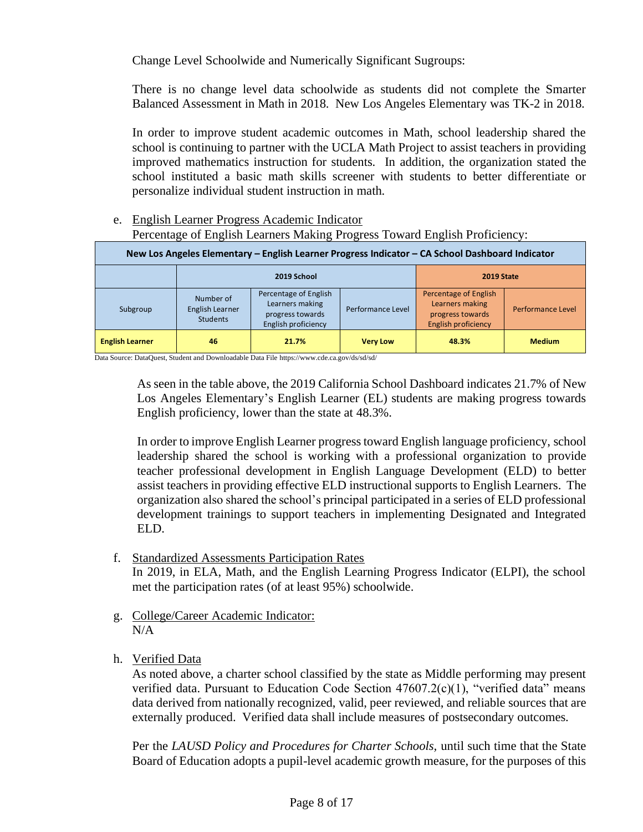Change Level Schoolwide and Numerically Significant Sugroups:

There is no change level data schoolwide as students did not complete the Smarter Balanced Assessment in Math in 2018. New Los Angeles Elementary was TK-2 in 2018.

In order to improve student academic outcomes in Math, school leadership shared the school is continuing to partner with the UCLA Math Project to assist teachers in providing improved mathematics instruction for students. In addition, the organization stated the school instituted a basic math skills screener with students to better differentiate or personalize individual student instruction in math.

e. English Learner Progress Academic Indicator Percentage of English Learners Making Progress Toward English Proficiency:

| New Los Angeles Elementary - English Learner Progress Indicator - CA School Dashboard Indicator |                                                 |                                                                                     |                   |                                                                                            |                   |  |
|-------------------------------------------------------------------------------------------------|-------------------------------------------------|-------------------------------------------------------------------------------------|-------------------|--------------------------------------------------------------------------------------------|-------------------|--|
|                                                                                                 | 2019 School                                     |                                                                                     |                   | 2019 State                                                                                 |                   |  |
| Subgroup                                                                                        | Number of<br>English Learner<br><b>Students</b> | Percentage of English<br>Learners making<br>progress towards<br>English proficiency | Performance Level | Percentage of English<br>Learners making<br>progress towards<br><b>English proficiency</b> | Performance Level |  |
| <b>English Learner</b>                                                                          | 46                                              | 21.7%                                                                               | <b>Very Low</b>   | 48.3%                                                                                      | <b>Medium</b>     |  |

Data Source: DataQuest, Student and Downloadable Data File https://www.cde.ca.gov/ds/sd/sd/

As seen in the table above, the 2019 California School Dashboard indicates 21.7% of New Los Angeles Elementary's English Learner (EL) students are making progress towards English proficiency, lower than the state at 48.3%.

In order to improve English Learner progress toward English language proficiency, school leadership shared the school is working with a professional organization to provide teacher professional development in English Language Development (ELD) to better assist teachers in providing effective ELD instructional supports to English Learners. The organization also shared the school's principal participated in a series of ELD professional development trainings to support teachers in implementing Designated and Integrated ELD.

f. Standardized Assessments Participation Rates

In 2019, in ELA, Math, and the English Learning Progress Indicator (ELPI), the school met the participation rates (of at least 95%) schoolwide.

- g. College/Career Academic Indicator:  $N/A$
- h. Verified Data

As noted above, a charter school classified by the state as Middle performing may present verified data. Pursuant to Education Code Section 47607.2(c)(1), "verified data" means data derived from nationally recognized, valid, peer reviewed, and reliable sources that are externally produced. Verified data shall include measures of postsecondary outcomes.

Per the *LAUSD Policy and Procedures for Charter Schools,* until such time that the State Board of Education adopts a pupil-level academic growth measure, for the purposes of this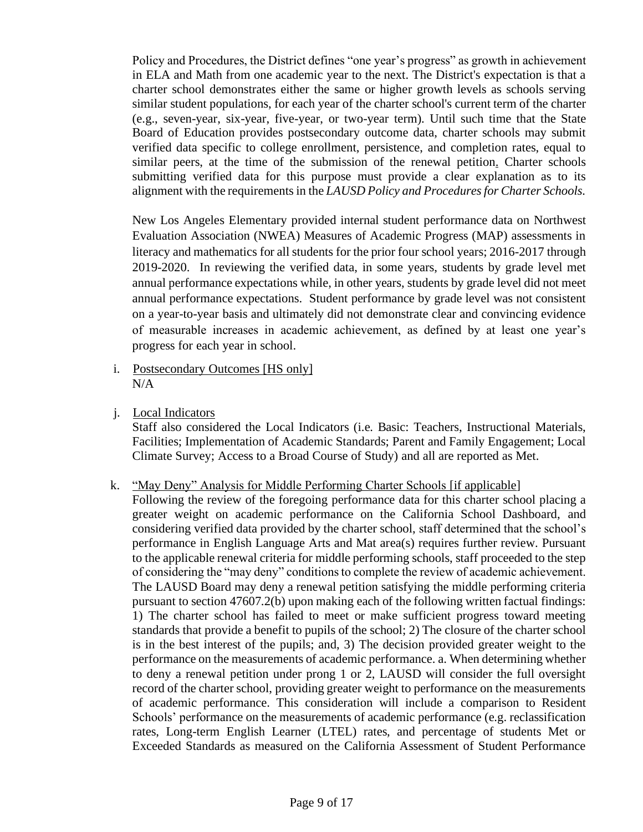Policy and Procedures, the District defines "one year's progress" as growth in achievement in ELA and Math from one academic year to the next. The District's expectation is that a charter school demonstrates either the same or higher growth levels as schools serving similar student populations, for each year of the charter school's current term of the charter (e.g., seven-year, six-year, five-year, or two-year term). Until such time that the State Board of Education provides postsecondary outcome data, charter schools may submit verified data specific to college enrollment, persistence, and completion rates, equal to similar peers, at the time of the submission of the renewal petition. Charter schools submitting verified data for this purpose must provide a clear explanation as to its alignment with the requirements in the *LAUSD Policy and Procedures for Charter Schools.*

New Los Angeles Elementary provided internal student performance data on Northwest Evaluation Association (NWEA) Measures of Academic Progress (MAP) assessments in literacy and mathematics for all students for the prior four school years; 2016-2017 through 2019-2020. In reviewing the verified data, in some years, students by grade level met annual performance expectations while, in other years, students by grade level did not meet annual performance expectations. Student performance by grade level was not consistent on a year-to-year basis and ultimately did not demonstrate clear and convincing evidence of measurable increases in academic achievement, as defined by at least one year's progress for each year in school.

- i. Postsecondary Outcomes [HS only] N/A
- j. Local Indicators

Staff also considered the Local Indicators (i.e. Basic: Teachers, Instructional Materials, Facilities; Implementation of Academic Standards; Parent and Family Engagement; Local Climate Survey; Access to a Broad Course of Study) and all are reported as Met.

- k. "May Deny" Analysis for Middle Performing Charter Schools [if applicable]
	- Following the review of the foregoing performance data for this charter school placing a greater weight on academic performance on the California School Dashboard, and considering verified data provided by the charter school, staff determined that the school's performance in English Language Arts and Mat area(s) requires further review. Pursuant to the applicable renewal criteria for middle performing schools, staff proceeded to the step of considering the "may deny" conditions to complete the review of academic achievement. The LAUSD Board may deny a renewal petition satisfying the middle performing criteria pursuant to section 47607.2(b) upon making each of the following written factual findings: 1) The charter school has failed to meet or make sufficient progress toward meeting standards that provide a benefit to pupils of the school; 2) The closure of the charter school is in the best interest of the pupils; and, 3) The decision provided greater weight to the performance on the measurements of academic performance. a. When determining whether to deny a renewal petition under prong 1 or 2, LAUSD will consider the full oversight record of the charter school, providing greater weight to performance on the measurements of academic performance. This consideration will include a comparison to Resident Schools' performance on the measurements of academic performance (e.g. reclassification rates, Long-term English Learner (LTEL) rates, and percentage of students Met or Exceeded Standards as measured on the California Assessment of Student Performance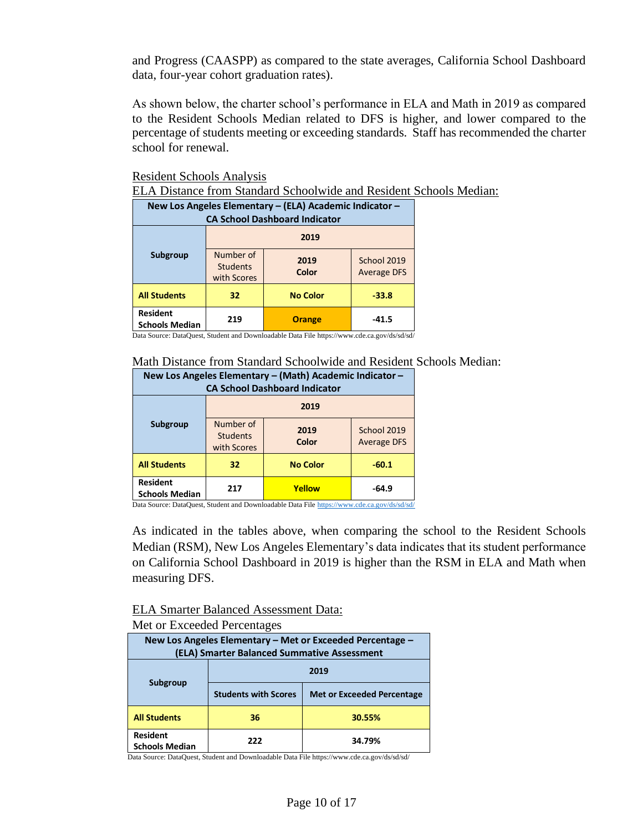and Progress (CAASPP) as compared to the state averages, California School Dashboard data, four-year cohort graduation rates).

As shown below, the charter school's performance in ELA and Math in 2019 as compared to the Resident Schools Median related to DFS is higher, and lower compared to the percentage of students meeting or exceeding standards. Staff has recommended the charter school for renewal.

Resident Schools Analysis

ELA Distance from Standard Schoolwide and Resident Schools Median:

| New Los Angeles Elementary - (ELA) Academic Indicator -<br><b>CA School Dashboard Indicator</b> |                                             |                 |                                   |  |  |
|-------------------------------------------------------------------------------------------------|---------------------------------------------|-----------------|-----------------------------------|--|--|
| Subgroup                                                                                        | 2019                                        |                 |                                   |  |  |
|                                                                                                 | Number of<br><b>Students</b><br>with Scores | 2019<br>Color   | School 2019<br><b>Average DFS</b> |  |  |
| <b>All Students</b>                                                                             | 32                                          | <b>No Color</b> | $-33.8$                           |  |  |
| <b>Resident</b><br><b>Schools Median</b>                                                        | 219                                         | <b>Orange</b>   | $-41.5$                           |  |  |

Data Source: DataQuest, Student and Downloadable Data File https://www.cde.ca.gov/ds/sd/sd/

#### Math Distance from Standard Schoolwide and Resident Schools Median:

| New Los Angeles Elementary - (Math) Academic Indicator -<br><b>CA School Dashboard Indicator</b> |                                             |                 |                                   |  |  |
|--------------------------------------------------------------------------------------------------|---------------------------------------------|-----------------|-----------------------------------|--|--|
|                                                                                                  | 2019                                        |                 |                                   |  |  |
| Subgroup                                                                                         | Number of<br><b>Students</b><br>with Scores | 2019<br>Color   | School 2019<br><b>Average DFS</b> |  |  |
| <b>All Students</b>                                                                              | 32                                          | <b>No Color</b> | $-60.1$                           |  |  |
| <b>Resident</b><br><b>Schools Median</b>                                                         | 217                                         | Yellow          | -64.9                             |  |  |

Data Source: DataQuest, Student and Downloadable Data Fil[e https://www.cde.ca.gov/ds/sd/sd/](https://www.cde.ca.gov/ds/sd/sd/)

As indicated in the tables above, when comparing the school to the Resident Schools Median (RSM), New Los Angeles Elementary's data indicates that its student performance on California School Dashboard in 2019 is higher than the RSM in ELA and Math when measuring DFS.

# ELA Smarter Balanced Assessment Data:

### Met or Exceeded Percentages

| New Los Angeles Elementary – Met or Exceeded Percentage –<br>(ELA) Smarter Balanced Summative Assessment |                             |                                   |  |  |  |  |
|----------------------------------------------------------------------------------------------------------|-----------------------------|-----------------------------------|--|--|--|--|
| 2019                                                                                                     |                             |                                   |  |  |  |  |
| Subgroup                                                                                                 | <b>Students with Scores</b> | <b>Met or Exceeded Percentage</b> |  |  |  |  |
| <b>All Students</b>                                                                                      | 36                          | 30.55%                            |  |  |  |  |
| <b>Resident</b><br><b>Schools Median</b>                                                                 | <b>222</b>                  | 34.79%                            |  |  |  |  |

Data Source: DataQuest, Student and Downloadable Data File https://www.cde.ca.gov/ds/sd/sd/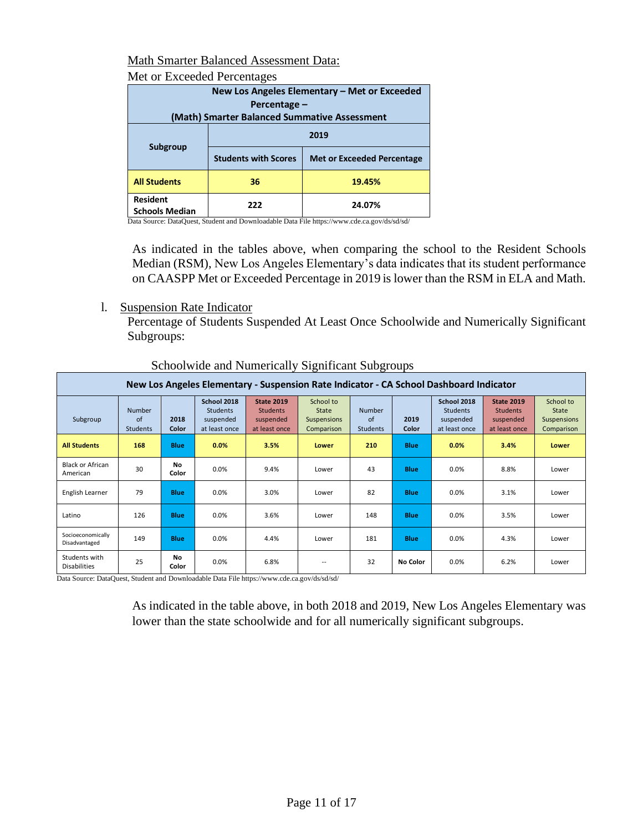## Math Smarter Balanced Assessment Data:

### Met or Exceeded Percentages

|                                              | New Los Angeles Elementary - Met or Exceeded |                                   |  |  |  |  |  |  |  |  |  |
|----------------------------------------------|----------------------------------------------|-----------------------------------|--|--|--|--|--|--|--|--|--|
|                                              | Percentage –                                 |                                   |  |  |  |  |  |  |  |  |  |
| (Math) Smarter Balanced Summative Assessment |                                              |                                   |  |  |  |  |  |  |  |  |  |
| 2019<br>Subgroup                             |                                              |                                   |  |  |  |  |  |  |  |  |  |
|                                              | <b>Students with Scores</b>                  | <b>Met or Exceeded Percentage</b> |  |  |  |  |  |  |  |  |  |
| <b>All Students</b>                          | 36                                           | 19.45%                            |  |  |  |  |  |  |  |  |  |
| <b>Resident</b><br><b>Schools Median</b>     | 222                                          | 24.07%                            |  |  |  |  |  |  |  |  |  |

Data Source: DataQuest, Student and Downloadable Data File https://www.cde.ca.gov/ds/sd/sd/

As indicated in the tables above, when comparing the school to the Resident Schools Median (RSM), New Los Angeles Elementary's data indicates that its student performance on CAASPP Met or Exceeded Percentage in 2019 is lower than the RSM in ELA and Math.

l. Suspension Rate Indicator

Percentage of Students Suspended At Least Once Schoolwide and Numerically Significant Subgroups:

|                                      | New Los Angeles Elementary - Suspension Rate Indicator - CA School Dashboard Indicator |               |                                                              |                                                                    |                                                        |                                 |               |                                                              |                                                                    |                                                        |  |  |  |  |
|--------------------------------------|----------------------------------------------------------------------------------------|---------------|--------------------------------------------------------------|--------------------------------------------------------------------|--------------------------------------------------------|---------------------------------|---------------|--------------------------------------------------------------|--------------------------------------------------------------------|--------------------------------------------------------|--|--|--|--|
| Subgroup                             | <b>Number</b><br>of<br>Students                                                        | 2018<br>Color | School 2018<br><b>Students</b><br>suspended<br>at least once | <b>State 2019</b><br><b>Students</b><br>suspended<br>at least once | School to<br><b>State</b><br>Suspensions<br>Comparison | <b>Number</b><br>of<br>Students | 2019<br>Color | School 2018<br><b>Students</b><br>suspended<br>at least once | <b>State 2019</b><br><b>Students</b><br>suspended<br>at least once | School to<br><b>State</b><br>Suspensions<br>Comparison |  |  |  |  |
| <b>All Students</b>                  | 168                                                                                    | <b>Blue</b>   | 0.0%                                                         | 3.5%                                                               | Lower                                                  | 210<br><b>Blue</b>              |               | 0.0%                                                         | 3.4%                                                               | Lower                                                  |  |  |  |  |
| <b>Black or African</b><br>American  | 30                                                                                     | No<br>Color   | 0.0%                                                         | 9.4%                                                               | Lower                                                  | 43                              | <b>Blue</b>   | 0.0%                                                         | 8.8%                                                               | Lower                                                  |  |  |  |  |
| English Learner                      | 79                                                                                     | <b>Blue</b>   | 0.0%                                                         | 3.0%                                                               | Lower                                                  | 82                              | <b>Blue</b>   | 0.0%                                                         | 3.1%                                                               | Lower                                                  |  |  |  |  |
| Latino                               | 126                                                                                    | <b>Blue</b>   | 0.0%                                                         | 3.6%                                                               | Lower                                                  | 148                             | <b>Blue</b>   | 0.0%                                                         | 3.5%                                                               | Lower                                                  |  |  |  |  |
| Socioeconomically<br>Disadvantaged   | 149                                                                                    | <b>Blue</b>   | 0.0%                                                         | 4.4%                                                               | Lower                                                  | 181                             | <b>Blue</b>   | 0.0%                                                         | 4.3%                                                               | Lower                                                  |  |  |  |  |
| Students with<br><b>Disabilities</b> | 25                                                                                     | No<br>Color   | 0.0%                                                         | 6.8%                                                               | $\overline{\phantom{a}}$                               | 32                              | No Color      | 0.0%                                                         | 6.2%                                                               | Lower                                                  |  |  |  |  |

Schoolwide and Numerically Significant Subgroups

Data Source: DataQuest, Student and Downloadable Data File https://www.cde.ca.gov/ds/sd/sd/

As indicated in the table above, in both 2018 and 2019, New Los Angeles Elementary was lower than the state schoolwide and for all numerically significant subgroups.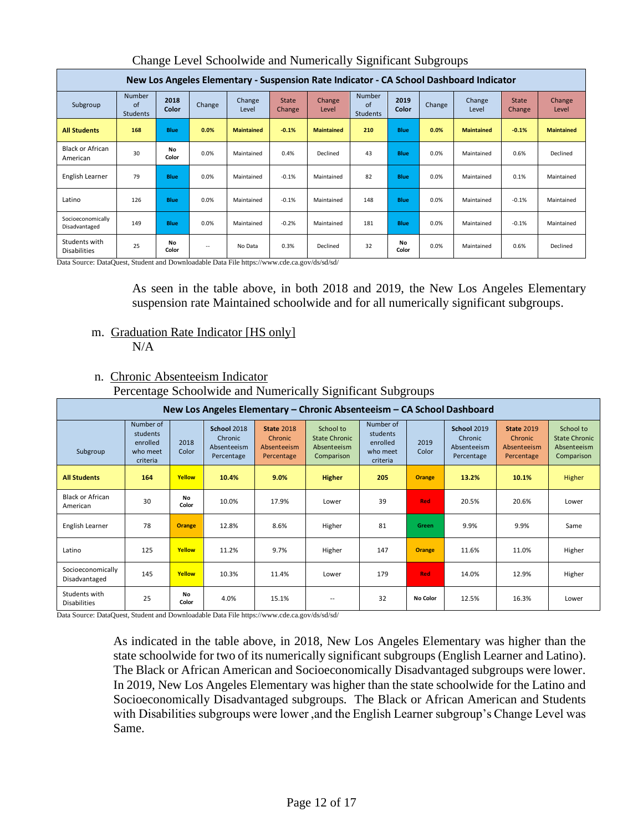|                                      | New Los Angeles Elementary - Suspension Rate Indicator - CA School Dashboard Indicator |               |        |                   |                                                                                 |                   |                                         |               |                   |                 |                        |                 |  |  |  |
|--------------------------------------|----------------------------------------------------------------------------------------|---------------|--------|-------------------|---------------------------------------------------------------------------------|-------------------|-----------------------------------------|---------------|-------------------|-----------------|------------------------|-----------------|--|--|--|
| Subgroup                             | <b>Number</b><br>of<br>Students                                                        | 2018<br>Color | Change | Change<br>Level   | <b>State</b><br><b>Change</b>                                                   | Change<br>Level   | <b>Number</b><br>$\alpha$ f<br>Students | 2019<br>Color | Change            | Change<br>Level | <b>State</b><br>Change | Change<br>Level |  |  |  |
| <b>All Students</b>                  | 168                                                                                    | <b>Blue</b>   | 0.0%   | <b>Maintained</b> | 0.0%<br>$-0.1%$<br><b>Maintained</b><br>210<br><b>Blue</b><br><b>Maintained</b> |                   |                                         | $-0.1%$       | <b>Maintained</b> |                 |                        |                 |  |  |  |
| <b>Black or African</b><br>American  | 30                                                                                     | No<br>Color   | 0.0%   | Maintained        | 0.4%                                                                            | Declined          | 43<br>Blue                              |               | 0.0%              | Maintained      | 0.6%                   | Declined        |  |  |  |
| English Learner                      | 79                                                                                     | Blue          | 0.0%   | Maintained        | $-0.1%$                                                                         | Maintained        | 82                                      | Blue          | 0.0%              | Maintained      | 0.1%                   | Maintained      |  |  |  |
| Latino                               | 126                                                                                    | <b>Blue</b>   | 0.0%   | Maintained        | $-0.1%$                                                                         | 148<br>Maintained |                                         | Blue          | 0.0%              | Maintained      | $-0.1%$                | Maintained      |  |  |  |
| Socioeconomically<br>Disadvantaged   | 149                                                                                    | <b>Blue</b>   | 0.0%   | Maintained        | $-0.2%$                                                                         | Maintained        | 181                                     | Blue          | 0.0%              | Maintained      | $-0.1%$                | Maintained      |  |  |  |
| Students with<br><b>Disabilities</b> | 25                                                                                     | No<br>Color   | $\sim$ | No Data           | 0.3%                                                                            | Declined          | 32                                      | No<br>Color   | 0.0%              | Maintained      | 0.6%                   | Declined        |  |  |  |

Change Level Schoolwide and Numerically Significant Subgroups

Data Source: DataQuest, Student and Downloadable Data File https://www.cde.ca.gov/ds/sd/sd/

As seen in the table above, in both 2018 and 2019, the New Los Angeles Elementary suspension rate Maintained schoolwide and for all numerically significant subgroups.

m. Graduation Rate Indicator [HS only] N/A

## n. Chronic Absenteeism Indicator

| Percentage Schoolwide and Numerically Significant Subgroups |  |  |
|-------------------------------------------------------------|--|--|
|                                                             |  |  |

| New Los Angeles Elementary – Chronic Absenteeism – CA School Dashboard |                                                           |               |                                                     |                                                           |                                                                |                                                                            |                 |                                                     |                                                           |                                                                |       |     |            |       |       |        |
|------------------------------------------------------------------------|-----------------------------------------------------------|---------------|-----------------------------------------------------|-----------------------------------------------------------|----------------------------------------------------------------|----------------------------------------------------------------------------|-----------------|-----------------------------------------------------|-----------------------------------------------------------|----------------------------------------------------------------|-------|-----|------------|-------|-------|--------|
| Subgroup                                                               | Number of<br>students<br>enrolled<br>who meet<br>criteria | 2018<br>Color | School 2018<br>Chronic<br>Absenteeism<br>Percentage | <b>State 2018</b><br>Chronic<br>Absenteeism<br>Percentage | School to<br><b>State Chronic</b><br>Absenteeism<br>Comparison | Number of<br>students<br>enrolled<br>2019<br>Color<br>who meet<br>criteria |                 | School 2019<br>Chronic<br>Absenteeism<br>Percentage | <b>State 2019</b><br>Chronic<br>Absenteeism<br>Percentage | School to<br><b>State Chronic</b><br>Absenteeism<br>Comparison |       |     |            |       |       |        |
| <b>All Students</b>                                                    | 164                                                       | Yellow        | 10.4%                                               | 9.0%                                                      | 205<br><b>Higher</b>                                           |                                                                            | <b>Orange</b>   | 13.2%                                               | 10.1%                                                     | Higher                                                         |       |     |            |       |       |        |
| <b>Black or African</b><br>American                                    | 30                                                        | No<br>Color   | 10.0%                                               | 17.9%                                                     | Lower                                                          | 39                                                                         | <b>Red</b>      | 20.5%                                               | 20.6%                                                     | Lower                                                          |       |     |            |       |       |        |
| English Learner                                                        | 78                                                        | Orange        | 12.8%                                               | 8.6%                                                      | Higher                                                         | 81                                                                         | Green           | 9.9%                                                | 9.9%                                                      | Same                                                           |       |     |            |       |       |        |
| Latino                                                                 | 125                                                       | Yellow        | 11.2%                                               | 9.7%                                                      | Higher                                                         | 147<br><b>Orange</b>                                                       |                 | 11.6%                                               | 11.0%                                                     | Higher                                                         |       |     |            |       |       |        |
| Socioeconomically<br>Disadvantaged                                     | 145                                                       | Yellow        | 10.3%                                               | 11.4%                                                     |                                                                |                                                                            |                 |                                                     |                                                           |                                                                | Lower | 179 | <b>Red</b> | 14.0% | 12.9% | Higher |
| Students with<br><b>Disabilities</b>                                   | 25                                                        | No<br>Color   | 4.0%                                                | 15.1%                                                     |                                                                | 32                                                                         | <b>No Color</b> | 12.5%                                               | 16.3%                                                     | Lower                                                          |       |     |            |       |       |        |

Data Source: DataQuest, Student and Downloadable Data File https://www.cde.ca.gov/ds/sd/sd/

As indicated in the table above, in 2018, New Los Angeles Elementary was higher than the state schoolwide for two of its numerically significant subgroups (English Learner and Latino). The Black or African American and Socioeconomically Disadvantaged subgroups were lower. In 2019, New Los Angeles Elementary was higher than the state schoolwide for the Latino and Socioeconomically Disadvantaged subgroups. The Black or African American and Students with Disabilities subgroups were lower ,and the English Learner subgroup's Change Level was Same.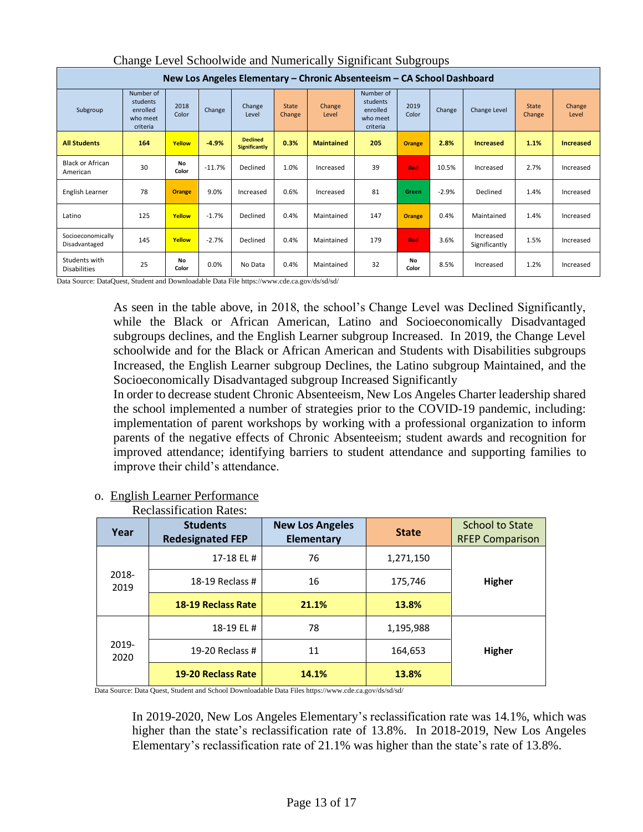| Change Level Benoofmae and Framerican y Digitaleant Baogroups          |                                                           |                    |                                                                                                                                                                                |                                  |                        |                   |                                                         |                                     |         |                  |           |                  |  |  |
|------------------------------------------------------------------------|-----------------------------------------------------------|--------------------|--------------------------------------------------------------------------------------------------------------------------------------------------------------------------------|----------------------------------|------------------------|-------------------|---------------------------------------------------------|-------------------------------------|---------|------------------|-----------|------------------|--|--|
| New Los Angeles Elementary – Chronic Absenteeism – CA School Dashboard |                                                           |                    |                                                                                                                                                                                |                                  |                        |                   |                                                         |                                     |         |                  |           |                  |  |  |
| Subgroup                                                               | Number of<br>students<br>enrolled<br>who meet<br>criteria | 2018<br>Color      | Number of<br>students<br>2019<br>Change<br><b>State</b><br>Change<br>Change<br>Change<br>enrolled<br>Change Level<br>Color<br>Level<br>Change<br>Level<br>who meet<br>criteria |                                  | <b>State</b><br>Change | Change<br>Level   |                                                         |                                     |         |                  |           |                  |  |  |
| <b>All Students</b>                                                    | 164                                                       | Yellow             | $-4.9%$                                                                                                                                                                        | <b>Declined</b><br>Significantly | 0.3%                   | <b>Maintained</b> | 205                                                     | <b>Orange</b>                       | 2.8%    | <b>Increased</b> |           | <b>Increased</b> |  |  |
| <b>Black or African</b><br>American                                    | 30                                                        | <b>No</b><br>Color | $-11.7%$                                                                                                                                                                       | Declined                         | 1.0%                   | Increased         | 39                                                      | <b>Red</b>                          | 10.5%   | Increased        | 2.7%      | Increased        |  |  |
| English Learner                                                        | 78                                                        | <b>Orange</b>      | 9.0%                                                                                                                                                                           | Increased                        | 0.6%                   | Increased         | 81                                                      | Green                               | $-2.9%$ | Declined         | 1.4%      | Increased        |  |  |
| Latino                                                                 | 125                                                       | Yellow             | $-1.7%$                                                                                                                                                                        | Declined                         | 0.4%                   | Maintained        | 147                                                     | 0.4%<br>Maintained<br><b>Orange</b> |         | 1.4%             | Increased |                  |  |  |
| Socioeconomically<br>Disadvantaged                                     | 145                                                       | Yellow             | $-2.7%$                                                                                                                                                                        | Declined                         | 0.4%                   | Maintained        | Increased<br>179<br>3.6%<br><b>Red</b><br>Significantly |                                     | 1.5%    | Increased        |           |                  |  |  |
| Students with<br><b>Disabilities</b>                                   | 25                                                        | No<br>Color        | 0.0%                                                                                                                                                                           | No Data                          | 0.4%                   | Maintained        | 32                                                      | No<br>Color                         | 8.5%    | Increased        | 1.2%      | Increased        |  |  |

# Change Level Schoolwide and Numerically Significant Subgroups

Data Source: DataQuest, Student and Downloadable Data File https://www.cde.ca.gov/ds/sd/sd/

As seen in the table above, in 2018, the school's Change Level was Declined Significantly, while the Black or African American, Latino and Socioeconomically Disadvantaged subgroups declines, and the English Learner subgroup Increased. In 2019, the Change Level schoolwide and for the Black or African American and Students with Disabilities subgroups Increased, the English Learner subgroup Declines, the Latino subgroup Maintained, and the Socioeconomically Disadvantaged subgroup Increased Significantly

In order to decrease student Chronic Absenteeism, New Los Angeles Charter leadership shared the school implemented a number of strategies prior to the COVID-19 pandemic, including: implementation of parent workshops by working with a professional organization to inform parents of the negative effects of Chronic Absenteeism; student awards and recognition for improved attendance; identifying barriers to student attendance and supporting families to improve their child's attendance.

|               | <b>Reclassification Rates:</b>                                                                                                         |                                      |              |                                                  |
|---------------|----------------------------------------------------------------------------------------------------------------------------------------|--------------------------------------|--------------|--------------------------------------------------|
| Year          | <b>Students</b><br><b>Redesignated FEP</b>                                                                                             | <b>New Los Angeles</b><br>Elementary | <b>State</b> | <b>School to State</b><br><b>RFEP Comparison</b> |
|               | 17-18 EL #                                                                                                                             | 76                                   | 1,271,150    |                                                  |
| 2018-<br>2019 | 18-19 Reclass $#$                                                                                                                      | 16                                   | 175,746      | Higher                                           |
|               | <b>18-19 Reclass Rate</b>                                                                                                              | 21.1%                                | 13.8%        |                                                  |
|               | 18-19 EL #                                                                                                                             | 78                                   | 1,195,988    |                                                  |
| 2019-<br>2020 | 19-20 Reclass #                                                                                                                        | 11                                   | 164,653      | Higher                                           |
|               | <b>19-20 Reclass Rate</b><br>Data Carrosse Data Orrant, Christiant and Cabaal Damplandable Data Eilea bitmar/hummada ag garr/da/ad/ad/ | 14.1%                                | 13.8%        |                                                  |

# o. English Learner Performance

Data Source: Data Quest, Student and School Downloadable Data Files https://www.cde.ca.gov/ds/sd/sd/

In 2019-2020, New Los Angeles Elementary's reclassification rate was 14.1%, which was higher than the state's reclassification rate of 13.8%. In 2018-2019, New Los Angeles Elementary's reclassification rate of 21.1% was higher than the state's rate of 13.8%.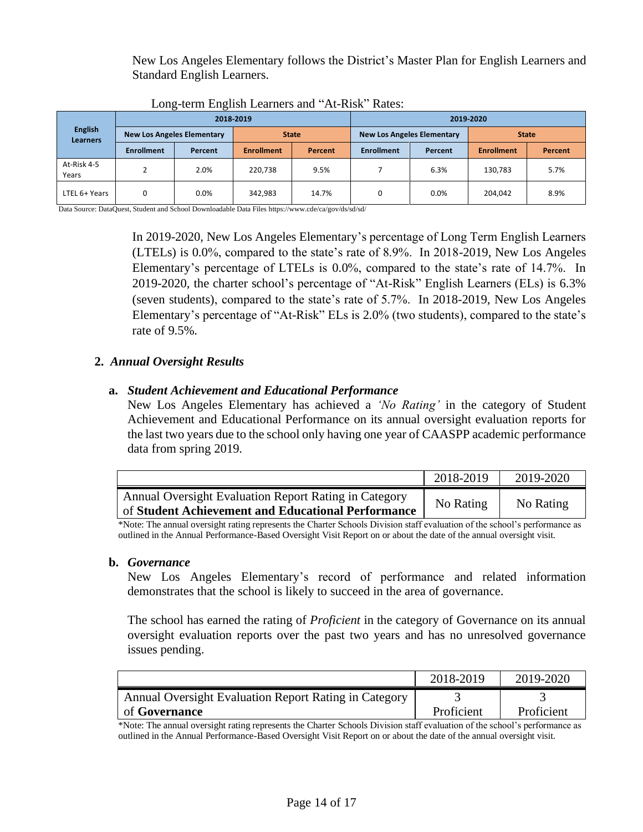New Los Angeles Elementary follows the District's Master Plan for English Learners and Standard English Learners.

|                                   |                   |                                   | 2018-2019         |              | 2019-2020         |                                   |                   |         |  |  |  |
|-----------------------------------|-------------------|-----------------------------------|-------------------|--------------|-------------------|-----------------------------------|-------------------|---------|--|--|--|
| <b>English</b><br><b>Learners</b> |                   | <b>New Los Angeles Elementary</b> |                   | <b>State</b> |                   | <b>New Los Angeles Elementary</b> | <b>State</b>      |         |  |  |  |
|                                   | <b>Enrollment</b> | Percent                           | <b>Enrollment</b> | Percent      | <b>Enrollment</b> | Percent                           | <b>Enrollment</b> | Percent |  |  |  |
| At-Risk 4-5<br>Years              | $\mathbf{r}$      | 2.0%                              | 220,738<br>9.5%   |              |                   | 6.3%                              | 130,783           | 5.7%    |  |  |  |
| LTEL 6+ Years                     | 0                 | 0.0%                              | 342,983<br>14.7%  |              | $\Omega$          | 0.0%                              | 8.9%<br>204,042   |         |  |  |  |

Long-term English Learners and "At-Risk" Rates:

Data Source: DataQuest, Student and School Downloadable Data Files https://www.cde/ca/gov/ds/sd/sd/

In 2019-2020, New Los Angeles Elementary's percentage of Long Term English Learners (LTELs) is 0.0%, compared to the state's rate of 8.9%. In 2018-2019, New Los Angeles Elementary's percentage of LTELs is 0.0%, compared to the state's rate of 14.7%. In 2019-2020, the charter school's percentage of "At-Risk" English Learners (ELs) is 6.3% (seven students), compared to the state's rate of 5.7%. In 2018-2019, New Los Angeles Elementary's percentage of "At-Risk" ELs is 2.0% (two students), compared to the state's rate of 9.5%.

## **2.** *Annual Oversight Results*

### **a.** *Student Achievement and Educational Performance*

New Los Angeles Elementary has achieved a *'No Rating'* in the category of Student Achievement and Educational Performance on its annual oversight evaluation reports for the last two years due to the school only having one year of CAASPP academic performance data from spring 2019.

|                                                                                                             | 2018-2019 | 2019-2020 |
|-------------------------------------------------------------------------------------------------------------|-----------|-----------|
| Annual Oversight Evaluation Report Rating in Category<br>of Student Achievement and Educational Performance | No Rating | No Rating |

\*Note: The annual oversight rating represents the Charter Schools Division staff evaluation of the school's performance as outlined in the Annual Performance-Based Oversight Visit Report on or about the date of the annual oversight visit.

### **b.** *Governance*

New Los Angeles Elementary's record of performance and related information demonstrates that the school is likely to succeed in the area of governance.

The school has earned the rating of *Proficient* in the category of Governance on its annual oversight evaluation reports over the past two years and has no unresolved governance issues pending.

|                                                       | 2018-2019  | 2019-2020  |
|-------------------------------------------------------|------------|------------|
| Annual Oversight Evaluation Report Rating in Category |            |            |
| of <b>Governance</b>                                  | Proficient | Proficient |

\*Note: The annual oversight rating represents the Charter Schools Division staff evaluation of the school's performance as outlined in the Annual Performance-Based Oversight Visit Report on or about the date of the annual oversight visit.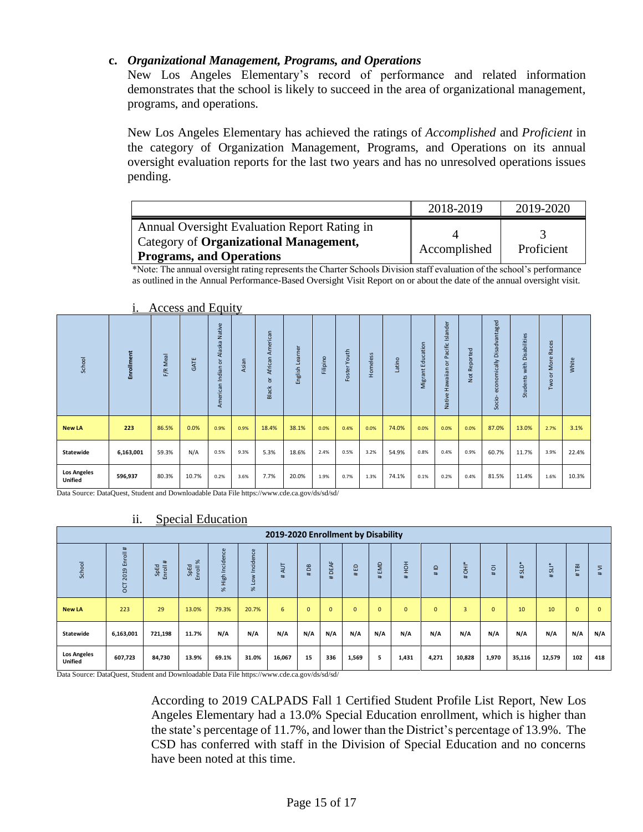### **c.** *Organizational Management, Programs, and Operations*

New Los Angeles Elementary's record of performance and related information demonstrates that the school is likely to succeed in the area of organizational management, programs, and operations.

New Los Angeles Elementary has achieved the ratings of *Accomplished* and *Proficient* in the category of Organization Management, Programs, and Operations on its annual oversight evaluation reports for the last two years and has no unresolved operations issues pending.

|                                              | 2018-2019    | 2019-2020  |
|----------------------------------------------|--------------|------------|
| Annual Oversight Evaluation Report Rating in |              |            |
| Category of Organizational Management,       | Accomplished | Proficient |
| Programs, and Operations                     |              |            |

\*Note: The annual oversight rating represents the Charter Schools Division staff evaluation of the school's performance as outlined in the Annual Performance-Based Oversight Visit Report on or about the date of the annual oversight visit.

| School                               | Enrollment | Meal<br>F/R | GATE  | Alaska Native<br>$\overline{\sigma}$<br>Indian<br>American | Asian | American<br>African<br>ă<br>Black | Learner<br>English I | $\circ$<br>Filipin | Youth<br>Foster | Homeless | Latino | Education<br>Migrant | Islander<br>Pacific<br>$\circ$<br>Hawaiian<br>Native | Not Reported | ntaged<br>$\sigma$<br>ㅎ<br><b>GS</b><br>ä<br>$\frac{1}{10}$<br>õ<br>Έ<br>$\Omega$<br>ã<br>Socio- | abilities<br>Dis.<br>with<br>Students | Races<br>More<br>ð<br>Two | White |
|--------------------------------------|------------|-------------|-------|------------------------------------------------------------|-------|-----------------------------------|----------------------|--------------------|-----------------|----------|--------|----------------------|------------------------------------------------------|--------------|--------------------------------------------------------------------------------------------------|---------------------------------------|---------------------------|-------|
| <b>New LA</b>                        | 223        | 86.5%       | 0.0%  | 0.9%                                                       | 0.9%  | 18.4%                             | 38.1%                | 0.0%               | 0.4%            | 0.0%     | 74.0%  | 0.0%                 | 0.0%                                                 | 0.0%         | 87.0%                                                                                            | 13.0%                                 | 2.7%                      | 3.1%  |
| Statewide                            | 6,163,001  | 59.3%       | N/A   | 0.5%                                                       | 9.3%  | 5.3%                              | 18.6%                | 2.4%               | 0.5%            | 3.2%     | 54.9%  | 0.8%                 | 0.4%                                                 | 0.9%         | 60.7%                                                                                            | 11.7%                                 | 3.9%                      | 22.4% |
| <b>Los Angeles</b><br><b>Unified</b> | 596,937    | 80.3%       | 10.7% | 0.2%                                                       | 3.6%  | 7.7%                              | 20.0%                | 1.9%               | 0.7%            | 1.3%     | 74.1%  | 0.1%                 | 0.2%                                                 | 0.4%         | 81.5%                                                                                            | 11.4%                                 | 1.6%                      | 10.3% |

#### i. Access and Equity

Data Source: DataQuest, Student and Downloadable Data File https://www.cde.ca.gov/ds/sd/sd/

### ii. Special Education

|                                                       |                                                                                                                                                                                                                                                                                                                                     |                  |       |                                                                                           |       | 2019-2020 Enrollment by Disability |              |                          |              |              |              |              |                |              |        |        |              |              |
|-------------------------------------------------------|-------------------------------------------------------------------------------------------------------------------------------------------------------------------------------------------------------------------------------------------------------------------------------------------------------------------------------------|------------------|-------|-------------------------------------------------------------------------------------------|-------|------------------------------------|--------------|--------------------------|--------------|--------------|--------------|--------------|----------------|--------------|--------|--------|--------------|--------------|
| School                                                | inroll#<br>% High Incidence<br>Incidence<br>$\aleph$<br>#<br>L<br>$rac{1}{2}$<br>$\frac{1}{5}$<br>EMD<br><b>SLD*</b><br>#AUT<br>面<br>$#$ SLI*<br>#THI<br>SpEd<br>Enroll:<br>SpEd<br>DEA<br>B <sub>B</sub><br>#ED<br>Enroll<br>$\overline{O}$<br>$\supseteq$<br>2019<br>$\pm$<br>#<br>#<br>% Low<br>$\pm$<br>#<br>±.<br>#<br>#<br>ōά |                  |       |                                                                                           |       |                                    |              |                          |              |              |              |              |                |              | #VII   |        |              |              |
| <b>New LA</b>                                         | 223                                                                                                                                                                                                                                                                                                                                 | 29               | 13.0% | 79.3%                                                                                     | 20.7% | 6                                  | $\mathbf{0}$ | $\Omega$                 | $\mathbf{0}$ | $\mathbf{0}$ | $\mathbf{0}$ | $\mathbf{0}$ | $\overline{3}$ | $\mathbf{0}$ | 10     | 10     | $\mathbf{0}$ | $\mathbf{0}$ |
| Statewide                                             | 6,163,001                                                                                                                                                                                                                                                                                                                           | 721,198          | 11.7% | N/A                                                                                       | N/A   | N/A                                | N/A          | N/A                      | N/A          | N/A          | N/A          | N/A          | N/A            | N/A          | N/A    | N/A    | N/A          | N/A          |
| <b>Los Angeles</b><br><b>Unified</b><br>$\sim$ $\sim$ | 607,723<br>$\sim$ $\sim$<br>$\sim$ $\sim$ $\sim$ $\sim$                                                                                                                                                                                                                                                                             | 84,730<br>$\sim$ | 13.9% | 69.1%<br>$\mathbf{A}$ and $\mathbf{A}$ and $\mathbf{A}$ and $\mathbf{A}$ and $\mathbf{A}$ | 31.0% | 16,067<br>$\overline{1}$           | 15           | 336<br>$1.4$ $1.4$ $1.4$ | 1,569        | 5            | 1,431        | 4,271        | 10,828         | 1,970        | 35,116 | 12,579 | 102          | 418          |

Data Source: DataQuest, Student and Downloadable Data File https://www.cde.ca.gov/ds/sd/sd/

According to 2019 CALPADS Fall 1 Certified Student Profile List Report, New Los Angeles Elementary had a 13.0% Special Education enrollment, which is higher than the state's percentage of 11.7%, and lower than the District's percentage of 13.9%. The CSD has conferred with staff in the Division of Special Education and no concerns have been noted at this time.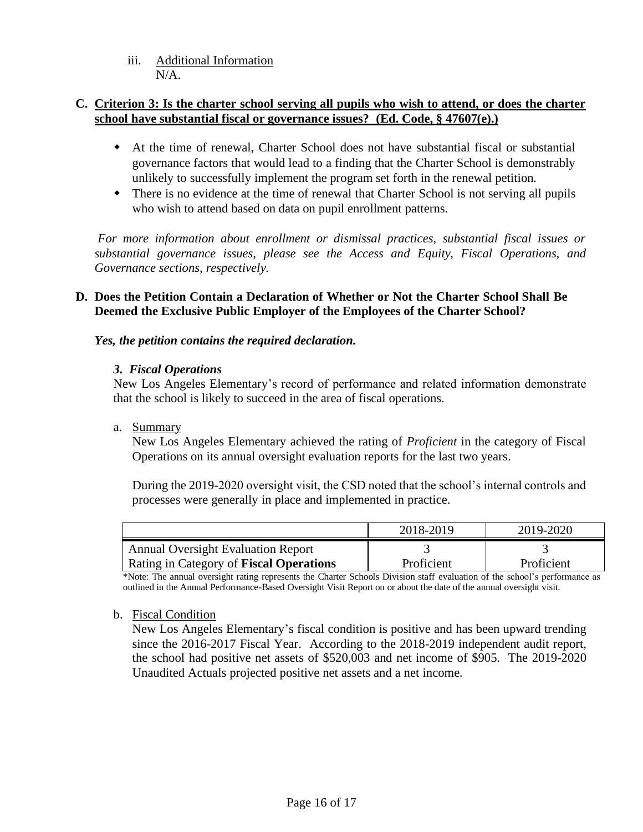iii. Additional Information  $N/A$ .

## **C. Criterion 3: Is the charter school serving all pupils who wish to attend, or does the charter school have substantial fiscal or governance issues? (Ed. Code, § 47607(e).)**

- At the time of renewal, Charter School does not have substantial fiscal or substantial governance factors that would lead to a finding that the Charter School is demonstrably unlikely to successfully implement the program set forth in the renewal petition.
- There is no evidence at the time of renewal that Charter School is not serving all pupils who wish to attend based on data on pupil enrollment patterns.

*For more information about enrollment or dismissal practices, substantial fiscal issues or substantial governance issues, please see the Access and Equity, Fiscal Operations, and Governance sections, respectively.* 

## **D. Does the Petition Contain a Declaration of Whether or Not the Charter School Shall Be Deemed the Exclusive Public Employer of the Employees of the Charter School?**

## *Yes, the petition contains the required declaration.*

## *3. Fiscal Operations*

New Los Angeles Elementary's record of performance and related information demonstrate that the school is likely to succeed in the area of fiscal operations.

### a. Summary

New Los Angeles Elementary achieved the rating of *Proficient* in the category of Fiscal Operations on its annual oversight evaluation reports for the last two years.

During the 2019-2020 oversight visit, the CSD noted that the school's internal controls and processes were generally in place and implemented in practice.

|                                                | 2018-2019  | 2019-2020  |
|------------------------------------------------|------------|------------|
| <b>Annual Oversight Evaluation Report</b>      |            |            |
| <b>Rating in Category of Fiscal Operations</b> | Proficient | Proficient |

\*Note: The annual oversight rating represents the Charter Schools Division staff evaluation of the school's performance as outlined in the Annual Performance-Based Oversight Visit Report on or about the date of the annual oversight visit.

### b. Fiscal Condition

New Los Angeles Elementary's fiscal condition is positive and has been upward trending since the 2016-2017 Fiscal Year. According to the 2018-2019 independent audit report, the school had positive net assets of \$520,003 and net income of \$905. The 2019-2020 Unaudited Actuals projected positive net assets and a net income.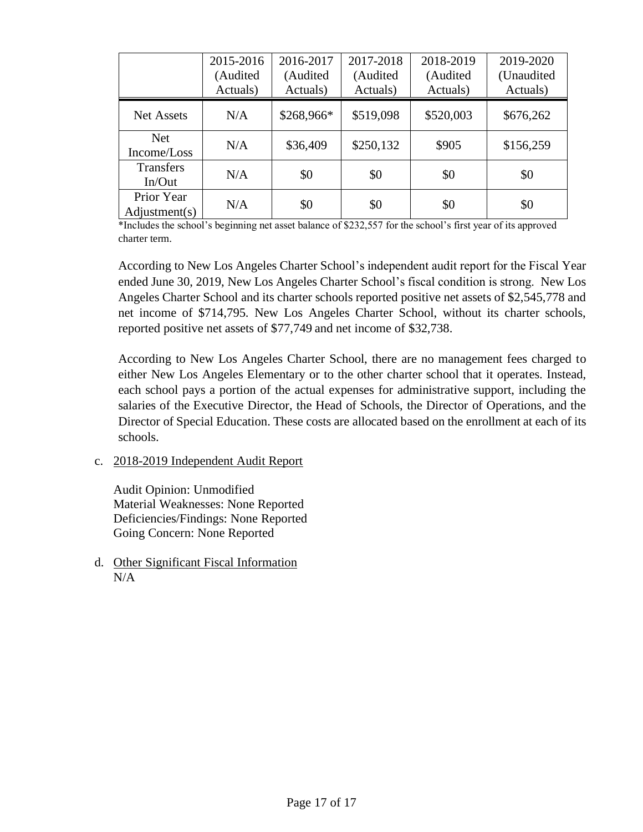|                             | 2015-2016<br>(Audited<br>Actuals) | 2016-2017<br>(Audited<br>Actuals) | 2017-2018<br>(Audited<br>Actuals) | 2018-2019<br>(Audited<br>Actuals) | 2019-2020<br>(Unaudited<br>Actuals) |
|-----------------------------|-----------------------------------|-----------------------------------|-----------------------------------|-----------------------------------|-------------------------------------|
| <b>Net Assets</b>           | N/A                               | \$268,966*                        | \$519,098                         | \$520,003                         | \$676,262                           |
| <b>Net</b><br>Income/Loss   | N/A                               | \$36,409                          | \$250,132                         | \$905                             | \$156,259                           |
| <b>Transfers</b><br>In/Out  | N/A                               | \$0                               | \$0                               | \$0                               | \$0                                 |
| Prior Year<br>Adjustment(s) | N/A                               | \$0                               | \$0                               | \$0                               | \$0                                 |

\*Includes the school's beginning net asset balance of \$232,557 for the school's first year of its approved charter term.

According to New Los Angeles Charter School's independent audit report for the Fiscal Year ended June 30, 2019, New Los Angeles Charter School's fiscal condition is strong. New Los Angeles Charter School and its charter schools reported positive net assets of \$2,545,778 and net income of \$714,795. New Los Angeles Charter School, without its charter schools, reported positive net assets of \$77,749 and net income of \$32,738.

According to New Los Angeles Charter School, there are no management fees charged to either New Los Angeles Elementary or to the other charter school that it operates. Instead, each school pays a portion of the actual expenses for administrative support, including the salaries of the Executive Director, the Head of Schools, the Director of Operations, and the Director of Special Education. These costs are allocated based on the enrollment at each of its schools.

c. 2018-2019 Independent Audit Report

Audit Opinion: Unmodified Material Weaknesses: None Reported Deficiencies/Findings: None Reported Going Concern: None Reported

d. Other Significant Fiscal Information N/A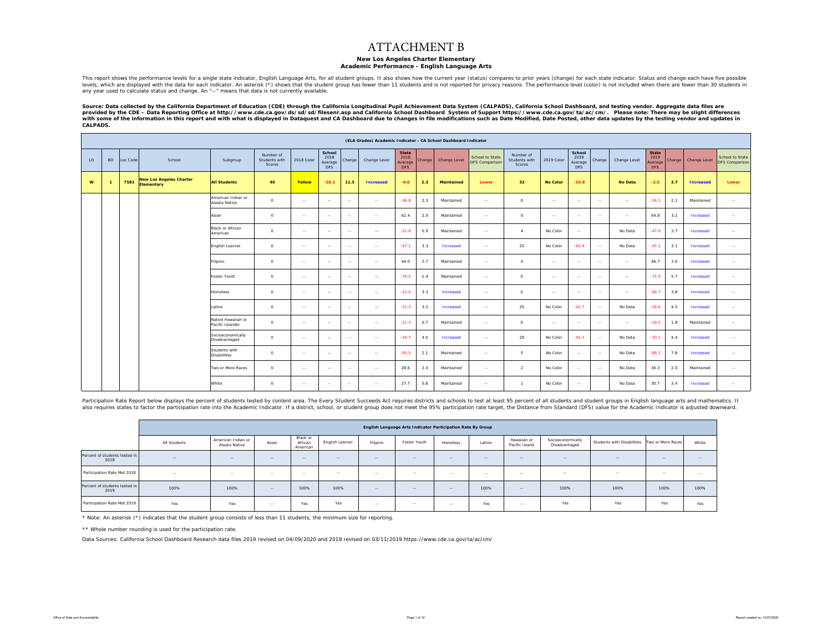#### ATTACHMENT B

#### **New Los Angeles Charter Elementary Academic Performance - English Language Arts**

This report shows the performance levels for a single state indicator, English Language Arts, for all student groups. It also shows how the current year (status) compares to prior years (change) for each state indicator. S

Source: Data collected by the California Department of Education (CDE) through the California Longitudinal Pupil Achievement Data System (CALPADS), California School Dashboard, and testing vendor. Aggregate data files are<br> *CALPADS.* 

|              |                |          |                                              |                                        |                                             |               |                                         |               | (ELA Grades) Academic Indicator - CA School Dashboard Indicator |                                        |        |                   |                                          |                                      |                 |                                         |        |                |                                        |        |                  |                                          |
|--------------|----------------|----------|----------------------------------------------|----------------------------------------|---------------------------------------------|---------------|-----------------------------------------|---------------|-----------------------------------------------------------------|----------------------------------------|--------|-------------------|------------------------------------------|--------------------------------------|-----------------|-----------------------------------------|--------|----------------|----------------------------------------|--------|------------------|------------------------------------------|
| LD.          | <b>BD</b>      | Loc Code | School                                       | Subgroup                               | Number of<br>Students with<br><b>Scores</b> | 2018 Color    | School<br>2018<br>Average<br><b>DFS</b> | Change        | Change Level                                                    | State<br>2018<br>Average<br><b>DFS</b> | Change | Change Level      | School to State<br><b>DFS Comparison</b> | Number of<br>Students with<br>Scores | 2019 Color      | School<br>2019<br>Average<br><b>DFS</b> | Change | Change Level   | <b>State</b><br>2019<br>Average<br>DFS | Change | Change Level     | School to State<br><b>DFS Comparison</b> |
| $\mathbf{w}$ | $\overline{1}$ | 7581     | <b>New Los Angeles Charter</b><br>Elementary | <b>All Students</b>                    | 40                                          | Yellow        | $-26.1$                                 | 11.5          | <b>Increased</b>                                                | $-6.0$                                 | 2.2    | <b>Maintained</b> | Lower                                    | 32                                   | <b>No Color</b> | $-33.8$                                 |        | <b>No Data</b> | $-2.5$                                 | 3.7    | <b>Increased</b> | Lower                                    |
|              |                |          |                                              | American Indian or<br>Alaska Native    | $\circ$                                     | $\sim$        | $\sim$                                  | $\sim$        | $\sim$ $\sim$                                                   | $-36.8$                                | 2.3    | Maintained        | $\sim$                                   | $\circ$                              | $\sim$ $\sim$   | $\sim$                                  | $\sim$ | $\sim$         | $-34.1$                                | 2.1    | Maintained       | $\sim$ $\sim$                            |
|              |                |          |                                              | Asian                                  | $\circ$                                     | $\sim$ $\sim$ | $\sim$                                  | $\sim$        | $\sim$                                                          | 62.4                                   | 2.0    | Maintained        | $\sim$                                   | $\circ$                              | $\sim$          | $\sim$                                  | $\sim$ | $\sim$         | 64.8                                   | 3.1    | Increased        | $\sim$                                   |
|              |                |          |                                              | Black or African<br>American           | $\circ$                                     | $\sim$ $\sim$ | $\sim$                                  | $\sim$        | $\sim$                                                          | $-51.8$                                | 0.9    | Maintained        | $\sim$                                   | $\sim$                               | No Color        | $\sim$                                  |        | No Data        | $-47.6$                                | 3.7    | Increased        | $\sim$                                   |
|              |                |          |                                              | English Learner                        | $\circ$                                     | $\sim$        | $\sim$                                  | $\sim$        | $\sim$ $\sim$                                                   | $-47.1$                                | 3.3    | Increased         | $\sim$                                   | 20                                   | No Color        | $-60.9$                                 | $\sim$ | No Data        | $-45.1$                                | 3.1    | Increased        | $\sim$ $\sim$                            |
|              |                |          |                                              | Filipino                               | $\circ$                                     | $\sim$ $\sim$ | $\sim$                                  | $\sim$        | $\sim$                                                          | 44.0                                   | 2.7    | Maintained        | $\sim$                                   | $\circ$                              | $\sim$ $\sim$   | $\sim$                                  | $\sim$ | $\sim$         | 46.7                                   | 3.6    | Increased        | $\sim$ $\sim$                            |
|              |                |          |                                              | Foster Youth                           | $\circ$                                     | $\sim$        | $\sim$                                  | $\sim$        | $\sim$                                                          | $-79.2$                                | 1.4    | Maintained        | $\sim$                                   | $\circ$                              | $\sim$          | $\sim$                                  | $\sim$ | $\sim$         | $-71.9$                                | 5.7    | Increased        | $\sim$                                   |
|              |                |          |                                              | Homeless                               | $\circ$                                     | $\sim$        | $\sim$                                  | $\sim$        | $\sim$ $\sim$                                                   | $-51.0$                                | 3.3    | Increased         | $\sim$                                   | $\circ$                              | $\sim$          | $\sim$                                  | $\sim$ | $\sim$         | $-46.7$                                | 3.8    | Increased        | $\sim$ $\sim$                            |
|              |                |          |                                              | atino                                  | $\circ$                                     | $\sim$        | $\sim$                                  | $\sim$        | $\sim$                                                          | $-31.3$                                | 3.2    | Increased         | $\sim$                                   | 25                                   | No Color        | $-42.7$                                 | $\sim$ | No Data        | $-26.6$                                | 4.5    | Increased        | $\sim$                                   |
|              |                |          |                                              | Native Hawaiian or<br>Pacific Islander | $\circ$                                     | $\sim$        | $\sim$                                  | $\sim$        | $\sim$                                                          | $-21.3$                                | 0.7    | Maintained        | $\sim$                                   | $\circ$                              | $\sim$ $\sim$   | $\sim$                                  | $\sim$ | $\sim$         | $-19.5$                                | 1.8    | Maintained       | $\sim$                                   |
|              |                |          |                                              | Socioeconomically<br>Disadvantaged     | $\circ$                                     | $\sim$ $-$    | $\sim$                                  | $\sim$        | $\sim$                                                          | $-34.7$                                | 4.0    | Increased         | $\sim$                                   | 29                                   | No Color        | $-41.3$                                 | $\sim$ | No Data        | $-30.1$                                | 4.4    | Increased        | $\sim$                                   |
|              |                |          |                                              | Students with<br><b>Disabilities</b>   | $\circ$                                     | $\sim$ $\sim$ | $\sim$                                  | $\sim$ $\sim$ | $\sim$                                                          | $-95.5$                                | 2.1    | Maintained        | $\sim$                                   | 5                                    | No Color        | $\sim$                                  | $\sim$ | No Data        | $-88.1$                                | 7.8    | Increased        | $\sim$                                   |
|              |                |          |                                              | Two or More Races                      | $\circ$                                     | $\sim$        | $\sim$                                  | $\sim$        | $\sim$                                                          | 28.6                                   | 2.3    | Maintained        | $\sim$                                   | $\overline{2}$                       | No Color        | $\sim$                                  | $\sim$ | No Data        | 30.3                                   | 2.0    | Maintained       | $\sim$                                   |
|              |                |          |                                              | White                                  | $\circ$                                     | $\sim$ $\sim$ | $\sim$                                  | $\sim$        | $\sim$                                                          | 27.7                                   | 0.8    | Maintained        | $\sim$                                   | $\overline{1}$                       | No Color        | $\sim$                                  |        | No Data        | 30.7                                   | 3.4    | Increased        | $\sim$                                   |

Participation Rate Report below displays the percent of students tested by content area. The Every Student Succeeds Act requires districts and schools to test at least 95 percent of all students and student groups in Engli also requires states to factor the participation rate into the Academic Indicator. If a district, school, or student group does not meet the 95% participation rate target, the Distance from Standard (DFS) value for the Aca

|                                       |              |                                     |        |                                 |                 |          | English Language Arts Indicator Participation Rate By Group |          |        |                               |                                    |                            |                   |        |
|---------------------------------------|--------------|-------------------------------------|--------|---------------------------------|-----------------|----------|-------------------------------------------------------------|----------|--------|-------------------------------|------------------------------------|----------------------------|-------------------|--------|
|                                       | All Students | American Indian or<br>Alaska Native | Asian  | Black or<br>African<br>American | English Learner | Filipino | Foster Youth                                                | Homeless | Latino | Hawaiian or<br>Pacific Island | Socioeconomically<br>Disadvantaged | Students with Disabilities | Two or More Races | White  |
| Percent of students tested in<br>2018 | $-$          | $-$                                 | $\sim$ | $-$                             | $\sim$ $\sim$   | $-$      | $\sim$ $-$                                                  | $\sim$   | $-$    | $-$                           | $\sim$ $\sim$                      | $\sim$ $\sim$              | $\sim$ $-$        | $\sim$ |
| Participation Rate Met 2018           | $-$          | $\sim$                              | $\sim$ | $\sim$                          | $\sim$          | $\sim$   | $\sim$                                                      | $\sim$   | $\sim$ | $\sim$                        | $\sim$                             | $\sim$                     | --                | $\sim$ |
| Percent of students tested in<br>2019 | 100%         | 100%                                | $\sim$ | 100%                            | 100%            | $-$      | $-$                                                         | $\sim$   | 100%   | $-$                           | 100%                               | 100%                       | 100%              | 100%   |
| Participation Rate Met 2019           | Yes          | Yes                                 | $\sim$ | Yes                             | Yes             | $\sim$   | $\sim$                                                      | $\sim$   | Yes    | $\sim$                        | Yes                                | Yes                        | Yes               | Yes    |

\* Note: An asterisk (\*) indicates that the student group consists of less than 11 students, the minimum size for reporting.

\*\* Whole number rounding is used for the participation rate.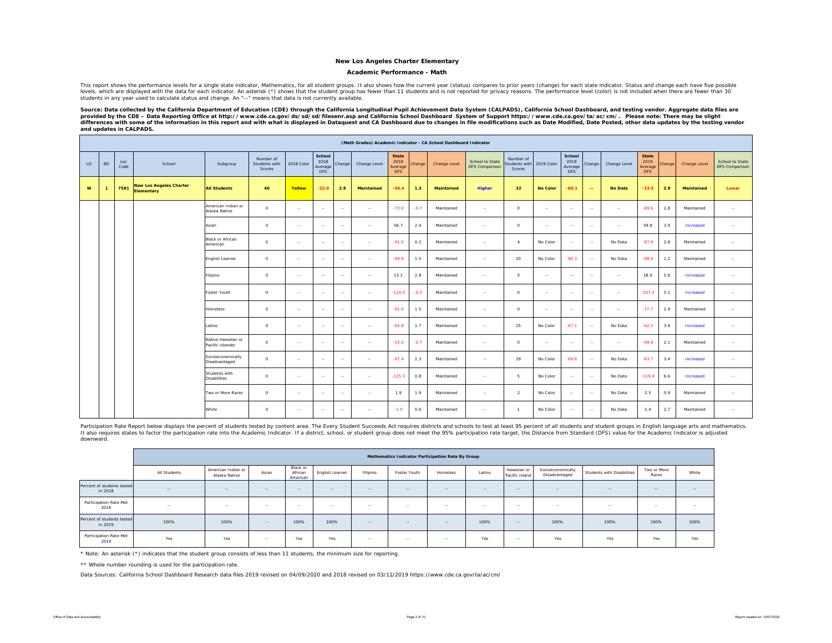#### **Academic Performance - Math**

This report shows the performance levels for a single state indicator, Mathematics, for all student groups. It also shows how the current year (status) compares to prior years (change) for each state indicator. Status and levels, which are displayed with the data for each indicator. An asterisk (\*) shows that the student group has fewer than 11 students and is not reported for privacy reasons. The performance level (color) is not included w students in any year used to calculate status and change. An "--" means that data is not currently available.

Source: Data collected by the California Department of Education (CDE) through the California Longitudinal Pupil Achievement Data System (CALPADS), California School Dashboard, and testing vendor. Aggregate data files are provided by the CDE – Data Reporting Office at http://www.cde.ca.gov/ds/sd/sd/filesenr.asp and California School Dashboard System of Support https://www.cde.ca.gov/ta/ac/cm/. Please note: There may be slight<br>differences *and updates in CALPADS.* 

|    |           |             |                                                     |                                        |                                      |               |                                         |               |                   |                                               |        | (Math Grades) Academic Indicator - CA School Dashboard Indicator |                                   |                                     |                 |                                         |               |                |                                               |        |              |                                   |
|----|-----------|-------------|-----------------------------------------------------|----------------------------------------|--------------------------------------|---------------|-----------------------------------------|---------------|-------------------|-----------------------------------------------|--------|------------------------------------------------------------------|-----------------------------------|-------------------------------------|-----------------|-----------------------------------------|---------------|----------------|-----------------------------------------------|--------|--------------|-----------------------------------|
| LD | <b>BD</b> | Loc<br>Code | School                                              | Subgroup                               | Number of<br>Students with<br>Scores | 2018 Color    | School<br>2018<br>Average<br><b>DFS</b> | Change        | Change Level      | <b>State</b><br>2018<br>Average<br><b>DFS</b> | Change | Change Level                                                     | School to State<br>DFS Comparison | Number of<br>tudents with<br>Scores | 2019 Color      | School<br>2019<br>Average<br><b>DFS</b> | Change        | Change Level   | <b>State</b><br>2019<br>Average<br><b>DFS</b> | Change | Change Level | School to State<br>DFS Comparison |
| W  |           | 7581        | <b>New Los Angeles Charter</b><br><b>Elementary</b> | <b>All Students</b>                    | 40                                   | Yellow        | $-22.0$                                 | 2.9           | <b>Maintained</b> | $-36.4$                                       | 1.3    | Maintained                                                       | Higher                            | 32                                  | <b>No Color</b> | $-60.1$                                 | $\sim$        | <b>No Data</b> | $-33.5$                                       | 2.9    | Maintained   | Lower                             |
|    |           |             |                                                     | American Indian or<br>Alaska Native    | $\circ$                              | $\sim$        | $\sim$                                  | $\sim$ $\sim$ | $\sim$ $\sim$     | $-73.0$                                       | $-0.7$ | Maintained                                                       | $\sim$ $\sim$                     | $\circ$                             | $\sim$          | $\sim$                                  | $\sim$        | $\sim$ $\sim$  | $-69.6$                                       | 2.8    | Maintained   | $\sim$                            |
|    |           |             |                                                     | Asian                                  | $\circ$                              | $\sim$ $\sim$ | $\sim$                                  | $\sim$ $\sim$ | $\sim$            | 56.7                                          | 2.4    | Maintained                                                       | $\sim$                            | $\circ$                             | $\sim$          | $\sim$                                  | $\sim$        | $\sim$         | 59.8                                          | 3.9    | Increased    | $\sim$                            |
|    |           |             |                                                     | <b>Black or African</b><br>American    | $\Omega$                             | $\sim$        | $\sim$                                  | $\sim$ $\sim$ | $\sim$ $\sim$     | $-91.5$                                       | 0.2    | Maintained                                                       | $\sim$                            | $\overline{a}$                      | No Color        | $\sim$                                  | $\sim$        | No Data        | $-87.9$                                       | 2.8    | Maintained   | $\sim$                            |
|    |           |             |                                                     | English Learner                        | $\circ$                              | $\sim$        | $\sim$                                  | $\sim$        | $\sim$            | $-69.9$                                       | 1.5    | Maintained                                                       | $\sim$                            | 20                                  | No Color        | $-80.3$                                 | $\sim$        | No Data        | $-68.6$                                       | 2.2    | Maintained   | $\sim$                            |
|    |           |             |                                                     | Filipino                               | $\circ$                              | $\sim$        | $\sim$                                  | $\sim$        | $\sim$            | 13.1                                          | 2.8    | Maintained                                                       | $\sim$                            | $\circ$                             | $\overline{a}$  | $\sim$                                  | $\sim$        | $\sim$         | 18.0                                          | 5.6    | Increased    | $\sim$                            |
|    |           |             |                                                     | Foster Youth                           | $\circ$                              | $\sim$        | $\sim$                                  | $\sim$        | $\sim$            | $-114.0$                                      | $-0.5$ | Maintained                                                       | $\sim$                            | $\circ$                             | $\sim$ $\sim$   | $\sim$                                  | $\sim$        | $\sim$ $\sim$  | $-107.2$                                      | 5.1    | Increased    | $\sim$                            |
|    |           |             |                                                     | Homeless                               | $\circ$                              | $\sim$        | $\sim$                                  | $\sim$        | $\sim$ $\sim$     | $-81.0$                                       | 1.5    | Maintained                                                       | $\sim$                            | $\circ$                             | $\sim$          | $\sim$                                  | $\sim$        | $\sim$         | $-77.7$                                       | 2.9    | Maintained   | $\sim$                            |
|    |           |             |                                                     | Latino                                 | $\circ$                              | $\sim$        | $\sim$                                  | $\sim$ $\sim$ | $\sim$            | $-65.8$                                       | 1.7    | Maintained                                                       | $\sim$                            | 25                                  | No Color        | $-67.1$                                 | $\sim$        | No Data        | $-62.2$                                       | 3.4    | Increased    | $\sim$                            |
|    |           |             |                                                     | Native Hawaiian or<br>Pacific Islander | $\circ$                              | $\sim$        | $\sim$                                  | $\sim$ $\sim$ | $\sim$            | $-52.0$                                       | $-0.7$ | Maintained                                                       | $\sim$                            | $\circ$                             | $\sim$          | $\sim$                                  | $\sim$        | $\sim$         | $-49.8$                                       | 2.1    | Maintained   | $\sim$                            |
|    |           |             |                                                     | Socioeconomically<br>Disadvantaged     | $\circ$                              | $\sim$ $\sim$ | $\sim$                                  | $\sim$ $\sim$ | $\sim$            | $-67.4$                                       | 2.3    | Maintained                                                       | $\sim$                            | 29                                  | No Color        | $-69.6$                                 | $\sim$ $\sim$ | No Data        | $-63.7$                                       | 3.4    | Increased    | $\sim$                            |
|    |           |             |                                                     | Students with<br><b>Disabilities</b>   | $\circ$                              | $\sim$        | $\sim$                                  | $\sim$ $\sim$ | $\sim$            | $-125.3$                                      | 0.8    | Maintained                                                       | $\sim$                            | 5                                   | No Color        | $\sim$                                  | $\sim$ $\sim$ | No Data        | $-119.4$                                      | 6.6    | Increased    | $\sim$                            |
|    |           |             |                                                     | Two or More Races                      | $\circ$                              | $\sim$        | $\sim$                                  | $\sim$ $\sim$ | $\sim$            | 1.9                                           | 1.9    | Maintained                                                       | $\sim$ $\sim$                     | 2                                   | No Color        | $\sim$                                  | $\sim$ $\sim$ | No Data        | 2.5                                           | 0.9    | Maintained   | $\sim$                            |
|    |           |             |                                                     | White                                  | $\circ$                              | $\sim$        | $\sim$                                  | $\sim$        | $\sim$            | $-1.0$                                        | 0.6    | Maintained                                                       | $\sim$                            | $\overline{1}$                      | No Color        | $\sim$                                  | $\sim$        | No Data        | 1.4                                           | 2.7    | Maintained   | $\sim$                            |

Participation Rate Report below displays the percent of students tested by content area. The Every Student Succeeds Act requires districts and schools to test at least 95 percent of all students and student groups in Engli It also requires states to factor the participation rate into the Academic Indicator. If a district, school, or student group does not meet the 95% participation rate target, the Distance from Standard (DFS) value for the downward.

|                                       |              |                                     |            |                                 |                 |          | Mathematics Indicator Participation Rate By Group |            |               |                               |                                    |                            |                      |        |
|---------------------------------------|--------------|-------------------------------------|------------|---------------------------------|-----------------|----------|---------------------------------------------------|------------|---------------|-------------------------------|------------------------------------|----------------------------|----------------------|--------|
|                                       | All Students | American Indian or<br>Alaska Native | Asian      | Black or<br>African<br>American | English Learner | Filipino | Foster Youth                                      | Homeless   | Latino        | Hawaiian or<br>Pacific Island | Socioeconomically<br>Disadvantaged | Students with Disabilities | Two or More<br>Races | White  |
| Percent of students tested<br>in 2018 | $\sim$ $-$   | $\sim$ $-$                          | $\sim$ $-$ | $\sim$ $-$                      | $\sim$ $\sim$   | $\sim$   | $-$                                               | $-$        | $\cdots$      | $\sim$ $-$                    | $\sim$ $-$                         | $-$                        | $\sim$ $-$           | $\sim$ |
| Participation Rate Met<br>2018        | $\sim$       | $\sim$ $-$                          | $-$        | $\sim$ $-$                      | $\sim$          | $\sim$   | $\sim$                                            | $\sim$ $-$ | $\sim$ $\sim$ | $\sim$                        | $\sim$                             | $-$                        | $-$                  | $\sim$ |
| Percent of students tested<br>in 2019 | 100%         | 100%                                | $-$        | 100%                            | 100%            | $\sim$   | $-$                                               | $-$        | 100%          | $-1$                          | 100%                               | 100%                       | 100%                 | 100%   |
| Participation Rate Met<br>2019        | Yes          | Yes                                 | $\sim$     | Yes                             | Yes             | $\sim$   | $\sim$                                            | $\sim$ $-$ | Yes           | $-$                           | Yes                                | Yes                        | Yes                  | Yes    |

\* Note: An asterisk (\*) indicates that the student group consists of less than 11 students, the minimum size for reporting.

\*\* Whole number rounding is used for the participation rate.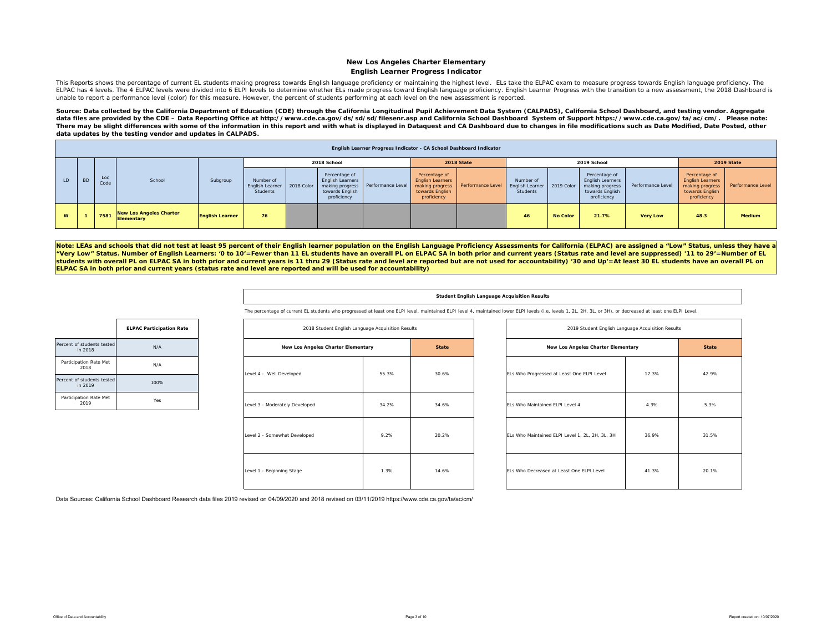#### **New Los Angeles Charter Elementary English Learner Progress Indicator**

This Reports shows the percentage of current EL students making progress towards English language proficiency or maintaining the highest level. ELs take the ELPAC exam to measure progress towards English language proficien ELPAC has 4 levels. The 4 ELPAC levels were divided into 6 ELPI levels to determine whether ELs made progress toward English language proficiency. English Learner Progress with the transition to a new assessment, the 2018 unable to report a performance level (color) for this measure. However, the percent of students performing at each level on the new assessment is reported.

Source: Data collected by the California Department of Education (CDE) through the California Longitudinal Pupil Achievement Data System (CALPADS), California School Dashboard, and testing vendor. Aggregate data files are provided by the CDE – Data Reporting Office at http://www.cde.ca.gov/ds/sd/sd/filesenr.asp and California School Dashboard System of Support https://www.cde.ca.gov/ta/ac/cm/. Please note: *There may be slight differences with some of the information in this report and with what is displayed in Dataquest and CA Dashboard due to changes in file modifications such as Date Modified, Date Posted, other data updates by the testing vendor and updates in CALPADS.* 

|     |           |             |                                              |                                                      |    |            |                                                                            | English Learner Progress Indicator - CA School Dashboard Indicator |                                                                                               |                   |                                          |                 |                                                                                        |                   |                                                                                               |                   |
|-----|-----------|-------------|----------------------------------------------|------------------------------------------------------|----|------------|----------------------------------------------------------------------------|--------------------------------------------------------------------|-----------------------------------------------------------------------------------------------|-------------------|------------------------------------------|-----------------|----------------------------------------------------------------------------------------|-------------------|-----------------------------------------------------------------------------------------------|-------------------|
|     |           |             |                                              |                                                      |    |            | 2018 School                                                                |                                                                    |                                                                                               | 2018 State        |                                          |                 | 2019 School                                                                            |                   |                                                                                               | 2019 State        |
| LD. | <b>BD</b> | Loc<br>Code | School                                       | Number of<br>Subgroup<br>English Learner<br>Students |    | 2018 Color | Percentage of<br><b>English Learners</b><br>towards English<br>proficiency | making progress    Performance Level                               | Percentage of<br><b>English Learners</b><br>making progress<br>towards English<br>proficiency | Performance Level | Number of<br>English Learner<br>Students | 2019 Color      | Percentage of<br>English Learners<br>making progress<br>towards English<br>proficiency | Performance Level | Percentage of<br><b>English Learners</b><br>making progress<br>towards English<br>proficiency | Performance Level |
| W   |           | 7581        | <b>New Los Angeles Charter</b><br>Elementary | <b>English Learner</b>                               | 76 |            |                                                                            |                                                                    |                                                                                               |                   | 46                                       | <b>No Color</b> | 21.7%                                                                                  | <b>Very Low</b>   | 48.3                                                                                          | Medium            |

**Note: LEAs and schools that did not test at least 95 percent of their English learner population on the English Language Proficiency Assessments for California (ELPAC) are assigned a "Low" Status, unless they have a "Very Low" Status. Number of English Learners: '0 to 10'=Fewer than 11 EL students have an overall PL on ELPAC SA in both prior and current years (Status rate and level are suppressed) '11 to 29'=Number of EL students with overall PL on ELPAC SA in both prior and current years is 11 thru 29 (Status rate and level are reported but are not used for accountability) '30 and Up'=At least 30 EL students have an overall PL on ELPAC SA in both prior and current years (status rate and level are reported and will be used for accountability)** 

#### **Student English Language Acquisition Results**

The percentage of current EL students who progressed at least one ELPI level, maintained ELPI level 4, maintained lower ELPI levels (i.e, levels 1, 2L, 2H, 3L, or 3H), or decreased at least one ELPI Level.

|                                       | <b>ELPAC Participation Rate</b> |
|---------------------------------------|---------------------------------|
| Percent of students tested<br>in 2018 | N/A                             |
| Participation Rate Met<br>2018        | N/A                             |
| Percent of students tested<br>in 2019 | 100%                            |
| Participation Rate Met<br>2019        | Yes                             |

| 2018 Student English Language Acquisition Results |       |              |
|---------------------------------------------------|-------|--------------|
| New Los Angeles Charter Elementary                |       | <b>State</b> |
| Level 4 - Well Developed                          | 55.3% | 30.6%        |
| Level 3 - Moderately Developed                    | 34.2% | 34.6%        |
| Level 2 - Somewhat Developed                      | 9.2%  | 20.2%        |
| Level 1 - Beginning Stage                         | 1.3%  | 14.6%        |

| 2018 Student English Language Acquisition Results |       |              | 2019 Student English Language Acquisition Results |       |              |
|---------------------------------------------------|-------|--------------|---------------------------------------------------|-------|--------------|
| New Los Angeles Charter Elementary                |       | <b>State</b> | New Los Angeles Charter Elementary                |       | <b>State</b> |
| eveloped                                          | 55.3% | 30.6%        | ELs Who Progressed at Least One ELPI Level        | 17.3% | 42.9%        |
| tely Developed                                    | 34.2% | 34.6%        | ELs Who Maintained ELPI Level 4                   | 4.3%  | 5.3%         |
| hat Developed                                     | 9.2%  | 20.2%        | ELs Who Maintained ELPI Level 1, 2L, 2H, 3L, 3H   | 36.9% | 31.5%        |
| ng Stage                                          | 1.3%  | 14.6%        | ELs Who Decreased at Least One ELPI Level         | 41.3% | 20.1%        |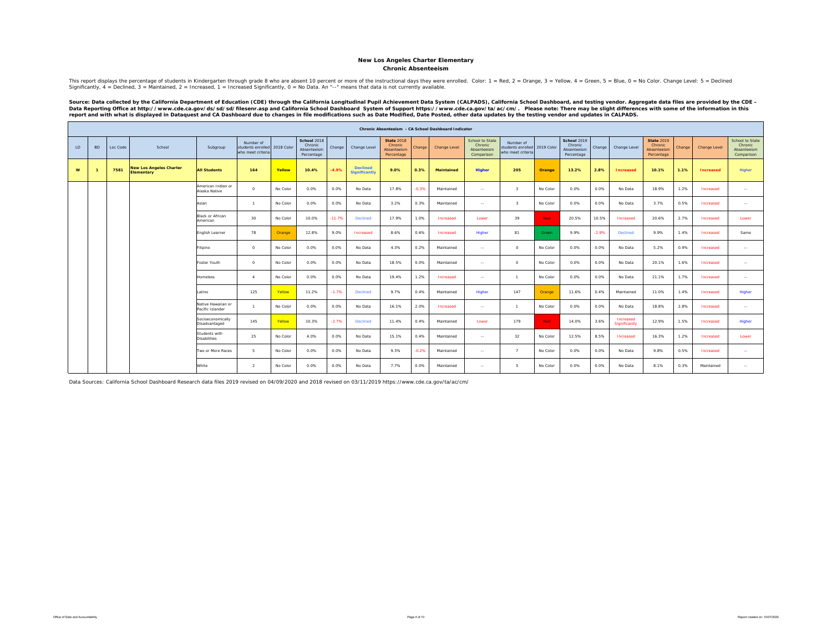#### **Chronic AbsenteeismNew Los Angeles Charter Elementary**

This report displays the percentage of students in Kindergarten through grade 8 who are absent 10 percent or more of the instructional days they were enrolled. Color: 1 = Red, 2 = Orange, 3 = Yellow, 4 = Green, 5 = Blue, 0

Source: Data collected by the California Department of Education (CDE) through the California Longitudinal Pupil Achievement Data System (CALPADS), California School Dashboard, and testing vendor. Aggregate data files are

|    |           |          |                                              |                                        |                                                     |            |                                                     |          |                                         |                                                           |         | Chronic Absenteeism - CA School Dashboard Indicator |                                                         |                                                                |          |                                                     |         |                            |                                                           |        |                  |                                                         |
|----|-----------|----------|----------------------------------------------|----------------------------------------|-----------------------------------------------------|------------|-----------------------------------------------------|----------|-----------------------------------------|-----------------------------------------------------------|---------|-----------------------------------------------------|---------------------------------------------------------|----------------------------------------------------------------|----------|-----------------------------------------------------|---------|----------------------------|-----------------------------------------------------------|--------|------------------|---------------------------------------------------------|
| LD | <b>BD</b> | Loc Code | School                                       | Subgroup                               | Number of<br>students enrolled<br>who meet criteria | 2018 Color | School 2018<br>Chronic<br>Absenteeism<br>Percentage | Change   | Change Level                            | <b>State 2018</b><br>Chronic<br>Absenteeism<br>Percentage | Change  | Change Level                                        | School to State<br>Chronic<br>Absenteeism<br>Comparison | Number of<br>students enrolled 2019 Color<br>who meet criteria |          | School 2019<br>Chronic<br>Absenteeism<br>Percentage | Change  | Change Level               | <b>State 2019</b><br>Chronic<br>Absenteeism<br>Percentage | Change | Change Level     | School to State<br>Chronic<br>Absenteeism<br>Comparison |
| W  |           | 7581     | <b>New Los Angeles Charter</b><br>Elementary | <b>All Students</b>                    | 164                                                 | Yellow     | 10.4%                                               | $-4.9%$  | <b>Declined</b><br><b>Significantly</b> | 9.0%                                                      | 0.3%    | <b>Maintained</b>                                   | <b>Higher</b>                                           | 205                                                            | Orange   | 13.2%                                               | 2.8%    | <b>Increased</b>           | 10.1%                                                     | 1.1%   | <b>Increased</b> | Higher                                                  |
|    |           |          |                                              | American Indian or<br>Alaska Native    | $\Omega$                                            | No Color   | 0.0%                                                | 0.0%     | No Data                                 | 17.8%                                                     | $-0.3%$ | Maintained                                          | $\sim$                                                  | $\overline{\mathbf{3}}$                                        | No Color | 0.0%                                                | 0.0%    | No Data                    | 18.9%                                                     | 1.2%   | Increased        | $\sim$                                                  |
|    |           |          |                                              | Asian                                  | $\overline{1}$                                      | No Color   | 0.0%                                                | 0.0%     | No Data                                 | 3.2%                                                      | 0.3%    | Maintained                                          | $\sim$ $\sim$                                           | $\mathbf{3}$                                                   | No Color | 0.0%                                                | 0.0%    | No Data                    | 3.7%                                                      | 0.5%   | Increased        | $\sim$ $\sim$                                           |
|    |           |          |                                              | <b>Black or African</b><br>American    | 30                                                  | No Color   | 10.0%                                               | $-11.7%$ | Declined                                | 17.9%                                                     | 1.0%    | Increased                                           | Lower                                                   | 39                                                             | Red      | 20.5%                                               | 10.5%   | Increased                  | 20.6%                                                     | 2.7%   | Increased        | Lower                                                   |
|    |           |          |                                              | English Learner                        | 78                                                  | Orange     | 12.8%                                               | 9.0%     | Increased                               | 8.6%                                                      | 0.6%    | Increased                                           | Higher                                                  | 81                                                             | Green    | 9.9%                                                | $-2.9%$ | Declined                   | 9.9%                                                      | 1.4%   | Increased        | Same                                                    |
|    |           |          |                                              | Filipino                               | $\circ$                                             | No Color   | 0.0%                                                | 0.0%     | No Data                                 | 4.3%                                                      | 0.2%    | Maintained                                          | $\sim$                                                  | $^{\circ}$                                                     | No Color | 0.0%                                                | 0.0%    | No Data                    | 5.2%                                                      | 0.9%   | Increased        | $\sim$                                                  |
|    |           |          |                                              | Foster Youth                           | $\Omega$                                            | No Color   | 0.0%                                                | 0.0%     | No Data                                 | 18.5%                                                     | 0.0%    | Maintained                                          | $\sim$                                                  | $\circ$                                                        | No Color | 0.0%                                                | 0.0%    | No Data                    | 20.1%                                                     | 1.6%   | Increased        | $\cdots$                                                |
|    |           |          |                                              | <b>Homeless</b>                        | $\sim$                                              | No Color   | 0.0%                                                | 0.0%     | No Data                                 | 19.4%                                                     | 1.2%    | Increased                                           | $\sim$ $\sim$                                           | $\overline{1}$                                                 | No Color | 0.0%                                                | 0.0%    | No Data                    | 21.1%                                                     | 1.7%   | Increased        | $\sim$                                                  |
|    |           |          |                                              | Latino                                 | 125                                                 | Yellow     | 11.2%                                               | $-1.7%$  | <b>Declined</b>                         | 9.7%                                                      | 0.4%    | Maintained                                          | Higher                                                  | 147                                                            | Orange   | 11.6%                                               | 0.4%    | Maintained                 | 11.0%                                                     | 1.4%   | Increased        | Higher                                                  |
|    |           |          |                                              | Native Hawaiian or<br>Pacific Islander | $\mathbf{1}$                                        | No Color   | 0.0%                                                | 0.0%     | No Data                                 | 16.1%                                                     | 2.0%    | Increased                                           | $\sim$                                                  | $\overline{1}$                                                 | No Color | 0.0%                                                | 0.0%    | No Data                    | 18.8%                                                     | 2.8%   | Increased        | $\sim$                                                  |
|    |           |          |                                              | Socioeconomically<br>Disadvantaged     | 145                                                 | Yellow     | 10.3%                                               | $-2.7%$  | <b>Declined</b>                         | 11.4%                                                     | 0.4%    | Maintained                                          | Lower                                                   | 179                                                            | Red      | 14.0%                                               | 3.6%    | Increased<br>Significantly | 12.9%                                                     | 1.5%   | Increased        | Higher                                                  |
|    |           |          |                                              | Students with<br><b>Disabilities</b>   | 25                                                  | No Color   | 4.0%                                                | 0.0%     | No Data                                 | 15.1%                                                     | 0.4%    | Maintained                                          | $\sim$                                                  | 32                                                             | No Color | 12.5%                                               | 8.5%    | Increased                  | 16.3%                                                     | 1.2%   | Increased        | Lower                                                   |
|    |           |          |                                              | Two or More Races                      | $\mathbf{r}$                                        | No Color   | 0.0%                                                | 0.0%     | No Data                                 | 9.3%                                                      | $-0.2%$ | Maintained                                          | $\sim$ $\sim$                                           | $\overline{7}$                                                 | No Color | 0.0%                                                | 0.0%    | No Data                    | 9.8%                                                      | 0.5%   | Increased        | $\sim$                                                  |
|    |           |          |                                              | White                                  | $\mathcal{L}$                                       | No Color   | 0.0%                                                | 0.0%     | No Data                                 | 7.7%                                                      | 0.0%    | Maintained                                          | $\sim$ $\sim$                                           | -5                                                             | No Color | 0.0%                                                | 0.0%    | No Data                    | 8.1%                                                      | 0.3%   | Maintained       | $\sim$                                                  |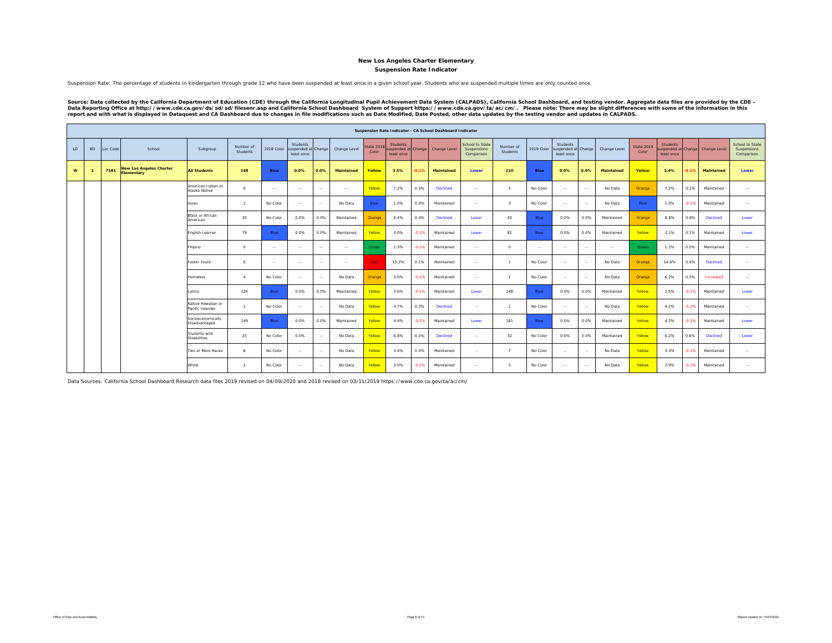**Suspension Rate Indicator**

Suspension Rate: The percentage of students in kindergarten through grade 12 who have been suspended at least once in a given school year. Students who are suspended multiple times are only counted once.

Source: Data collected by the California Department of Education (CDE) through the California Longitudinal Pupil Achievement Data System (CALPADS), California School Dashboard, and testing vendor. Aggregate data files are

|    |           |          |                                                     |                                        |                       |               |                                               |               |                   |                            |                                                     |         | Suspension Rate Indicator - CA School Dashboard Indicator |                                                     |                         |             |                                                      |               |              |                     |                               |         |                                 |                                              |
|----|-----------|----------|-----------------------------------------------------|----------------------------------------|-----------------------|---------------|-----------------------------------------------|---------------|-------------------|----------------------------|-----------------------------------------------------|---------|-----------------------------------------------------------|-----------------------------------------------------|-------------------------|-------------|------------------------------------------------------|---------------|--------------|---------------------|-------------------------------|---------|---------------------------------|----------------------------------------------|
| LD | <b>BD</b> | Loc Code | School                                              | Subgroup                               | Number of<br>Students | 2018 Color    | Students<br>suspended at Change<br>least once |               | Change Level      | <b>State 2018</b><br>Color | <b>Students</b><br>uspended at Change<br>least once |         | Change Level                                              | <b>School to State</b><br>Suspensions<br>Comparison | Number of<br>Students   | 2019 Color  | <b>Students</b><br>suspended at Change<br>least once |               | Change Level | State 2019<br>Color | <b>Students</b><br>least once |         | uspended at Change Change Level | School to State<br>Suspensions<br>Comparison |
| w  |           | 7581     | <b>New Los Angeles Charter</b><br><b>Elementary</b> | <b>All Students</b>                    | 168                   | Blue          | 0.0%                                          | 0.0%          | <b>Maintained</b> | Yellow                     | 3.5%                                                | $-0.1%$ | <b>Maintained</b>                                         | Lower                                               | 210                     | <b>Blue</b> | 0.0%                                                 | 0.0%          | Maintained   | Yellow              | 3.4%                          | 0.1%    | Maintained                      | Lower                                        |
|    |           |          |                                                     | American Indian or<br>Alaska Native    | $\Omega$              | $\sim$        | $\sim$                                        | $\sim$        | $\sim$ $-$        | Yellow                     | 7.2%                                                | 0.3%    | Declined                                                  | $\sim$                                              | $\overline{\mathbf{3}}$ | No Color    | $\sim$                                               | $\sim$        | No Data      | Orange              | 7.2%                          | 0.1%    | Maintained                      | $\sim$                                       |
|    |           |          |                                                     | Asian                                  | $\mathbf{1}$          | No Color      | $\sim$                                        | $\sim$        | No Data           | Blue                       | 1.0%                                                | 0.0%    | Maintained                                                | $\sim$                                              | $\overline{\mathbf{3}}$ | No Color    | $\cdots$                                             | $\sim$        | No Data      | Blue                | 1.0%                          | $-0.1%$ | Maintained                      | $\sim$                                       |
|    |           |          |                                                     | Black or African<br>American           | 30 <sup>°</sup>       | No Color      | 0.0%                                          | 0.0%          | Maintained        | Orange                     | 9.4%                                                | 0.4%    | Declined                                                  | Lower                                               | 43                      | Blue        | 0.0%                                                 | 0.0%          | Maintained   | Orange              | 8.8%                          | 0.6%    | Declined                        | Lower                                        |
|    |           |          |                                                     | English Learner                        | 79                    | Blue          | 0.0%                                          | 0.0%          | Maintained        | Yellow                     | 3.0%                                                | $-0.1%$ | Maintained                                                | Lower                                               | 82                      | Blue        | 0.0%                                                 | 0.0%          | Maintained   | Yellow              | 3.1%                          | 0.1%    | Maintained                      | Lower                                        |
|    |           |          |                                                     | Filipino                               | $\circ$               | $\sim$        | $\sim$                                        | $\sim$        | $\sim$ $-$        | Green                      | 1.3%                                                | $-0.1%$ | Maintained                                                | $\sim$                                              | $\circ$                 | $\sim$      | $\sim$                                               | $\sim$ $\sim$ | $\sim$       | Green               | 1.3%                          | 0.0%    | Maintained                      | $\sim$                                       |
|    |           |          |                                                     | Foster Youth                           | $\Omega$              | $\sim$ $\sim$ | $\sim$                                        | $\sim$ $\sim$ | $\sim$            | Red                        | 15.2%                                               | 0.1%    | Maintained                                                | $\sim$ $\sim$                                       | $\mathbf{1}$            | No Color    | $\sim$                                               | $\sim$        | No Data      | Orange              | 14.6%                         | 0.6%    | <b>Declined</b>                 | $\sim$                                       |
|    |           |          |                                                     | Homeless                               | $\mathbf{A}$          | No Color      | $\sim$                                        | $\sim$        | No Data           | Orange                     | 5.6%                                                | $-0.1%$ | Maintained                                                | $\sim$                                              | $\overline{1}$          | No Color    | $\sim$                                               | $\sim$        | No Data      | Orange              | 6.2%                          | 0.5%    | Increased                       | $\sim$ $\sim$                                |
|    |           |          |                                                     | Latino                                 | 126                   | Blue          | 0.0%                                          | 0.0%          | Maintained        | Yellow                     | 3.6%                                                | $-0.1%$ | Maintained                                                | Lower                                               | 148                     | Blue        | 0.0%                                                 | 0.0%          | Maintained   | Yellow              | 3.5%                          | $-0.1%$ | Maintained                      | Lower                                        |
|    |           |          |                                                     | Native Hawaiian or<br>Pacific Islander |                       | No Color      | $\sim$                                        | $\sim$ $\sim$ | No Data           | Yellow                     | 4.7%                                                | 0.3%    | <b>Declined</b>                                           | $\sim$                                              | $\mathbf{1}$            | No Color    | $\sim$                                               | $\sim$        | No Data      | Yellow              | 4.5%                          | $-0.2%$ | Maintained                      | $\sim$                                       |
|    |           |          |                                                     | Socioeconomically<br>Disadvantaged     | 149                   | Blue          | 0.0%                                          | 0.0%          | Maintained        | Yellow                     | 4.4%                                                | $-0.2%$ | Maintained                                                | Lower                                               | 181                     | Blue        | 0.0%                                                 | 0.0%          | Maintained   | Yellow              | 4.3%                          | $-0.1%$ | Maintained                      | Lower                                        |
|    |           |          |                                                     | Students with<br><b>Disabilities</b>   | 25                    | No Color      | 0.0%                                          | $\sim$        | No Data           | Yellow                     | 6.8%                                                | 0.3%    | Declined                                                  | $\sim$                                              | 32                      | No Color    | 0.0%                                                 | 0.0%          | Maintained   | Yellow              | 6.2%                          | 0.6%    | <b>Declined</b>                 | Lower                                        |
|    |           |          |                                                     | Two or More Races                      | $\mathbf{R}$          | No Color      | $\sim$                                        | $\sim$        | No Data           | Yellow                     | 3.4%                                                | 0.0%    | Maintained                                                | $\sim$                                              | $\overline{7}$          | No Color    | $\sim$                                               | $\sim$        | No Data      | Yellow              | 3.3%                          | $-0.1%$ | Maintained                      | $\sim$                                       |
|    |           |          |                                                     | White                                  | $\mathcal{P}$         | No Color      | $\sim$                                        | $\sim$ $\sim$ | No Data           | Yellow                     | 3.0%                                                | $-0.1%$ | Maintained                                                | $\sim$                                              | -5.                     | No Color    | $\sim$                                               | $\sim$ $\sim$ | No Data      | Yellow              | 2.9%                          | $-0.2%$ | Maintained                      | $\sim$                                       |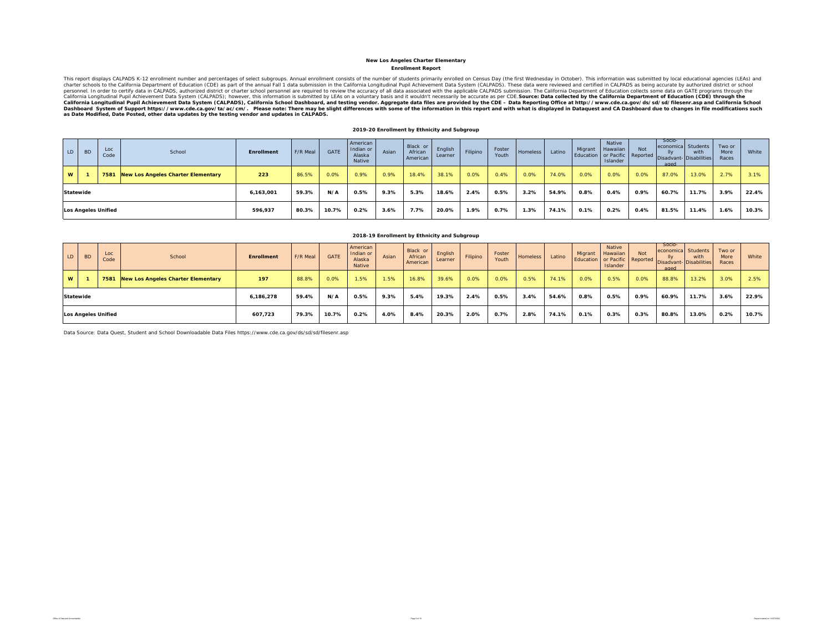#### **Enrollment Report New Los Angeles Charter Elementary**

This report displays CALPADS K-12 enrollment number and percentages of select subgroups. Annual enrollment consists of the number of students primarily enrolled on Census Day (the first Wednesday in October). This informat California Longitudinal Pupil Achievement Data System (CALPADS), California School Dashboard, and testing vendor. Aggregate data files are provided by the CDE – Data Reporting Office at http://www.cde.ca.gov/ds/sd/filesenr

#### **2019-20 Enrollment by Ethnicity and Subgroup**

| LD | <b>BD</b> | Loc<br>Code                | School                                  | <b>Enrollment</b> | F/R Meal | GATE  | American<br>Indian or<br>Alaska<br>Native | Asian | Black or<br>African<br>American | English<br>Learner | Filipino | Foster<br>Youth | <b>Homeless</b> | Latino | Migrant<br>Education or Pacific Reported Disadvant | Native<br>Hawaiian<br>Islander | Not  | Socio-<br>aged | economica Students<br>with<br>- Disabilities | Two or<br>More<br>Races | White |
|----|-----------|----------------------------|-----------------------------------------|-------------------|----------|-------|-------------------------------------------|-------|---------------------------------|--------------------|----------|-----------------|-----------------|--------|----------------------------------------------------|--------------------------------|------|----------------|----------------------------------------------|-------------------------|-------|
| W  |           |                            | 7581 New Los Angeles Charter Elementary | 223               | 86.5%    | 0.0%  | 0.9%                                      | 0.9%  | 18.4%                           | 38.1%              | 0.0%     | 0.4%            | 0.0%            | 74.0%  | 0.0%                                               | 0.0%                           | 0.0% | 87.0%          | 13.0%                                        | 2.7%                    | 3.1%  |
|    | Statewide |                            |                                         | 6.163.001         | 59.3%    | N/A   | 0.5%                                      | 9.3%  | 5.3%                            | 18.6%              | 2.4%     | 0.5%            | 3.2%            | 54.9%  | 0.8%                                               | 0.4%                           | 0.9% | 60.7%          | 11.7%                                        | 3.9%                    | 22.4% |
|    |           | <b>Los Angeles Unified</b> |                                         | 596.937           | 80.3%    | 10.7% | $0.2\%$                                   | 3.6%  | 7.7%                            | 20.0%              | 1.9%     | 0.7%            | 1.3%            | 74.1%  | 0.1%                                               | 0.2%                           | 0.4% | 81.5%          | 11.4%                                        | 1.6%                    | 10.3% |

| LD. | <b>BD</b> | Loc<br>Code                | School                             | <b>Enrollment</b> | F/R Meal | <b>GATE</b> | American<br>Indian or<br>Alaska<br>Native | Asian | Black or<br>African<br>American | English<br>Learner | Filipino | Foster<br>Youth | <b>Homeless</b> | Latino | Migrant<br>Education or Pacific Reported Disadvant- Disabilities | Native<br>Hawaiian<br>Islander | Not  | Socio-<br>economica<br>aged | Students<br>with | Two or<br>More<br>Races | White |
|-----|-----------|----------------------------|------------------------------------|-------------------|----------|-------------|-------------------------------------------|-------|---------------------------------|--------------------|----------|-----------------|-----------------|--------|------------------------------------------------------------------|--------------------------------|------|-----------------------------|------------------|-------------------------|-------|
| W   |           | 7581                       | New Los Angeles Charter Elementary | 197               | 88.8%    | 0.0%        | 1.5%                                      | 1.5%  | 16.8%                           | 39.6%              | 0.0%     | 0.0%            | 0.5%            | 74.1%  | 0.0%                                                             | 0.5%                           | 0.0% | 88.8%                       | 13.2%            | 3.0%                    | 2.5%  |
|     | Statewide |                            |                                    | 6.186.278         | 59.4%    | N/A         | 0.5%                                      | 9.3%  | 5.4%                            | 19.3%              | 2.4%     | 0.5%            | 3.4%            | 54.6%  | 0.8%                                                             | 0.5%                           | 0.9% | 60.9%                       | 11.7%            | 3.6%                    | 22.9% |
|     |           | <b>Los Angeles Unified</b> |                                    | 607,723           | 79.3%    | 10.7%       | 0.2%                                      | 4.0%  | 8.4%                            | 20.3%              | 2.0%     | 0.7%            | 2.8%            | 74.1%  | 0.1%                                                             | 0.3%                           | 0.3% | 80.8%                       | 13.0%            | 0.2%                    | 10.7% |

**2018-19 Enrollment by Ethnicity and Subgroup**

Data Source: Data Quest, Student and School Downloadable Data Files https://www.cde.ca.gov/ds/sd/sd/filesenr.asp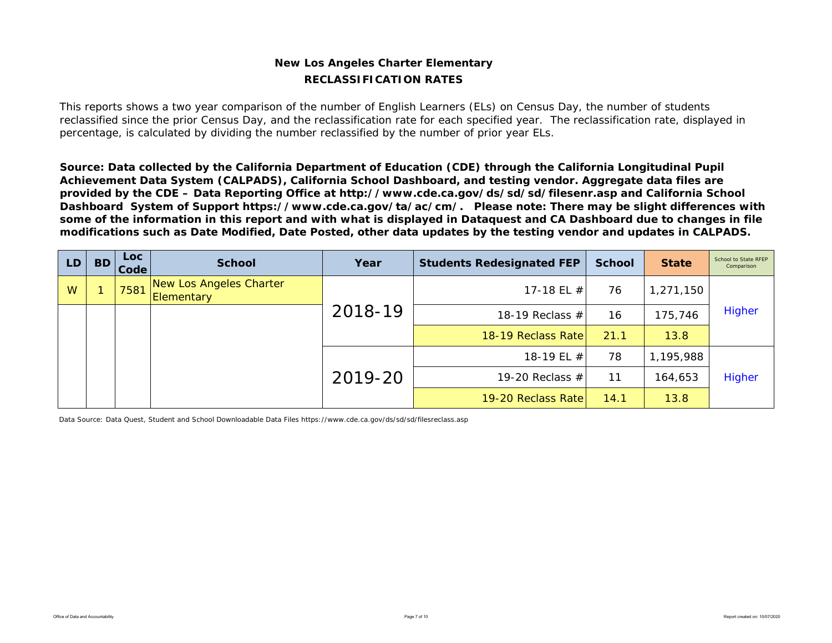### **New Los Angeles Charter Elementary RECLASSIFICATION RATES**

This reports shows a two year comparison of the number of English Learners (ELs) on Census Day, the number of students reclassified since the prior Census Day, and the reclassification rate for each specified year. The reclassification rate, displayed in percentage, is calculated by dividing the number reclassified by the number of prior year ELs.

*Source: Data collected by the California Department of Education (CDE) through the California Longitudinal Pupil Achievement Data System (CALPADS), California School Dashboard, and testing vendor. Aggregate data files are provided by the CDE – Data Reporting Office at http://www.cde.ca.gov/ds/sd/sd/filesenr.asp and California School Dashboard System of Support https://www.cde.ca.gov/ta/ac/cm/. Please note: There may be slight differences with some of the information in this report and with what is displayed in Dataquest and CA Dashboard due to changes in file modifications such as Date Modified, Date Posted, other data updates by the testing vendor and updates in CALPADS.* 

| LD. | <b>BD</b> | Loc .<br>Code | <b>School</b>                         | Year    | <b>Students Redesignated FEP</b> | <b>School</b> | <b>State</b> | School to State RFEP<br>Comparison |
|-----|-----------|---------------|---------------------------------------|---------|----------------------------------|---------------|--------------|------------------------------------|
| W   |           | 7581          | New Los Angeles Charter<br>Elementary |         | 17-18 EL $#$                     | 76            | 1,271,150    |                                    |
|     |           |               |                                       | 2018-19 | 18-19 Reclass $#$                | 16            | 175,746      | Higher                             |
|     |           |               |                                       |         | 18-19 Reclass Rate               | 21.1          | 13.8         |                                    |
|     |           |               |                                       |         | 18-19 EL #                       | 78            | 1,195,988    |                                    |
|     |           |               |                                       | 2019-20 | 19-20 Reclass $#$                | 11            | 164,653      | Higher                             |
|     |           |               |                                       |         | 19-20 Reclass Rate               | 14.1          | 13.8         |                                    |

Data Source: Data Quest, Student and School Downloadable Data Files https://www.cde.ca.gov/ds/sd/sd/filesreclass.asp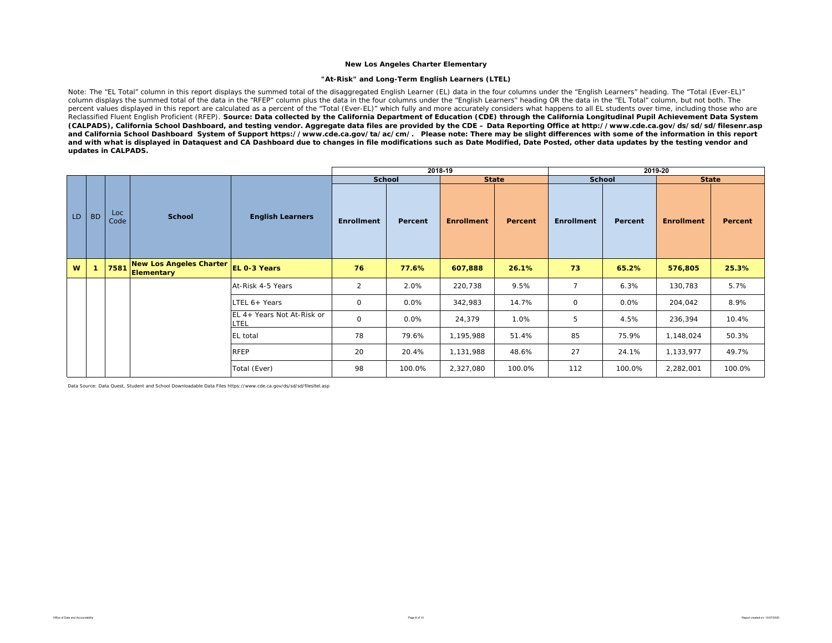#### **"At-Risk" and Long-Term English Learners (LTEL)**

Note: The "EL Total" column in this report displays the summed total of the disaggregated English Learner (EL) data in the four columns under the "English Learners" heading. The "Total (Ever-EL)" column displays the summed total of the data in the "RFEP" column plus the data in the four columns under the "English Learners" heading OR the data in the "EL Total" column, but not both. The percent values displayed in this report are calculated as a percent of the "Total (Ever-EL)" which fully and more accurately considers what happens to all EL students over time, including those who are Reclassified Fluent English Proficient (RFEP). *Source: Data collected by the California Department of Education (CDE) through the California Longitudinal Pupil Achievement Data System (CALPADS), California School Dashboard, and testing vendor. Aggregate data files are provided by the CDE – Data Reporting Office at http://www.cde.ca.gov/ds/sd/sd/filesenr.asp and California School Dashboard System of Support https://www.cde.ca.gov/ta/ac/cm/. Please note: There may be slight differences with some of the information in this report and with what is displayed in Dataquest and CA Dashboard due to changes in file modifications such as Date Modified, Date Posted, other data updates by the testing vendor and updates in CALPADS.* 

|    |              |             |                                            |                                    |                   | 2018-19 |                   |         |                |               | 2019-20           |         |
|----|--------------|-------------|--------------------------------------------|------------------------------------|-------------------|---------|-------------------|---------|----------------|---------------|-------------------|---------|
|    |              |             |                                            |                                    | <b>School</b>     |         | <b>State</b>      |         |                | <b>School</b> | <b>State</b>      |         |
| LD | <b>BD</b>    | Loc<br>Code | <b>School</b>                              | <b>English Learners</b>            | <b>Enrollment</b> | Percent | <b>Enrollment</b> | Percent | Enrollment     | Percent       | <b>Enrollment</b> | Percent |
| W  | $\mathbf{1}$ |             | 7581 New Los Angeles Charter<br>Elementary | <b>EL 0-3 Years</b>                | 76                | 77.6%   | 607,888           | 26.1%   | 73             | 65.2%         | 576,805           | 25.3%   |
|    |              |             |                                            | At-Risk 4-5 Years                  | $\overline{2}$    | 2.0%    | 220,738           | 9.5%    | $\overline{7}$ | 6.3%          | 130,783           | 5.7%    |
|    |              |             |                                            | LTEL 6+ Years                      | $\mathbf 0$       | 0.0%    | 342,983           | 14.7%   | $\mathsf{O}$   | 0.0%          | 204,042           | 8.9%    |
|    |              |             |                                            | EL 4+ Years Not At-Risk or<br>LTEL | $\mathbf 0$       | 0.0%    | 24,379            | 1.0%    | 5              | 4.5%          | 236,394           | 10.4%   |
|    |              |             |                                            | <b>EL</b> total                    | 78                | 79.6%   | 1,195,988         | 51.4%   | 85             | 75.9%         | 1,148,024         | 50.3%   |
|    |              |             |                                            | RFEP                               | 20                | 20.4%   | 1,131,988         | 48.6%   | 27             | 24.1%         | 1,133,977         | 49.7%   |
|    |              |             |                                            | Total (Ever)                       | 98                | 100.0%  | 2,327,080         | 100.0%  | 112            | 100.0%        | 2,282,001         | 100.0%  |

Data Source: Data Quest, Student and School Downloadable Data Files https://www.cde.ca.gov/ds/sd/sd/filesltel.asp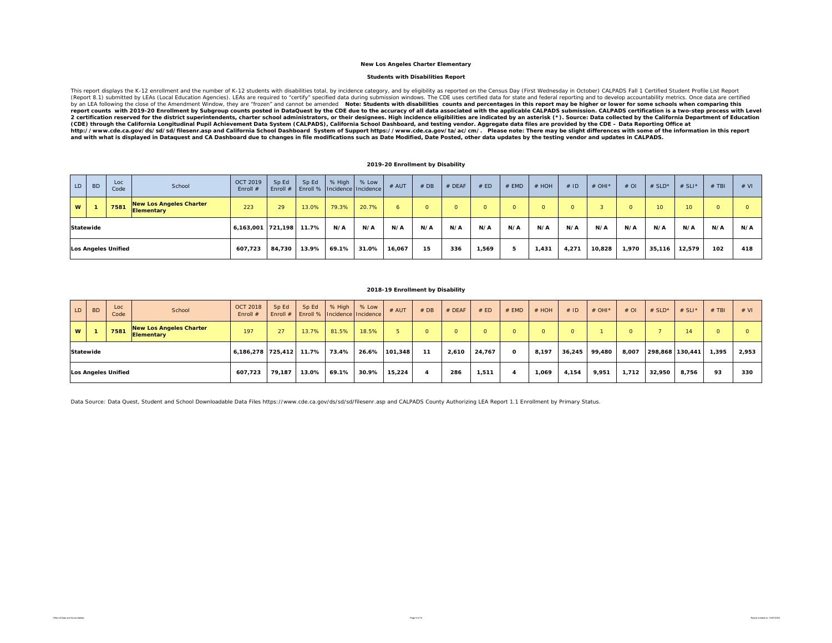#### **Students with Disabilities Report**

This report displays the K-12 enrollment and the number of K-12 students with disabilities total, by incidence category, and by eligibility as reported on the Census Day (First Wednesday in October) CALPADS Fall 1 Certifie 2 certification reserved for the district superintendents, charter school administrators, or their designees. High incidence eligibilities are indicated by an asterisk (\*). Source: Data collected by the California Departme http://www.cde.ca.gov/ds/sd/sil/seenr.asp and California School Dashboard System of Support https://www.cde.ca.gov/ta/ac/cm/. Please note: There may be slight differences with some of the information in this report<br>and w

#### **2019-20 Enrollment by Disability**

| LD        | <b>BD</b> | Loc<br>Code                | School                                              | OCT 2019<br>Enroll #    | Sp Ed<br>Enroll $#$ | Sp Ed<br>Enroll %   Incidence   Incidence | % High | % Low | # AUT  | # DB | # DEAF | # ED  | # EMD    | # HOH | # ID  | # OHI* | $#$ OI | # $SLD^*$       | # SLI* | $#$ TBI | # VI         |
|-----------|-----------|----------------------------|-----------------------------------------------------|-------------------------|---------------------|-------------------------------------------|--------|-------|--------|------|--------|-------|----------|-------|-------|--------|--------|-----------------|--------|---------|--------------|
| <b>W</b>  |           | 7581                       | <b>New Los Angeles Charter</b><br><b>Elementary</b> | 223                     | 29                  | 13.0%                                     | 79.3%  | 20.7% |        |      | O.     |       | $\Omega$ |       |       |        |        | 10 <sup>1</sup> | 10     |         | <sup>o</sup> |
| Statewide |           |                            |                                                     | 6,163,001 721,198 11.7% |                     |                                           | N/A    | N/A   | N/A    | N/A  | N/A    | N/A   | N/A      | N/A   | N/A   | N/A    | N/A    | N/A             | N/A    | N/A     | N/A          |
|           |           | <b>Los Angeles Unified</b> |                                                     | 607,723                 | 84.730              | 13.9%                                     | 69.1%  | 31.0% | 16,067 | 15   | 336    | 1.569 | 5        | 1.431 | 4,271 | 10,828 | 1,970  | 35,116          | 12,579 | 102     | 418          |

#### **2018-19 Enrollment by Disability**

| LD       | <b>BD</b>        | Loc<br>Code         | School                                              | <b>OCT 2018</b><br>Enroll $#$ | Sp Ed<br>Enroll # | Sp Ed | % High<br>Enroll % Incidence Incidence | % Low | # AUT   | #DB      | # DEAF | # ED   | $#$ EMD  | # HOH    | #ID     | # OHI $*$ | $#$ OI | # $SLD^*$       | # SLI $*$ | $#$ TBI | # VI  |
|----------|------------------|---------------------|-----------------------------------------------------|-------------------------------|-------------------|-------|----------------------------------------|-------|---------|----------|--------|--------|----------|----------|---------|-----------|--------|-----------------|-----------|---------|-------|
| <b>W</b> |                  | 7581                | <b>New Los Angeles Charter</b><br><b>Elementary</b> | 197                           | 27                | 13.7% | 81.5%                                  | 18.5% |         | $\Omega$ |        | O.     | $\Omega$ | $\Omega$ | $\circ$ |           |        |                 | 14        |         |       |
|          | <b>Statewide</b> |                     |                                                     | 6,186,278 725,412             |                   | 11.7% | 73.4%                                  | 26.6% | 101.348 | 11       | 2,610  | 24,767 | $\Omega$ | 8,197    | 36,245  | 99,480    | 8,007  | 298,868 130,441 |           | 1,395   | 2,953 |
|          |                  | Los Angeles Unified |                                                     | 607.723                       | 79.187            | 13.0% | 69.1%                                  | 30.9% | 15,224  | 4        | 286    | 1,511  |          | 069, ا   | 4,154   | 9,951     | 1,712  | 32,950          | 8.756     | 93      | 330   |

Data Source: Data Quest, Student and School Downloadable Data Files https://www.cde.ca.gov/ds/sd/sd/filesenr.asp and CALPADS County Authorizing LEA Report 1.1 Enrollment by Primary Status.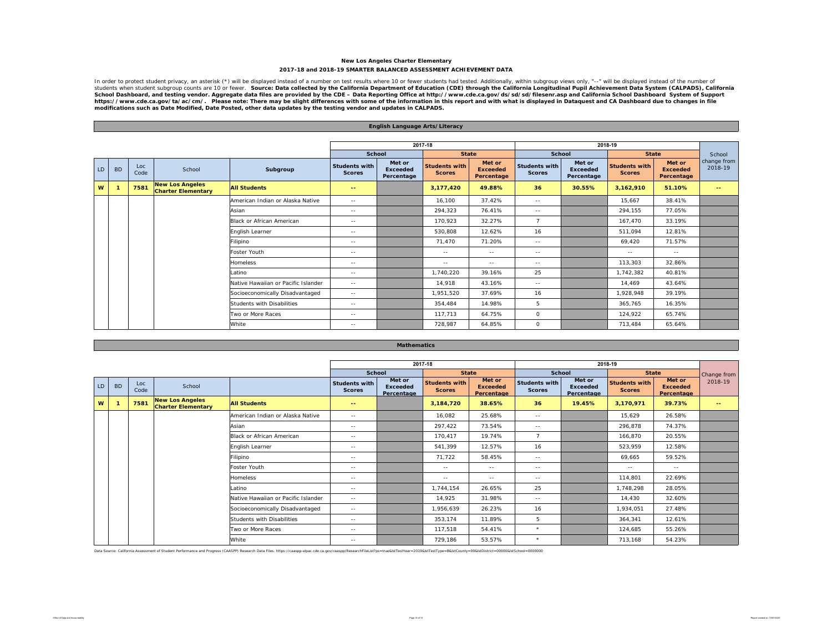#### **New Los Angeles Charter Elementary 2017-18 and 2018-19 SMARTER BALANCED ASSESSMENT ACHIEVEMENT DATA**

In order to protect student privacy, an asterisk (\*) will be displayed instead of a number on test results where 10 or fewer students had tested. Additionally, within subgroup views only, "--" will be displayed instead of School Dashboard, and testing vendor. Aggregate data files are provided by the CDE – Data Reporting Office at http://www.cde.ca.gov/ds/sd/sd/filesenr.asp and California School Dashboard System of Support<br>https://www.cde.ca

|    |           |             |                                                     |                                     |                                       | <b>English Language Arts/Literacy</b>   |                                       |                                         |                                                                                                                                                                                                                                                                                                                                                                                              |                                         |                                       |                                         |                        |
|----|-----------|-------------|-----------------------------------------------------|-------------------------------------|---------------------------------------|-----------------------------------------|---------------------------------------|-----------------------------------------|----------------------------------------------------------------------------------------------------------------------------------------------------------------------------------------------------------------------------------------------------------------------------------------------------------------------------------------------------------------------------------------------|-----------------------------------------|---------------------------------------|-----------------------------------------|------------------------|
|    |           |             |                                                     |                                     |                                       |                                         |                                       |                                         |                                                                                                                                                                                                                                                                                                                                                                                              |                                         |                                       |                                         |                        |
|    |           |             |                                                     |                                     |                                       |                                         | 2017-18                               |                                         |                                                                                                                                                                                                                                                                                                                                                                                              |                                         | 2018-19                               |                                         |                        |
|    |           |             |                                                     |                                     | School                                |                                         | <b>State</b>                          |                                         | School                                                                                                                                                                                                                                                                                                                                                                                       |                                         | <b>State</b>                          |                                         | School                 |
| LD | <b>BD</b> | Loc<br>Code | School                                              | Subgroup                            | <b>Students with</b><br><b>Scores</b> | Met or<br><b>Exceeded</b><br>Percentage | <b>Students with</b><br><b>Scores</b> | Met or<br><b>Exceeded</b><br>Percentage | <b>Students with</b><br><b>Scores</b>                                                                                                                                                                                                                                                                                                                                                        | Met or<br><b>Exceeded</b><br>Percentage | <b>Students with</b><br><b>Scores</b> | Met or<br><b>Exceeded</b><br>Percentage | change from<br>2018-19 |
| W  |           | 7581        | <b>New Los Angeles</b><br><b>Charter Elementary</b> | <b>All Students</b>                 | $\qquad \qquad -$                     |                                         | 3,177,420                             | 49.88%                                  | 36                                                                                                                                                                                                                                                                                                                                                                                           | 30.55%                                  | 3,162,910                             | 51.10%                                  | $\sim$ $\sim$          |
|    |           |             |                                                     | American Indian or Alaska Native    | $\sim$ $-$                            |                                         | 16,100                                | 37.42%                                  | $\sim$ $-$                                                                                                                                                                                                                                                                                                                                                                                   |                                         | 15.667                                | 38.41%                                  |                        |
|    |           |             |                                                     | Asian                               | $\sim$ $\sim$                         |                                         | 294,323                               | 76.41%                                  | $\sim$ $-$                                                                                                                                                                                                                                                                                                                                                                                   |                                         | 294,155                               | 77.05%                                  |                        |
|    |           |             |                                                     | Black or African American           | $\sim$ $\sim$                         |                                         | 170,923                               | 32.27%                                  | $\overline{7}$                                                                                                                                                                                                                                                                                                                                                                               |                                         | 167.470                               | 33.19%                                  |                        |
|    |           |             |                                                     | English Learner                     | $\frac{1}{2}$                         |                                         | 530,808                               | 12.62%                                  | 16                                                                                                                                                                                                                                                                                                                                                                                           |                                         | 511.094                               | 12.81%                                  |                        |
|    |           |             |                                                     | Filipino                            | $\frac{1}{2}$                         |                                         | 71.470                                | 71.20%                                  | $\frac{1}{2} \frac{1}{2} \frac{1}{2} \frac{1}{2} \frac{1}{2} \frac{1}{2} \frac{1}{2} \frac{1}{2} \frac{1}{2} \frac{1}{2} \frac{1}{2} \frac{1}{2} \frac{1}{2} \frac{1}{2} \frac{1}{2} \frac{1}{2} \frac{1}{2} \frac{1}{2} \frac{1}{2} \frac{1}{2} \frac{1}{2} \frac{1}{2} \frac{1}{2} \frac{1}{2} \frac{1}{2} \frac{1}{2} \frac{1}{2} \frac{1}{2} \frac{1}{2} \frac{1}{2} \frac{1}{2} \frac{$ |                                         | 69,420                                | 71.57%                                  |                        |
|    |           |             |                                                     | Foster Youth                        | $\sim$ $-$                            |                                         | $\sim$ $\sim$                         | $\sim$ $-$                              | $\sim$ $\sim$                                                                                                                                                                                                                                                                                                                                                                                |                                         | $\sim$ $-$                            | $\sim$ $-$                              |                        |
|    |           |             |                                                     | <b>Homeless</b>                     | $\sim$ $-$                            |                                         | $\sim$ $-$                            | $\sim$ $-$                              | $\sim$ $-$                                                                                                                                                                                                                                                                                                                                                                                   |                                         | 113.303                               | 32.86%                                  |                        |
|    |           |             |                                                     | Latino                              | $\sim$ $\sim$                         |                                         | 1,740,220                             | 39.16%                                  | 25                                                                                                                                                                                                                                                                                                                                                                                           |                                         | 1,742,382                             | 40.81%                                  |                        |
|    |           |             |                                                     | Native Hawaiian or Pacific Islander | $\sim$ $-$                            |                                         | 14.918                                | 43.16%                                  | $\sim$ $-$                                                                                                                                                                                                                                                                                                                                                                                   |                                         | 14.469                                | 43.64%                                  |                        |
|    |           |             |                                                     | Socioeconomically Disadvantaged     | $\sim$ $-$                            |                                         | 1.951.520                             | 37.69%                                  | 16                                                                                                                                                                                                                                                                                                                                                                                           |                                         | 1.928.948                             | 39.19%                                  |                        |
|    |           |             |                                                     | <b>Students with Disabilities</b>   | $\sim$ $\sim$                         |                                         | 354.484                               | 14.98%                                  | 5                                                                                                                                                                                                                                                                                                                                                                                            |                                         | 365.765                               | 16.35%                                  |                        |
|    |           |             |                                                     | Two or More Races                   | $\sim$ $-$                            |                                         | 117.713                               | 64.75%                                  | $\circ$                                                                                                                                                                                                                                                                                                                                                                                      |                                         | 124,922                               | 65.74%                                  |                        |
|    |           |             |                                                     | White                               | $\sim$ $-$                            |                                         | 728.987                               | 64.85%                                  | $\circ$                                                                                                                                                                                                                                                                                                                                                                                      |                                         | 713.484                               | 65.64%                                  |                        |

#### **Mathematics**

|    |           |             |                                                     |                                     |                                       |                                         | 2017-18                        |                                         |                                       |                                         | 2018-19                               |                                         |               |
|----|-----------|-------------|-----------------------------------------------------|-------------------------------------|---------------------------------------|-----------------------------------------|--------------------------------|-----------------------------------------|---------------------------------------|-----------------------------------------|---------------------------------------|-----------------------------------------|---------------|
|    |           |             |                                                     |                                     | School                                |                                         | <b>State</b>                   |                                         | <b>School</b>                         |                                         | <b>State</b>                          |                                         | Change from   |
| LD | <b>BD</b> | Loc<br>Code | School                                              |                                     | <b>Students with</b><br><b>Scores</b> | Met or<br><b>Exceeded</b><br>Percentage | Students with<br><b>Scores</b> | Met or<br><b>Exceeded</b><br>Percentage | <b>Students with</b><br><b>Scores</b> | Met or<br><b>Exceeded</b><br>Percentage | <b>Students with</b><br><b>Scores</b> | Met or<br><b>Exceeded</b><br>Percentage | 2018-19       |
| W  |           | 7581        | <b>New Los Angeles</b><br><b>Charter Elementary</b> | <b>All Students</b>                 | $\overline{\phantom{m}}$              |                                         | 3,184,720                      | 38.65%                                  | 36                                    | 19.45%                                  | 3,170,971                             | 39.73%                                  | $\sim$ $\sim$ |
|    |           |             |                                                     | American Indian or Alaska Native    | $\sim$ $-$                            |                                         | 16,082                         | 25.68%                                  | $\sim$ $\sim$                         |                                         | 15,629                                | 26.58%                                  |               |
|    |           |             |                                                     | Asian                               | $\sim$ $-$                            |                                         | 297,422                        | 73.54%                                  | $\sim$ $-$                            |                                         | 296,878                               | 74.37%                                  |               |
|    |           |             |                                                     | Black or African American           | $- -$                                 |                                         | 170.417                        | 19.74%                                  | $\overline{7}$                        |                                         | 166,870                               | 20.55%                                  |               |
|    |           |             |                                                     | English Learner                     | $\frac{1}{2}$                         |                                         | 541,399                        | 12.57%                                  | 16                                    |                                         | 523,959                               | 12.58%                                  |               |
|    |           |             |                                                     | Filipino                            | $\sim$ $-$                            |                                         | 71,722                         | 58.45%                                  | $\sim$ $-$                            |                                         | 69,665                                | 59.52%                                  |               |
|    |           |             |                                                     | Foster Youth                        | $\sim$ $-$                            |                                         | $\sim$ $-$                     | $- -$                                   | $\sim$ $-$                            |                                         | $\sim$ $-$                            | $\sim$ $-$                              |               |
|    |           |             |                                                     | Homeless                            | $\sim$ $-$                            |                                         | $\sim$ $-$                     | $\sim$ $-$                              | $\sim$ $-$                            |                                         | 114,801                               | 22.69%                                  |               |
|    |           |             |                                                     | Latino                              | $\sim$ $-$                            |                                         | 1,744,154                      | 26.65%                                  | 25                                    |                                         | 1,748,298                             | 28.05%                                  |               |
|    |           |             |                                                     | Native Hawaiian or Pacific Islander | $\sim$ $\sim$                         |                                         | 14,925                         | 31.98%                                  | $\sim$ $-$                            |                                         | 14,430                                | 32.60%                                  |               |
|    |           |             |                                                     | Socioeconomically Disadvantaged     | $\sim$ $\sim$                         |                                         | 1,956,639                      | 26.23%                                  | 16                                    |                                         | 1,934,051                             | 27.48%                                  |               |
|    |           |             |                                                     | Students with Disabilities          | $\sim$ $-$                            |                                         | 353,174                        | 11.89%                                  | 5                                     |                                         | 364,341                               | 12.61%                                  |               |
|    |           |             |                                                     | Two or More Races                   | $\sim$ $-$                            |                                         | 117,518                        | 54.41%                                  | $\star$                               |                                         | 124,685                               | 55.26%                                  |               |
|    |           |             |                                                     | White                               | $\qquad \qquad -$                     |                                         | 729,186                        | 53.57%                                  | $\star$                               |                                         | 713,168                               | 54.23%                                  |               |

Data Source: California Assessment of Student Performance and Progress (CAASPP) Research Data Files. https://caaspp-elpac.cde.ca.gov/caaspp/ResearchFileList?ps=true&istTestYear=2019&istTestType=B&istCounty=00&istDistrict=0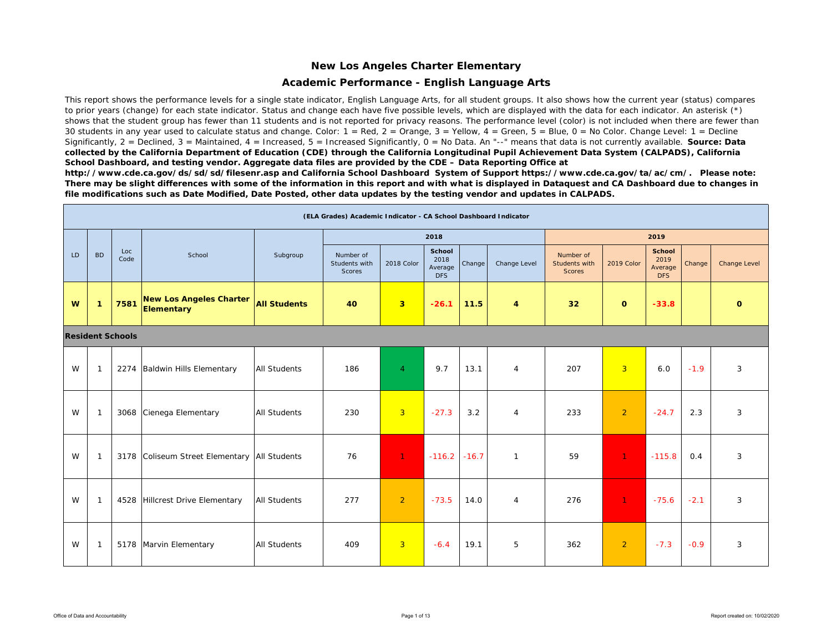#### **Academic Performance - English Language Arts**

This report shows the performance levels for a single state indicator, English Language Arts, for all student groups. It also shows how the current year (status) compares to prior years (change) for each state indicator. Status and change each have five possible levels, which are displayed with the data for each indicator. An asterisk (\*) shows that the student group has fewer than 11 students and is not reported for privacy reasons. The performance level (color) is not included when there are fewer than 30 students in any year used to calculate status and change. Color:  $1 = \text{Red}$ ,  $2 = \text{Orange}$ ,  $3 = \text{Yellow}$ ,  $4 = \text{Green}$ ,  $5 = \text{Blue}$ ,  $0 = \text{No Color}$ . Change Level:  $1 = \text{Decline}$ Significantly, 2 = Declined, 3 = Maintained, 4 = Increased, 5 = Increased Significantly, 0 = No Data. An "--" means that data is not currently available. **Source: Data** *collected by the California Department of Education (CDE) through the California Longitudinal Pupil Achievement Data System (CALPADS), California School Dashboard, and testing vendor. Aggregate data files are provided by the CDE – Data Reporting Office at* 

*http://www.cde.ca.gov/ds/sd/sd/filesenr.asp and California School Dashboard System of Support https://www.cde.ca.gov/ta/ac/cm/. Please note: There may be slight differences with some of the information in this report and with what is displayed in Dataquest and CA Dashboard due to changes in file modifications such as Date Modified, Date Posted, other data updates by the testing vendor and updates in CALPADS.* 

|           |              |                         |                                                     |                     | (ELA Grades) Academic Indicator - CA School Dashboard Indicator |                |                                         |         |                |                                             |                |                                                |        |                     |
|-----------|--------------|-------------------------|-----------------------------------------------------|---------------------|-----------------------------------------------------------------|----------------|-----------------------------------------|---------|----------------|---------------------------------------------|----------------|------------------------------------------------|--------|---------------------|
|           |              |                         |                                                     |                     |                                                                 |                | 2018                                    |         |                |                                             |                | 2019                                           |        |                     |
| <b>LD</b> | <b>BD</b>    | Loc<br>Code             | School                                              | Subgroup            | Number of<br>Students with<br><b>Scores</b>                     | 2018 Color     | School<br>2018<br>Average<br><b>DFS</b> | Change  | Change Level   | Number of<br>Students with<br><b>Scores</b> | 2019 Color     | <b>School</b><br>2019<br>Average<br><b>DFS</b> | Change | <b>Change Level</b> |
| W         | $\mathbf{1}$ | 7581                    | <b>New Los Angeles Charter</b><br><b>Elementary</b> | <b>All Students</b> | 40                                                              | 3 <sup>2</sup> | $-26.1$                                 | 11.5    | 4              | 32 <sub>2</sub>                             | $\mathbf{o}$   | $-33.8$                                        |        | $\mathbf{o}$        |
|           |              | <b>Resident Schools</b> |                                                     |                     |                                                                 |                |                                         |         |                |                                             |                |                                                |        |                     |
| W         | $\mathbf{1}$ |                         | 2274 Baldwin Hills Elementary                       | <b>All Students</b> | 186                                                             | $\overline{4}$ | 9.7                                     | 13.1    | $\overline{4}$ | 207                                         | $\overline{3}$ | 6.0                                            | $-1.9$ | 3                   |
| W         | $\mathbf{1}$ |                         | 3068 Cienega Elementary                             | <b>All Students</b> | 230                                                             | $\overline{3}$ | $-27.3$                                 | 3.2     | 4              | 233                                         | $\overline{2}$ | $-24.7$                                        | 2.3    | 3                   |
| W         | $\mathbf{1}$ |                         | 3178 Coliseum Street Elementary All Students        |                     | 76                                                              | $\mathbf{1}$   | $-116.2$                                | $-16.7$ | $\mathbf{1}$   | 59                                          | $\mathbf{1}$   | $-115.8$                                       | 0.4    | 3                   |
| W         | $\mathbf{1}$ |                         | 4528 Hillcrest Drive Elementary                     | <b>All Students</b> | 277                                                             | $\overline{2}$ | $-73.5$                                 | 14.0    | $\overline{4}$ | 276                                         | $\mathbf{1}$   | $-75.6$                                        | $-2.1$ | 3                   |
| W         | $\mathbf{1}$ |                         | 5178 Marvin Elementary                              | <b>All Students</b> | 409                                                             | $\overline{3}$ | $-6.4$                                  | 19.1    | 5              | 362                                         | $\overline{2}$ | $-7.3$                                         | $-0.9$ | 3                   |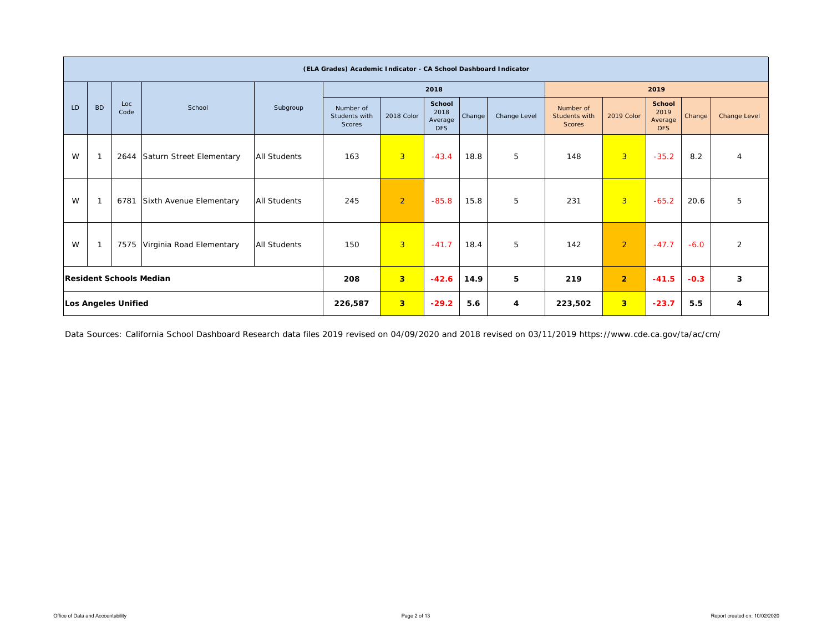|    |                |                            |                                |                     | (ELA Grades) Academic Indicator - CA School Dashboard Indicator |                |                                                |        |              |                                             |                         |                                                |        |                     |
|----|----------------|----------------------------|--------------------------------|---------------------|-----------------------------------------------------------------|----------------|------------------------------------------------|--------|--------------|---------------------------------------------|-------------------------|------------------------------------------------|--------|---------------------|
|    |                |                            |                                |                     |                                                                 |                | 2018                                           |        |              |                                             |                         | 2019                                           |        |                     |
| LD | <b>BD</b>      | Loc<br>Code                | School                         | Subgroup            | Number of<br>Students with<br>Scores                            | 2018 Color     | <b>School</b><br>2018<br>Average<br><b>DFS</b> | Change | Change Level | Number of<br>Students with<br><b>Scores</b> | 2019 Color              | <b>School</b><br>2019<br>Average<br><b>DFS</b> | Change | <b>Change Level</b> |
| W  | $\overline{1}$ | 2644                       | Saturn Street Elementary       | <b>All Students</b> | 163                                                             | $\overline{3}$ | $-43.4$                                        | 18.8   | 5            | 148                                         | $\overline{3}$          | $-35.2$                                        | 8.2    | $\overline{4}$      |
| W  | $\mathbf 1$    | 6781                       | Sixth Avenue Elementary        | All Students        | 245                                                             | $\overline{2}$ | $-85.8$                                        | 15.8   | 5            | 231                                         | $\overline{3}$          | $-65.2$                                        | 20.6   | 5                   |
| W  |                |                            | 7575 Virginia Road Elementary  | <b>All Students</b> | 150                                                             | $\overline{3}$ | $-41.7$                                        | 18.4   | 5            | 142                                         | $\overline{2}$          | $-47.7$                                        | $-6.0$ | 2                   |
|    |                |                            | <b>Resident Schools Median</b> |                     | 208                                                             | 3              | $-42.6$                                        | 14.9   | 5            | 219                                         | $\overline{2}$          | $-41.5$                                        | $-0.3$ | 3                   |
|    |                | <b>Los Angeles Unified</b> |                                |                     | 226,587                                                         | 3 <sup>2</sup> | $-29.2$                                        | 5.6    | 4            | 223,502                                     | $\overline{\mathbf{3}}$ | $-23.7$                                        | 5.5    | 4                   |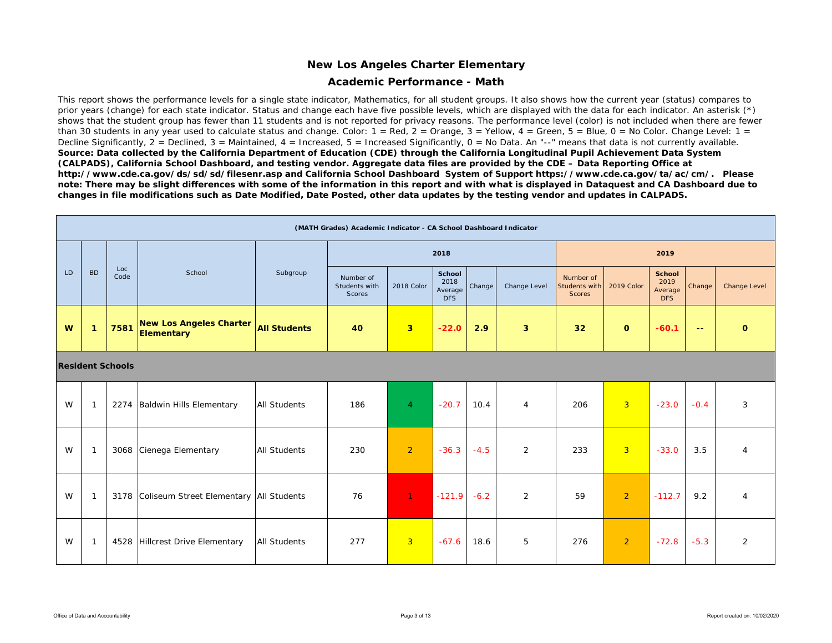#### **Academic Performance - Math**

This report shows the performance levels for a single state indicator, Mathematics, for all student groups. It also shows how the current year (status) compares to prior years (change) for each state indicator. Status and change each have five possible levels, which are displayed with the data for each indicator. An asterisk (\*) shows that the student group has fewer than 11 students and is not reported for privacy reasons. The performance level (color) is not included when there are fewer than 30 students in any year used to calculate status and change. Color:  $1 = \text{Red}$ ,  $2 = \text{Orange}$ ,  $3 = \text{Yellow}$ ,  $4 = \text{Green}$ ,  $5 = \text{Blue}$ ,  $0 = \text{No Color}$ . Change Level:  $1 = \text{Red}$ Decline Significantly,  $2 =$  Declined,  $3 =$  Maintained,  $4 =$  Increased,  $5 =$  Increased Significantly,  $0 =$  No Data. An "--" means that data is not currently available. *Source: Data collected by the California Department of Education (CDE) through the California Longitudinal Pupil Achievement Data System (CALPADS), California School Dashboard, and testing vendor. Aggregate data files are provided by the CDE – Data Reporting Office at http://www.cde.ca.gov/ds/sd/sd/filesenr.asp and California School Dashboard System of Support https://www.cde.ca.gov/ta/ac/cm/. Please note: There may be slight differences with some of the information in this report and with what is displayed in Dataquest and CA Dashboard due to changes in file modifications such as Date Modified, Date Posted, other data updates by the testing vendor and updates in CALPADS.* 

|    |                |                         |                                              |                     | (MATH Grades) Academic Indicator - CA School Dashboard Indicator |                |                                         |        |                |                                      |                |                                                |               |                     |
|----|----------------|-------------------------|----------------------------------------------|---------------------|------------------------------------------------------------------|----------------|-----------------------------------------|--------|----------------|--------------------------------------|----------------|------------------------------------------------|---------------|---------------------|
|    |                |                         |                                              |                     |                                                                  |                | 2018                                    |        |                |                                      |                | 2019                                           |               |                     |
| LD | <b>BD</b>      | Loc<br>Code             | School                                       | Subgroup            | Number of<br>Students with<br>Scores                             | 2018 Color     | School<br>2018<br>Average<br><b>DFS</b> | Change | Change Level   | Number of<br>Students with<br>Scores | 2019 Color     | <b>School</b><br>2019<br>Average<br><b>DFS</b> | Change        | <b>Change Level</b> |
| W  | $\mathbf{1}$   | 7581                    | <b>New Los Angeles Charter</b><br>Elementary | <b>All Students</b> | 40                                                               | 3 <sup>2</sup> | $-22.0$                                 | 2.9    | 3              | 32                                   | $\mathbf{o}$   | $-60.1$                                        | $\sim$ $\sim$ | $\mathbf{O}$        |
|    |                | <b>Resident Schools</b> |                                              |                     |                                                                  |                |                                         |        |                |                                      |                |                                                |               |                     |
| W  | $\overline{1}$ |                         | 2274 Baldwin Hills Elementary                | <b>All Students</b> | 186                                                              | $\overline{4}$ | $-20.7$                                 | 10.4   | $\overline{4}$ | 206                                  | $\overline{3}$ | $-23.0$                                        | $-0.4$        | 3                   |
| W  | $\mathbf{1}$   | 3068                    | Cienega Elementary                           | <b>All Students</b> | 230                                                              | 2              | $-36.3$                                 | $-4.5$ | 2              | 233                                  | $\overline{3}$ | $-33.0$                                        | 3.5           | $\overline{4}$      |
| W  | $\overline{1}$ |                         | 3178 Coliseum Street Elementary All Students |                     | 76                                                               | $1 -$          | $-121.9$                                | $-6.2$ | 2              | 59                                   | $\overline{2}$ | $-112.7$                                       | 9.2           | $\overline{4}$      |
| W  | $\overline{1}$ |                         | 4528 Hillcrest Drive Elementary              | <b>All Students</b> | 277                                                              | $\overline{3}$ | $-67.6$                                 | 18.6   | 5              | 276                                  | $\overline{2}$ | $-72.8$                                        | $-5.3$        | $\overline{2}$      |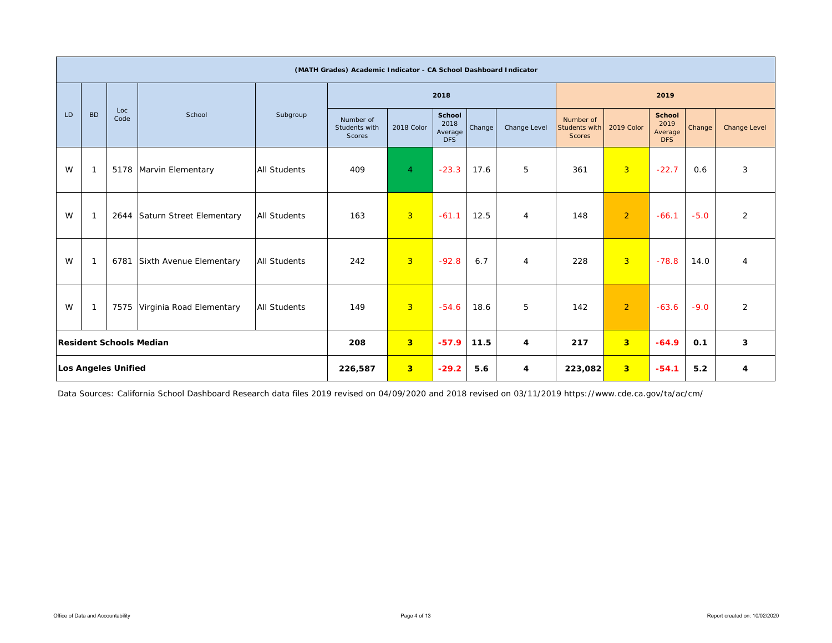|    | (MATH Grades) Academic Indicator - CA School Dashboard Indicator     |                     |                                |                     |                                      |                |                                         |        |                |                                             |                |                                                |        |                |
|----|----------------------------------------------------------------------|---------------------|--------------------------------|---------------------|--------------------------------------|----------------|-----------------------------------------|--------|----------------|---------------------------------------------|----------------|------------------------------------------------|--------|----------------|
|    |                                                                      |                     |                                |                     |                                      |                | 2018                                    |        |                |                                             |                | 2019                                           |        |                |
| LD | <b>BD</b>                                                            | Loc<br>Code         | School                         | Subgroup            | Number of<br>Students with<br>Scores | 2018 Color     | School<br>2018<br>Average<br><b>DFS</b> | Change | Change Level   | Number of<br>Students with<br><b>Scores</b> | 2019 Color     | <b>School</b><br>2019<br>Average<br><b>DFS</b> | Change | Change Level   |
| W  | $\mathbf{1}$                                                         |                     | 5178 Marvin Elementary         | <b>All Students</b> | 409                                  | $\overline{4}$ | $-23.3$                                 | 17.6   | 5              | 361                                         | 3 <sup>°</sup> | $-22.7$                                        | 0.6    | 3              |
| W  | $\mathbf{1}$                                                         | 2644                | Saturn Street Elementary       | <b>All Students</b> | 163                                  | $\overline{3}$ | $-61.1$                                 | 12.5   | 4              | 148                                         | $\overline{2}$ | $-66.1$                                        | $-5.0$ | $\overline{2}$ |
| W  | $\mathbf{1}$                                                         | 6781                | Sixth Avenue Elementary        | <b>All Students</b> | 242                                  | $\overline{3}$ | $-92.8$                                 | 6.7    | $\overline{4}$ | 228                                         | 3 <sup>°</sup> | $-78.8$                                        | 14.0   | $\overline{4}$ |
| W  | <b>All Students</b><br>7575 Virginia Road Elementary<br>$\mathbf{1}$ |                     |                                |                     | 149                                  | $\overline{3}$ | $-54.6$                                 | 18.6   | 5              | 142                                         | $\overline{2}$ | $-63.6$                                        | $-9.0$ | $\overline{2}$ |
|    |                                                                      |                     | <b>Resident Schools Median</b> |                     | 208                                  | 3 <sup>2</sup> | $-57.9$                                 | 11.5   | 4              | 217                                         | 3 <sup>2</sup> | $-64.9$                                        | 0.1    | 3              |
|    |                                                                      | Los Angeles Unified |                                |                     | 226,587                              | 3 <sup>°</sup> | $-29.2$                                 | 5.6    | $\overline{4}$ | 223,082                                     | 3 <sup>2</sup> | $-54.1$                                        | 5.2    | 4              |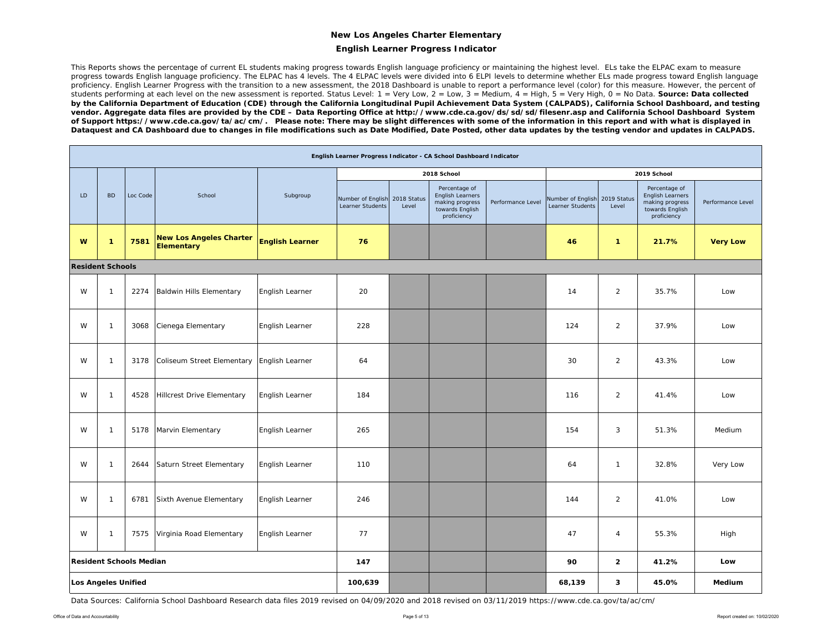#### **English Learner Progress Indicator**

This Reports shows the percentage of current EL students making progress towards English language proficiency or maintaining the highest level. ELs take the ELPAC exam to measure progress towards English language proficiency. The ELPAC has 4 levels. The 4 ELPAC levels were divided into 6 ELPI levels to determine whether ELs made progress toward English language proficiency. English Learner Progress with the transition to a new assessment, the 2018 Dashboard is unable to report a performance level (color) for this measure. However, the percent of students performing at each level on the new assessment is reported. Status Level: 1 = Very Low, 2 = Low, 3 = Medium, 4 = High, 5 = Very High, 0 = No Data. **Source: Data collected** *by the California Department of Education (CDE) through the California Longitudinal Pupil Achievement Data System (CALPADS), California School Dashboard, and testing vendor. Aggregate data files are provided by the CDE – Data Reporting Office at http://www.cde.ca.gov/ds/sd/sd/filesenr.asp and California School Dashboard System of Support https://www.cde.ca.gov/ta/ac/cm/. Please note: There may be slight differences with some of the information in this report and with what is displayed in Dataquest and CA Dashboard due to changes in file modifications such as Date Modified, Date Posted, other data updates by the testing vendor and updates in CALPADS.* 

|    | English Learner Progress Indicator - CA School Dashboard Indicator |                                |                                              |                        |                                       |                      |                                                                                               |                   |                                                   |                |                                                                                        |                   |  |
|----|--------------------------------------------------------------------|--------------------------------|----------------------------------------------|------------------------|---------------------------------------|----------------------|-----------------------------------------------------------------------------------------------|-------------------|---------------------------------------------------|----------------|----------------------------------------------------------------------------------------|-------------------|--|
|    |                                                                    |                                |                                              |                        |                                       |                      | 2018 School                                                                                   |                   |                                                   |                | 2019 School                                                                            |                   |  |
| LD | <b>BD</b>                                                          | Loc Code                       | School                                       | Subgroup               | Number of English<br>Learner Students | 2018 Status<br>Level | Percentage of<br><b>English Learners</b><br>making progress<br>towards English<br>proficiency | Performance Level | Number of English 2019 Status<br>Learner Students | Level          | Percentage of<br>English Learners<br>making progress<br>towards English<br>proficiency | Performance Level |  |
| W  | 1                                                                  | 7581                           | <b>New Los Angeles Charter</b><br>Elementary | <b>English Learner</b> | 76                                    |                      |                                                                                               |                   | 46                                                | $\mathbf{1}$   | 21.7%                                                                                  | <b>Very Low</b>   |  |
|    | <b>Resident Schools</b>                                            |                                |                                              |                        |                                       |                      |                                                                                               |                   |                                                   |                |                                                                                        |                   |  |
| W  | $\mathbf{1}$                                                       | 2274                           | Baldwin Hills Elementary                     | English Learner        | 20                                    |                      |                                                                                               |                   | 14                                                | $\overline{2}$ | 35.7%                                                                                  | Low               |  |
| W  | $\mathbf{1}$                                                       | 3068                           | Cienega Elementary                           | English Learner        | 228                                   |                      |                                                                                               |                   | 124                                               | 2              | 37.9%                                                                                  | Low               |  |
| W  | $\mathbf{1}$                                                       | 3178                           | Coliseum Street Elementary                   | English Learner        | 64                                    |                      |                                                                                               |                   | 30                                                | $\overline{2}$ | 43.3%                                                                                  | Low               |  |
| W  | $\mathbf{1}$                                                       | 4528                           | Hillcrest Drive Elementary                   | English Learner        | 184                                   |                      |                                                                                               |                   | 116                                               | 2              | 41.4%                                                                                  | Low               |  |
| W  | $\mathbf{1}$                                                       | 5178                           | Marvin Elementary                            | English Learner        | 265                                   |                      |                                                                                               |                   | 154                                               | 3              | 51.3%                                                                                  | Medium            |  |
| W  | $\mathbf{1}$                                                       | 2644                           | Saturn Street Elementary                     | English Learner        | 110                                   |                      |                                                                                               |                   | 64                                                | $\mathbf{1}$   | 32.8%                                                                                  | Very Low          |  |
| W  | $\mathbf{1}$                                                       | 6781                           | Sixth Avenue Elementary                      | English Learner        | 246                                   |                      |                                                                                               |                   | 144                                               | $\overline{2}$ | 41.0%                                                                                  | Low               |  |
| W  | $\mathbf{1}$                                                       | 7575                           | Virginia Road Elementary                     | English Learner        | 77                                    |                      |                                                                                               |                   | 47                                                | $\overline{4}$ | 55.3%                                                                                  | High              |  |
|    |                                                                    | <b>Resident Schools Median</b> |                                              |                        | 147                                   |                      |                                                                                               |                   | 90                                                | $\overline{2}$ | 41.2%                                                                                  | Low               |  |
|    | Los Angeles Unified                                                |                                |                                              | 100,639                |                                       |                      |                                                                                               | 68,139            | 3                                                 | 45.0%          | Medium                                                                                 |                   |  |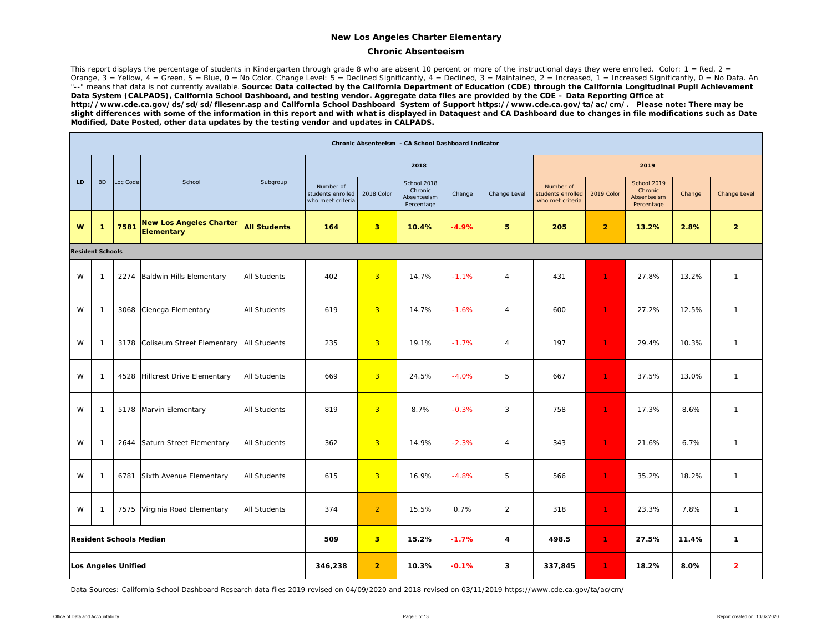#### **Chronic Absenteeism**

This report displays the percentage of students in Kindergarten through grade 8 who are absent 10 percent or more of the instructional days they were enrolled. Color:  $1 = Red$ ,  $2 =$ Orange, 3 = Yellow, 4 = Green, 5 = Blue, 0 = No Color. Change Level: 5 = Declined Significantly, 4 = Declined, 3 = Maintained, 2 = Increased, 1 = Increased Significantly, 0 = No Data. An "--" means that data is not currently available. Source: Data collected by the California Department of Education (CDE) through the California Longitudinal Pupil Achievement *Data System (CALPADS), California School Dashboard, and testing vendor. Aggregate data files are provided by the CDE – Data Reporting Office at http://www.cde.ca.gov/ds/sd/sd/filesenr.asp and California School Dashboard System of Support https://www.cde.ca.gov/ta/ac/cm/. Please note: There may be slight differences with some of the information in this report and with what is displayed in Dataquest and CA Dashboard due to changes in file modifications such as Date Modified, Date Posted, other data updates by the testing vendor and updates in CALPADS.* 

|    | Chronic Absenteeism - CA School Dashboard Indicator |                         |                                              |                     |                                                     |                         |                                                     |         |                |                                                    |                |                                                     |        |                |
|----|-----------------------------------------------------|-------------------------|----------------------------------------------|---------------------|-----------------------------------------------------|-------------------------|-----------------------------------------------------|---------|----------------|----------------------------------------------------|----------------|-----------------------------------------------------|--------|----------------|
|    |                                                     |                         |                                              |                     |                                                     |                         | 2018                                                |         |                |                                                    |                | 2019                                                |        |                |
| LD | <b>BD</b>                                           | Loc Code                | School                                       | Subgroup            | Number of<br>students enrolled<br>who meet criteria | 2018 Color              | School 2018<br>Chronic<br>Absenteeism<br>Percentage | Change  | Change Level   | Number of<br>students enrolled<br>who met criteria | 2019 Color     | School 2019<br>Chronic<br>Absenteeism<br>Percentage | Change | Change Level   |
| W  | $\mathbf{1}$                                        | 7581                    | <b>New Los Angeles Charter</b><br>Elementary | <b>All Students</b> | 164                                                 | $\overline{\mathbf{3}}$ | 10.4%                                               | $-4.9%$ | 5              | 205                                                | $\overline{2}$ | 13.2%                                               | 2.8%   | $\overline{2}$ |
|    | <b>Resident Schools</b>                             |                         |                                              |                     |                                                     |                         |                                                     |         |                |                                                    |                |                                                     |        |                |
| W  | $\mathbf{1}$                                        | 2274                    | Baldwin Hills Elementary                     | <b>All Students</b> | 402                                                 | $\overline{3}$          | 14.7%                                               | $-1.1%$ | $\overline{4}$ | 431                                                | $\mathbf{1}$   | 27.8%                                               | 13.2%  | $\mathbf{1}$   |
| W  | $\mathbf{1}$                                        | 3068                    | Cienega Elementary                           | <b>All Students</b> | 619                                                 | $\overline{3}$          | 14.7%                                               | $-1.6%$ | $\overline{4}$ | 600                                                | 1.             | 27.2%                                               | 12.5%  | $\mathbf{1}$   |
| W  | $\mathbf{1}$                                        | 3178                    | Coliseum Street Elementary                   | <b>All Students</b> | 235                                                 | $\overline{3}$          | 19.1%                                               | $-1.7%$ | $\overline{4}$ | 197                                                | $\mathbf{1}$   | 29.4%                                               | 10.3%  | $\mathbf{1}$   |
| W  | $\mathbf{1}$                                        | 4528                    | Hillcrest Drive Elementary                   | <b>All Students</b> | 669                                                 | $\overline{3}$          | 24.5%                                               | $-4.0%$ | 5              | 667                                                | 1.             | 37.5%                                               | 13.0%  | $\mathbf{1}$   |
| W  | $\mathbf{1}$                                        | 5178                    | Marvin Elementary                            | <b>All Students</b> | 819                                                 | $\overline{3}$          | 8.7%                                                | $-0.3%$ | 3              | 758                                                | 1              | 17.3%                                               | 8.6%   | $\mathbf{1}$   |
| W  | $\mathbf{1}$                                        | 2644                    | Saturn Street Elementary                     | <b>All Students</b> | 362                                                 | $\overline{3}$          | 14.9%                                               | $-2.3%$ | $\overline{4}$ | 343                                                | $\mathbf{1}$   | 21.6%                                               | 6.7%   | $\mathbf{1}$   |
| W  | $\mathbf{1}$                                        | 6781                    | Sixth Avenue Elementary                      | <b>All Students</b> | 615                                                 | $\overline{3}$          | 16.9%                                               | $-4.8%$ | 5              | 566                                                | $\mathbf{1}$   | 35.2%                                               | 18.2%  | $\mathbf{1}$   |
| W  | $\mathbf{1}$                                        | 7575                    | Virginia Road Elementary                     | <b>All Students</b> | 374                                                 | $\overline{2}$          | 15.5%                                               | 0.7%    | $\overline{2}$ | 318                                                | $\mathbf{1}$   | 23.3%                                               | 7.8%   | $\mathbf{1}$   |
|    |                                                     | Resident Schools Median |                                              |                     | 509                                                 | $\overline{\mathbf{3}}$ | 15.2%                                               | $-1.7%$ | 4              | 498.5                                              | $\mathbf{1}$   | 27.5%                                               | 11.4%  | $\mathbf{1}$   |
|    |                                                     | Los Angeles Unified     |                                              |                     | 346,238                                             | $\overline{2}$          | 10.3%                                               | $-0.1%$ | 3              | 337,845                                            | $\mathbf{1}$   | 18.2%                                               | 8.0%   | $\overline{2}$ |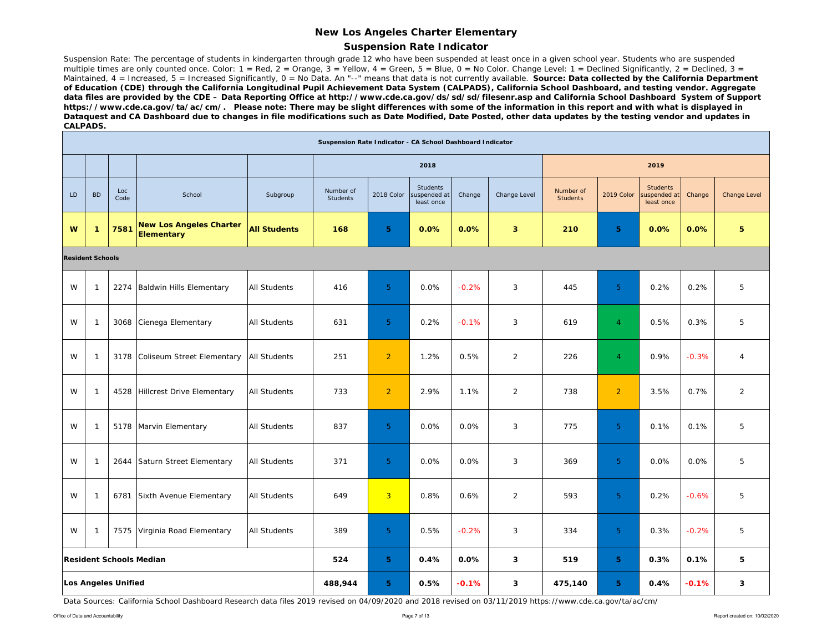#### **Suspension Rate Indicator**

Suspension Rate: The percentage of students in kindergarten through grade 12 who have been suspended at least once in a given school year. Students who are suspended multiple times are only counted once. Color: 1 = Red, 2 = Orange, 3 = Yellow, 4 = Green, 5 = Blue, 0 = No Color. Change Level: 1 = Declined Significantly, 2 = Declined, 3 = Maintained, 4 = Increased, 5 = Increased Significantly, 0 = No Data. An "--" means that data is not currently available. **Source: Data collected by the California Department** *of Education (CDE) through the California Longitudinal Pupil Achievement Data System (CALPADS), California School Dashboard, and testing vendor. Aggregate data files are provided by the CDE – Data Reporting Office at http://www.cde.ca.gov/ds/sd/sd/filesenr.asp and California School Dashboard System of Support https://www.cde.ca.gov/ta/ac/cm/. Please note: There may be slight differences with some of the information in this report and with what is displayed in Dataquest and CA Dashboard due to changes in file modifications such as Date Modified, Date Posted, other data updates by the testing vendor and updates in CALPADS.* 

|    | Suspension Rate Indicator - CA School Dashboard Indicator |                            |                                              |                     |                              |                |                                       |         |                |                              |                |                                              |         |                |
|----|-----------------------------------------------------------|----------------------------|----------------------------------------------|---------------------|------------------------------|----------------|---------------------------------------|---------|----------------|------------------------------|----------------|----------------------------------------------|---------|----------------|
|    |                                                           |                            |                                              |                     |                              |                | 2018                                  |         |                |                              |                | 2019                                         |         |                |
| LD | <b>BD</b>                                                 | Loc<br>Code                | School                                       | Subgroup            | Number of<br><b>Students</b> | 2018 Color     | Students<br>uspended at<br>least once | Change  | Change Level   | Number of<br><b>Students</b> | 2019 Color     | <b>Students</b><br>uspended at<br>least once | Change  | Change Level   |
| W  | $\mathbf{1}$                                              | 7581                       | <b>New Los Angeles Charter</b><br>Elementary | <b>All Students</b> | 168                          | 5 <sub>1</sub> | 0.0%                                  | 0.0%    | 3 <sup>2</sup> | 210                          | 5 <sub>1</sub> | 0.0%                                         | 0.0%    | 5              |
|    | <b>Resident Schools</b>                                   |                            |                                              |                     |                              |                |                                       |         |                |                              |                |                                              |         |                |
| W  | $\mathbf{1}$                                              |                            | 2274 Baldwin Hills Elementary                | <b>All Students</b> | 416                          | 5 <sub>o</sub> | 0.0%                                  | $-0.2%$ | 3              | 445                          | 5 <sup>1</sup> | 0.2%                                         | 0.2%    | 5              |
| W  | $\mathbf{1}$                                              | 3068                       | Cienega Elementary                           | <b>All Students</b> | 631                          | 5 <sup>1</sup> | 0.2%                                  | $-0.1%$ | 3              | 619                          | $\overline{4}$ | 0.5%                                         | 0.3%    | 5              |
| W  | $\mathbf{1}$                                              |                            | 3178 Coliseum Street Elementary              | <b>All Students</b> | 251                          | $\overline{2}$ | 1.2%                                  | 0.5%    | $\overline{2}$ | 226                          | $\overline{4}$ | 0.9%                                         | $-0.3%$ | $\overline{4}$ |
| W  | $\overline{1}$                                            | 4528                       | Hillcrest Drive Elementary                   | <b>All Students</b> | 733                          | $\overline{2}$ | 2.9%                                  | 1.1%    | $\overline{2}$ | 738                          | $\overline{2}$ | 3.5%                                         | 0.7%    | $\overline{2}$ |
| W  | $\mathbf{1}$                                              |                            | 5178 Marvin Elementary                       | <b>All Students</b> | 837                          | 5 <sup>1</sup> | 0.0%                                  | 0.0%    | 3              | 775                          | 5 <sup>°</sup> | 0.1%                                         | 0.1%    | 5              |
| W  | $\mathbf{1}$                                              | 2644                       | Saturn Street Elementary                     | <b>All Students</b> | 371                          | $5\phantom{.}$ | 0.0%                                  | 0.0%    | 3              | 369                          | 5 <sup>1</sup> | 0.0%                                         | 0.0%    | 5              |
| W  | $\mathbf{1}$                                              | 6781                       | Sixth Avenue Elementary                      | <b>All Students</b> | 649                          | $\overline{3}$ | 0.8%                                  | 0.6%    | $\overline{2}$ | 593                          | 5 <sup>1</sup> | 0.2%                                         | $-0.6%$ | 5              |
| W  | $\mathbf{1}$                                              |                            | 7575 Virginia Road Elementary                | <b>All Students</b> | 389                          | 5 <sup>1</sup> | 0.5%                                  | $-0.2%$ | 3              | 334                          | 5 <sup>°</sup> | 0.3%                                         | $-0.2%$ | 5              |
|    | <b>Resident Schools Median</b><br>524                     |                            |                                              |                     |                              |                | 0.4%                                  | 0.0%    | 3              | 519                          | 5              | 0.3%                                         | 0.1%    | 5              |
|    |                                                           | <b>Los Angeles Unified</b> |                                              |                     | 488,944                      | 5              | 0.5%                                  | $-0.1%$ | 3              | 475,140                      | 5              | 0.4%                                         | $-0.1%$ | 3              |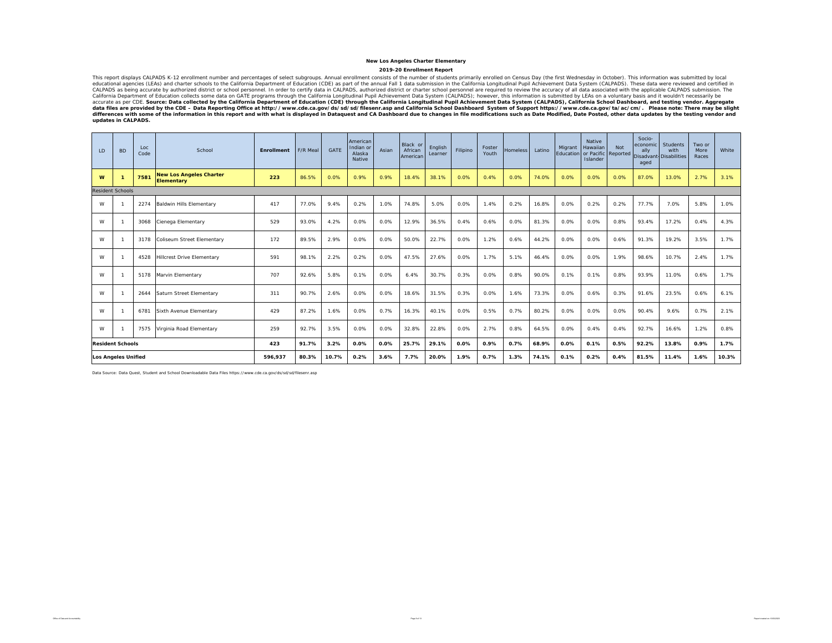2019-20 Enrollment Report<br>This report displays CALPADS K-12 enrollment number and percentages of select subgroups. Annual enrollment consists of the number of students primarily enrolled on Census Day (the first Wednesday This report displays CALPADS s.\12 enrollment number and percentages of select subgroups. Annual enrollment consists of the number of studenty enrolled on Census Day (the first Wednesday in October). This information was s *updates in CALPADS.* 

| LD                             | <b>BD</b>                  | Loc<br>Code | School                                              | <b>Enrollment</b> | F/R Meal | <b>GATE</b> | American<br>Indian or<br>Alaska<br>Native | Asian | Black or<br>African<br>Americar | English<br>Learner | Filipino | Foster<br>Youth | <b>Homeless</b> | Latino | Migrant<br>Education | Native<br>Hawaiian<br>or Pacific<br>Islander | Not<br>Reported | Socio-<br>economi<br>ally<br>Disadvant Disabilities<br>aged | Students<br>with | Two or<br>More<br>Races | White |
|--------------------------------|----------------------------|-------------|-----------------------------------------------------|-------------------|----------|-------------|-------------------------------------------|-------|---------------------------------|--------------------|----------|-----------------|-----------------|--------|----------------------|----------------------------------------------|-----------------|-------------------------------------------------------------|------------------|-------------------------|-------|
| W                              |                            | 7581        | <b>New Los Angeles Charter</b><br><b>Elementary</b> | 223               | 86.5%    | 0.0%        | 0.9%                                      | 0.9%  | 18.4%                           | 38.1%              | 0.0%     | 0.4%            | 0.0%            | 74.0%  | 0.0%                 | 0.0%                                         | 0.0%            | 87.0%                                                       | 13.0%            | 2.7%                    | 3.1%  |
| <b>Resident Schools</b>        |                            |             |                                                     |                   |          |             |                                           |       |                                 |                    |          |                 |                 |        |                      |                                              |                 |                                                             |                  |                         |       |
| W                              |                            | 2274        | <b>Baldwin Hills Elementary</b>                     | 417               | 77.0%    | 9.4%        | 0.2%                                      | 1.0%  | 74.8%                           | 5.0%               | 0.0%     | 1.4%            | 0.2%            | 16.8%  | 0.0%                 | 0.2%                                         | 0.2%            | 77.7%                                                       | 7.0%             | 5.8%                    | 1.0%  |
| W                              |                            | 3068        | Cienega Elementary                                  | 529               | 93.0%    | 4.2%        | 0.0%                                      | 0.0%  | 12.9%                           | 36.5%              | 0.4%     | 0.6%            | 0.0%            | 81.3%  | 0.0%                 | 0.0%                                         | 0.8%            | 93.4%                                                       | 17.2%            | 0.4%                    | 4.3%  |
| W                              |                            | 3178        | Coliseum Street Elementary                          | 172               | 89.5%    | 2.9%        | 0.0%                                      | 0.0%  | 50.0%                           | 22.7%              | 0.0%     | 1.2%            | 0.6%            | 44.2%  | 0.0%                 | 0.0%                                         | 0.6%            | 91.3%                                                       | 19.2%            | 3.5%                    | 1.7%  |
| W                              |                            | 4528        | <b>Hillcrest Drive Elementary</b>                   | 591               | 98.1%    | 2.2%        | 0.2%                                      | 0.0%  | 47.5%                           | 27.6%              | 0.0%     | 1.7%            | 5.1%            | 46.4%  | 0.0%                 | 0.0%                                         | 1.9%            | 98.6%                                                       | 10.7%            | 2.4%                    | 1.7%  |
| W                              |                            | 5178        | Marvin Elementary                                   | 707               | 92.6%    | 5.8%        | 0.1%                                      | 0.0%  | 6.4%                            | 30.7%              | 0.3%     | 0.0%            | 0.8%            | 90.0%  | 0.1%                 | 0.1%                                         | 0.8%            | 93.9%                                                       | 11.0%            | 0.6%                    | 1.7%  |
| W                              |                            | 2644        | Saturn Street Elementary                            | 311               | 90.7%    | 2.6%        | 0.0%                                      | 0.0%  | 18.6%                           | 31.5%              | 0.3%     | 0.0%            | 1.6%            | 73.3%  | 0.0%                 | 0.6%                                         | 0.3%            | 91.6%                                                       | 23.5%            | 0.6%                    | 6.1%  |
| W                              |                            | 6781        | Sixth Avenue Elementary                             | 429               | 87.2%    | 1.6%        | 0.0%                                      | 0.7%  | 16.3%                           | 40.1%              | 0.0%     | 0.5%            | 0.7%            | 80.2%  | 0.0%                 | 0.0%                                         | 0.0%            | 90.4%                                                       | 9.6%             | 0.7%                    | 2.1%  |
| W                              |                            | 7575        | Virginia Road Elementary                            | 259               | 92.7%    | 3.5%        | 0.0%                                      | 0.0%  | 32.8%                           | 22.8%              | 0.0%     | 2.7%            | 0.8%            | 64.5%  | 0.0%                 | 0.4%                                         | 0.4%            | 92.7%                                                       | 16.6%            | 1.2%                    | 0.8%  |
| <b>Resident Schools</b><br>423 |                            |             |                                                     |                   | 91.7%    | 3.2%        | 0.0%                                      | 0.0%  | 25.7%                           | 29.1%              | 0.0%     | 0.9%            | 0.7%            | 68.9%  | 0.0%                 | 0.1%                                         | 0.5%            | 92.2%                                                       | 13.8%            | 0.9%                    | 1.7%  |
|                                | <b>Los Angeles Unified</b> |             | 596.937                                             | 80.3%             | 10.7%    | 0.2%        | 3.6%                                      | 7.7%  | 20.0%                           | 1.9%               | 0.7%     | 1.3%            | 74.1%           | 0.1%   | 0.2%                 | 0.4%                                         | 81.5%           | 11.4%                                                       | 1.6%             | 10.3%                   |       |

Data Source: Data Quest, Student and School Downloadable Data Files https://www.cde.ca.gov/ds/sd/sd/filesenr.asp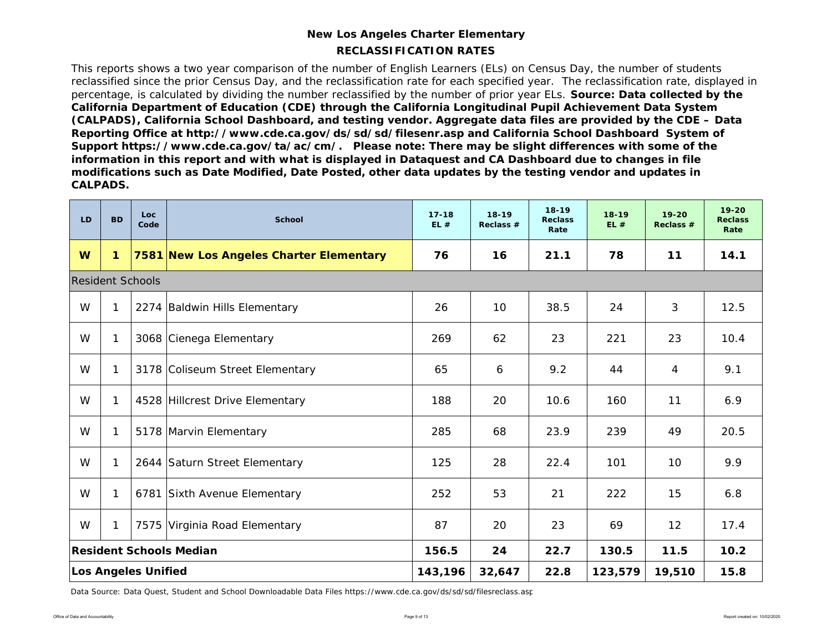### **RECLASSIFICATION RATESNew Los Angeles Charter Elementary**

This reports shows a two year comparison of the number of English Learners (ELs) on Census Day, the number of students reclassified since the prior Census Day, and the reclassification rate for each specified year. The reclassification rate, displayed in percentage, is calculated by dividing the number reclassified by the number of prior year ELs. *Source: Data collected by the California Department of Education (CDE) through the California Longitudinal Pupil Achievement Data System (CALPADS), California School Dashboard, and testing vendor. Aggregate data files are provided by the CDE – Data Reporting Office at http://www.cde.ca.gov/ds/sd/sd/filesenr.asp and California School Dashboard System of Support https://www.cde.ca.gov/ta/ac/cm/. Please note: There may be slight differences with some of the information in this report and with what is displayed in Dataquest and CA Dashboard due to changes in file modifications such as Date Modified, Date Posted, other data updates by the testing vendor and updates in CALPADS.* 

| LD                      | <b>BD</b> | Loc<br>Code                | <b>School</b>                           | $17 - 18$<br>EL# | $18 - 19$<br>Reclass $#$ | $18 - 19$<br><b>Reclass</b><br>Rate | $18 - 19$<br>EL# | $19 - 20$<br>Reclass $#$ | $19 - 20$<br><b>Reclass</b><br>Rate |
|-------------------------|-----------|----------------------------|-----------------------------------------|------------------|--------------------------|-------------------------------------|------------------|--------------------------|-------------------------------------|
| W                       | 1         |                            | 7581 New Los Angeles Charter Elementary | 76               | 16                       | 21.1                                | 78               | 11                       | 14.1                                |
| <b>Resident Schools</b> |           |                            |                                         |                  |                          |                                     |                  |                          |                                     |
| W                       |           |                            | 2274 Baldwin Hills Elementary           | 26               | 10                       | 38.5                                | 24               | 3                        | 12.5                                |
| W                       |           |                            | 3068 Cienega Elementary                 | 269              | 62                       | 23                                  | 221              | 23                       | 10.4                                |
| W                       |           |                            | 3178 Coliseum Street Elementary         | 65               | 6                        | 9.2                                 | 44               | 4                        | 9.1                                 |
| W                       |           |                            | 4528 Hillcrest Drive Elementary         | 188              | 20                       | 10.6                                | 160              | 11                       | 6.9                                 |
| W                       |           |                            | 5178 Marvin Elementary                  | 285              | 68                       | 23.9                                | 239              | 49                       | 20.5                                |
| W                       |           |                            | 2644 Saturn Street Elementary           | 125              | 28                       | 22.4                                | 101              | 10                       | 9.9                                 |
| W                       |           |                            | 6781 Sixth Avenue Elementary            | 252              | 53                       | 21                                  | 222              | 15                       | 6.8                                 |
| W                       | 1         |                            | 7575 Virginia Road Elementary           | 87               | 20                       | 23                                  | 69               | 12                       | 17.4                                |
|                         |           |                            | <b>Resident Schools Median</b>          | 156.5            | 24                       | 22.7                                | 130.5            | 11.5                     | 10.2                                |
|                         |           | <b>Los Angeles Unified</b> |                                         | 143,196          | 32,647                   | 22.8                                | 123,579          | 19,510                   | 15.8                                |

Data Source: Data Quest, Student and School Downloadable Data Files https://www.cde.ca.gov/ds/sd/sd/filesreclass.asp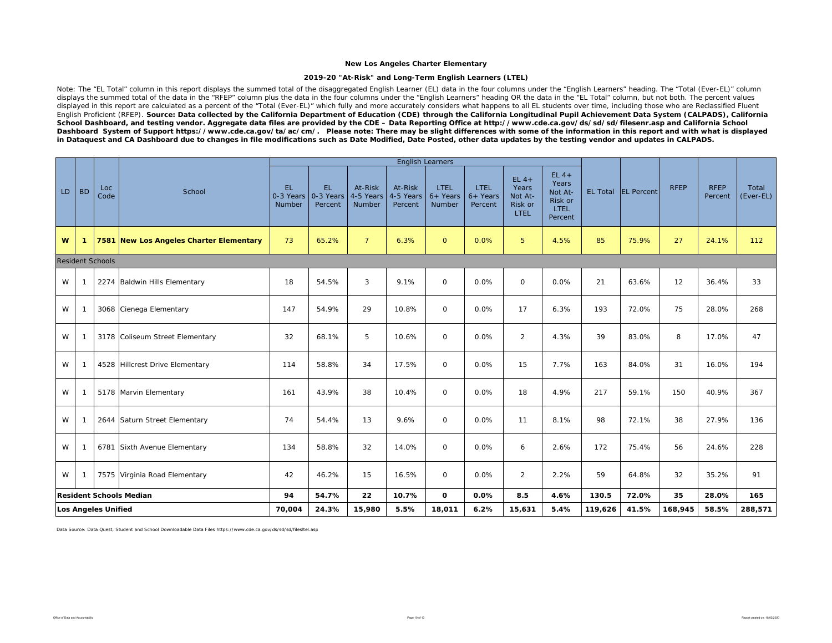#### **2019-20 "At-Risk" and Long-Term English Learners (LTEL)**

Note: The "EL Total" column in this report displays the summed total of the disaggregated English Learner (EL) data in the four columns under the "English Learners" heading. The "Total (Ever-EL)" column displays the summed total of the data in the "RFEP" column plus the data in the four columns under the "English Learners" heading OR the data in the "EL Total" column, but not both. The percent values displayed in this report are calculated as a percent of the "Total (Ever-EL)" which fully and more accurately considers what happens to all EL students over time, including those who are Reclassified Fluent English Proficient (RFEP). *Source: Data collected by the California Department of Education (CDE) through the California Longitudinal Pupil Achievement Data System (CALPADS), California School Dashboard, and testing vendor. Aggregate data files are provided by the CDE – Data Reporting Office at http://www.cde.ca.gov/ds/sd/sd/filesenr.asp and California School Dashboard System of Support https://www.cde.ca.gov/ta/ac/cm/. Please note: There may be slight differences with some of the information in this report and with what is displayed in Dataquest and CA Dashboard due to changes in file modifications such as Date Modified, Date Posted, other data updates by the testing vendor and updates in CALPADS.* 

|    |                                |                         |                                         |                            |                             |                                | <b>English Learners</b>         |                                     |                                      |                                                       |                                                                  |                 |                   |             |                        |                    |
|----|--------------------------------|-------------------------|-----------------------------------------|----------------------------|-----------------------------|--------------------------------|---------------------------------|-------------------------------------|--------------------------------------|-------------------------------------------------------|------------------------------------------------------------------|-----------------|-------------------|-------------|------------------------|--------------------|
| LD | <b>BD</b>                      | Loc<br>Code             | School                                  | EL.<br>0-3 Years<br>Number | EL.<br>0-3 Years<br>Percent | At-Risk<br>4-5 Years<br>Number | At-Risk<br>4-5 Years<br>Percent | <b>LTEL</b><br>$6+$ Years<br>Number | <b>LTEL</b><br>$6+$ Years<br>Percent | $EL 4+$<br>Years<br>Not At-<br>Risk or<br><b>LTEL</b> | $EL 4+$<br>Years<br>Not At-<br>Risk or<br><b>LTEL</b><br>Percent | <b>EL Total</b> | <b>EL</b> Percent | <b>RFEP</b> | <b>RFEP</b><br>Percent | Total<br>(Ever-EL) |
| W  | $\mathbf{1}$                   |                         | 7581 New Los Angeles Charter Elementary | 73                         | 65.2%                       | $7\overline{ }$                | 6.3%                            | $\mathbf{O}$                        | 0.0%                                 | 5                                                     | 4.5%                                                             | 85              | 75.9%             | 27          | 24.1%                  | 112                |
|    |                                | <b>Resident Schools</b> |                                         |                            |                             |                                |                                 |                                     |                                      |                                                       |                                                                  |                 |                   |             |                        |                    |
| W  | $\mathbf 1$                    |                         | 2274 Baldwin Hills Elementary           | 18                         | 54.5%                       | 3                              | 9.1%                            | $\mathsf{O}$                        | 0.0%                                 | $\mathsf{O}$                                          | 0.0%                                                             | 21              | 63.6%             | 12          | 36.4%                  | 33                 |
| W  | $\mathbf 1$                    |                         | 3068 Cienega Elementary                 | 147                        | 54.9%                       | 29                             | 10.8%                           | $\mathsf{O}\xspace$                 | 0.0%                                 | 17                                                    | 6.3%                                                             | 193             | 72.0%             | 75          | 28.0%                  | 268                |
| W  | $\mathbf{1}$                   |                         | 3178 Coliseum Street Elementary         | 32                         | 68.1%                       | 5                              | 10.6%                           | $\mathsf{O}\xspace$                 | 0.0%                                 | $\overline{2}$                                        | 4.3%                                                             | 39              | 83.0%             | 8           | 17.0%                  | 47                 |
| W  | $\mathbf{1}$                   |                         | 4528 Hillcrest Drive Elementary         | 114                        | 58.8%                       | 34                             | 17.5%                           | $\circ$                             | 0.0%                                 | 15                                                    | 7.7%                                                             | 163             | 84.0%             | 31          | 16.0%                  | 194                |
| W  | $\mathbf{1}$                   |                         | 5178 Marvin Elementary                  | 161                        | 43.9%                       | 38                             | 10.4%                           | $\mathsf{O}\xspace$                 | 0.0%                                 | 18                                                    | 4.9%                                                             | 217             | 59.1%             | 150         | 40.9%                  | 367                |
| W  | $\mathbf{1}$                   |                         | 2644 Saturn Street Elementary           | 74                         | 54.4%                       | 13                             | 9.6%                            | $\mathsf{O}\xspace$                 | 0.0%                                 | 11                                                    | 8.1%                                                             | 98              | 72.1%             | 38          | 27.9%                  | 136                |
| W  | $\mathbf 1$                    |                         | 6781 Sixth Avenue Elementary            | 134                        | 58.8%                       | 32                             | 14.0%                           | $\circ$                             | 0.0%                                 | 6                                                     | 2.6%                                                             | 172             | 75.4%             | 56          | 24.6%                  | 228                |
| W  | $\mathbf{1}$                   |                         | 7575 Virginia Road Elementary           | 42                         | 46.2%                       | 15                             | 16.5%                           | $\mathsf{O}\xspace$                 | 0.0%                                 | $\overline{2}$                                        | 2.2%                                                             | 59              | 64.8%             | 32          | 35.2%                  | 91                 |
|    | <b>Resident Schools Median</b> |                         |                                         | 94                         | 54.7%                       | 22                             | 10.7%                           | 0                                   | 0.0%                                 | 8.5                                                   | 4.6%                                                             | 130.5           | 72.0%             | 35          | 28.0%                  | 165                |
|    | <b>Los Angeles Unified</b>     |                         | 70,004                                  | 24.3%                      | 15,980                      | 5.5%                           | 18,011                          | 6.2%                                | 15,631                               | 5.4%                                                  | 119,626                                                          | 41.5%           | 168,945           | 58.5%       | 288,571                |                    |

Data Source: Data Quest, Student and School Downloadable Data Files https://www.cde.ca.gov/ds/sd/sd/filesltel.asp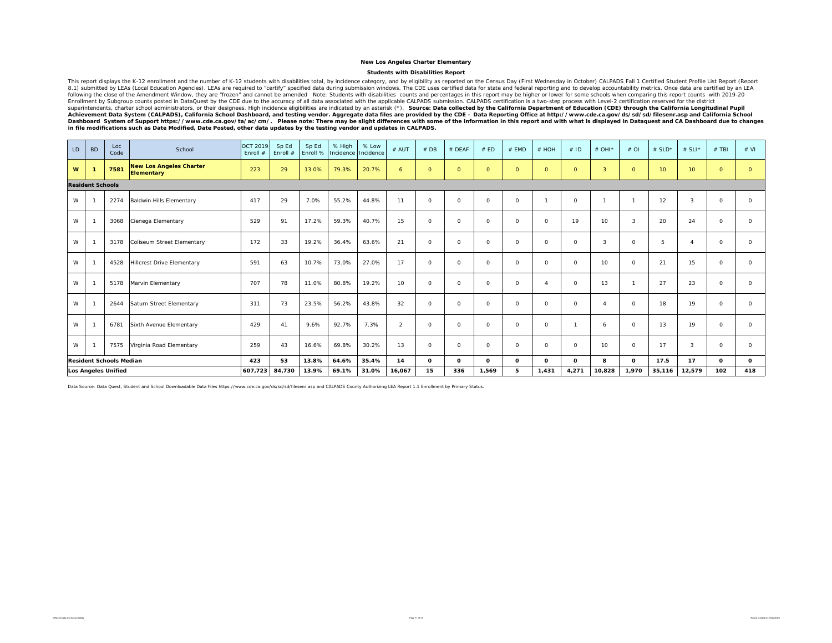#### **Students with Disabilities Report**

This report displays the K-12 enrollment and the number of K-12 students with disabilities total, by incidence category, and by eligibility as reported on the Census Day (First Wednesday in October) CALPADS Fall 1 Certifie 8.1) submitted by LEAs (Local Education Agencies). LEAs are required to "certify" specified data during submission windows. The CDE uses certified data for state and federal reporting and to develop accountability metrics. following the cluster of the Amendment Window, they are "frozen" and cannot be amended Note: Students with disabilities counts and percentages in this report may be higher or lower for some schools when comparing this repo Enrollment by Subgroup counts posted in DataQuest by the CDE due to the accuracy of all data associated with the applicable CALIPADS certification is a two-step process with Level-2 certification reserved for the districti

| LD | <b>BD</b>               | Loc<br>Code                    | School                                       | <b>OCT 2019</b><br>Enroll $#$ | Sp Ed<br>Enroll # | Sp Ed<br>Enroll % | % High<br>Incidence | % Low<br>Incidence | # AUT  | #DB            | # DEAF   | # ED     | # EMD        | # HOH        | #ID          | # OHI*                 | $#$ OI   | # $SLD*$        | # SLI*          | $#$ TBI  | # VI         |
|----|-------------------------|--------------------------------|----------------------------------------------|-------------------------------|-------------------|-------------------|---------------------|--------------------|--------|----------------|----------|----------|--------------|--------------|--------------|------------------------|----------|-----------------|-----------------|----------|--------------|
| W  |                         | 7581                           | <b>New Los Angeles Charter</b><br>Elementary | 223                           | 29                | 13.0%             | 79.3%               | 20.7%              | 6      | $\overline{0}$ | $\circ$  | $\circ$  | $\circ$      | $\circ$      | $\circ$      | $\overline{3}$         | $\circ$  | 10 <sub>1</sub> | 10 <sup>°</sup> | $\circ$  | $\circ$      |
|    | <b>Resident Schools</b> |                                |                                              |                               |                   |                   |                     |                    |        |                |          |          |              |              |              |                        |          |                 |                 |          |              |
| W  |                         | 2274                           | <b>Baldwin Hills Elementary</b>              | 417                           | 29                | 7.0%              | 55.2%               | 44.8%              | 11     | $\Omega$       | $\circ$  | $\circ$  | $\circ$      |              | $\circ$      |                        | -1       | 12              | 3               | $\circ$  | $\circ$      |
| W  |                         | 3068                           | Cienega Elementary                           | 529                           | 91                | 17.2%             | 59.3%               | 40.7%              | 15     | $\Omega$       | $\circ$  | $\circ$  | $\circ$      | $\circ$      | 19           | 10                     | 3        | 20              | 24              | $\circ$  | $\circ$      |
| W  |                         | 3178                           | Coliseum Street Elementary                   | 172                           | 33                | 19.2%             | 36.4%               | 63.6%              | 21     | $\Omega$       | $\circ$  | $\circ$  | $\circ$      | $\circ$      | $\circ$      | 3                      | $\circ$  | 5               | $\Delta$        | $\circ$  | $\Omega$     |
| W  |                         | 4528                           | <b>Hillcrest Drive Elementary</b>            | 591                           | 63                | 10.7%             | 73.0%               | 27.0%              | 17     | $\Omega$       | $\circ$  | $\circ$  | $\circ$      | $\circ$      | $\circ$      | 10                     | $\Omega$ | 21              | 15              | $\circ$  | $\Omega$     |
| W  |                         | 5178                           | Marvin Elementary                            | 707                           | 78                | 11.0%             | 80.8%               | 19.2%              | 10     | $\Omega$       | $\Omega$ | $\circ$  | $\circ$      |              | $\circ$      | 13                     | -1       | 27              | 23              | $\Omega$ | $\Omega$     |
| W  |                         | 2644                           | Saturn Street Elementary                     | 311                           | 73                | 23.5%             | 56.2%               | 43.8%              | 32     | $\circ$        | $\circ$  | $\circ$  | $\circ$      | $\circ$      | $\circ$      | $\boldsymbol{\Lambda}$ | $\circ$  | 18              | 19              | $\circ$  | $\circ$      |
| W  |                         | 6781                           | Sixth Avenue Elementary                      | 429                           | 41                | 9.6%              | 92.7%               | 7.3%               | 2      | $\Omega$       | $\circ$  | $\circ$  | $\circ$      | $\circ$      | $\mathbf{1}$ | 6                      | $\Omega$ | 13              | 19              | $\circ$  | $\Omega$     |
| W  |                         | 7575                           | Virginia Road Elementary                     | 259                           | 43                | 16.6%             | 69.8%               | 30.2%              | 13     | $\Omega$       | $\circ$  | $\circ$  | $\circ$      | $\circ$      | $\circ$      | 10                     | $\circ$  | 17              | 3               | $\Omega$ | $\Omega$     |
|    |                         | <b>Resident Schools Median</b> |                                              | 423                           | 53                | 13.8%             | 64.6%               | 35.4%              | 14     | $\Omega$       | $\Omega$ | $\Omega$ | $\mathbf{o}$ | $\mathbf{o}$ | $\Omega$     | 8                      | $\Omega$ | 17.5            | 17              | $\Omega$ | $\mathbf{o}$ |
|    |                         | <b>Los Angeles Unified</b>     |                                              | 607.723                       | 84,730            | 13.9%             | 69.1%               | 31.0%              | 16,067 | 15             | 336      | 1,569    | 5            | 1,431        | 4,271        | 10,828                 | 1,970    | 35,116          | 12,579          | 102      | 418          |

Data Source: Data Quest, Student and School Downloadable Data Files https://www.cde.ca.gov/ds/sd/sd/filesenr.asp and CALPADS County Authorizing LEA Report 1.1 Enrollment by Primary Status.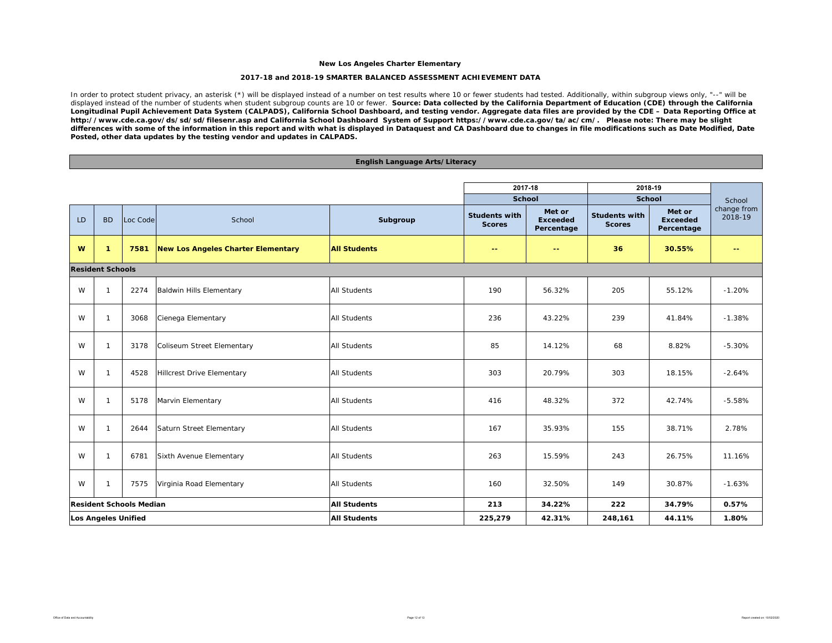#### **2017-18 and 2018-19 SMARTER BALANCED ASSESSMENT ACHIEVEMENT DATA**

In order to protect student privacy, an asterisk (\*) will be displayed instead of a number on test results where 10 or fewer students had tested. Additionally, within subgroup views only, "--" will be displayed instead of the number of students when student subgroup counts are 10 or fewer. *Source: Data collected by the California Department of Education (CDE) through the California Longitudinal Pupil Achievement Data System (CALPADS), California School Dashboard, and testing vendor. Aggregate data files are provided by the CDE – Data Reporting Office at http://www.cde.ca.gov/ds/sd/sd/filesenr.asp and California School Dashboard System of Support https://www.cde.ca.gov/ta/ac/cm/. Please note: There may be slight differences with some of the information in this report and with what is displayed in Dataquest and CA Dashboard due to changes in file modifications such as Date Modified, Date Posted, other data updates by the testing vendor and updates in CALPADS.* 

#### **English Language Arts/Literacy**

|           |                            |                                |                                           |                     | 2017-18                               |                                         | 2018-19                               |                                         |                        |
|-----------|----------------------------|--------------------------------|-------------------------------------------|---------------------|---------------------------------------|-----------------------------------------|---------------------------------------|-----------------------------------------|------------------------|
|           |                            |                                |                                           |                     | <b>School</b>                         |                                         | School                                |                                         | School                 |
| <b>LD</b> | <b>BD</b>                  | Loc Code                       | School                                    | Subgroup            | <b>Students with</b><br><b>Scores</b> | Met or<br><b>Exceeded</b><br>Percentage | <b>Students with</b><br><b>Scores</b> | Met or<br><b>Exceeded</b><br>Percentage | change from<br>2018-19 |
| W         | $\mathbf{1}$               | 7581                           | <b>New Los Angeles Charter Elementary</b> | <b>All Students</b> | $- -$                                 | $\sim$ $\sim$                           | 36                                    | 30.55%                                  | $\sim$ $\sim$          |
|           | <b>Resident Schools</b>    |                                |                                           |                     |                                       |                                         |                                       |                                         |                        |
| W         | $\mathbf{1}$               | 2274                           | Baldwin Hills Elementary                  | <b>All Students</b> | 190                                   | 56.32%                                  | 205                                   | 55.12%                                  | $-1.20%$               |
| W         | $\mathbf{1}$               | 3068                           | Cienega Elementary                        | <b>All Students</b> | 236                                   | 43.22%                                  | 239                                   | 41.84%                                  | $-1.38%$               |
| W         | $\mathbf{1}$               | 3178                           | Coliseum Street Elementary                | <b>All Students</b> | 85                                    | 14.12%                                  | 68                                    | 8.82%                                   | $-5.30%$               |
| W         | $\mathbf{1}$               | 4528                           | Hillcrest Drive Elementary                | <b>All Students</b> | 303                                   | 20.79%                                  | 303                                   | 18.15%                                  | $-2.64%$               |
| W         | $\mathbf{1}$               | 5178                           | Marvin Elementary                         | All Students        | 416                                   | 48.32%                                  | 372                                   | 42.74%                                  | $-5.58%$               |
| W         | $\mathbf{1}$               | 2644                           | Saturn Street Elementary                  | <b>All Students</b> | 167                                   | 35.93%                                  | 155                                   | 38.71%                                  | 2.78%                  |
| W         | $\mathbf{1}$               | 6781                           | Sixth Avenue Elementary                   | <b>All Students</b> | 263                                   | 15.59%                                  | 243                                   | 26.75%                                  | 11.16%                 |
| W         | $\mathbf{1}$               | 7575                           | Virginia Road Elementary                  | <b>All Students</b> | 160                                   | 32.50%                                  | 149                                   | 30.87%                                  | $-1.63%$               |
|           |                            | <b>Resident Schools Median</b> |                                           | <b>All Students</b> | 213                                   | 34.22%                                  | 222                                   | 34.79%                                  | 0.57%                  |
|           | <b>Los Angeles Unified</b> |                                |                                           | <b>All Students</b> | 225,279                               | 42.31%                                  | 248,161                               | 44.11%                                  | 1.80%                  |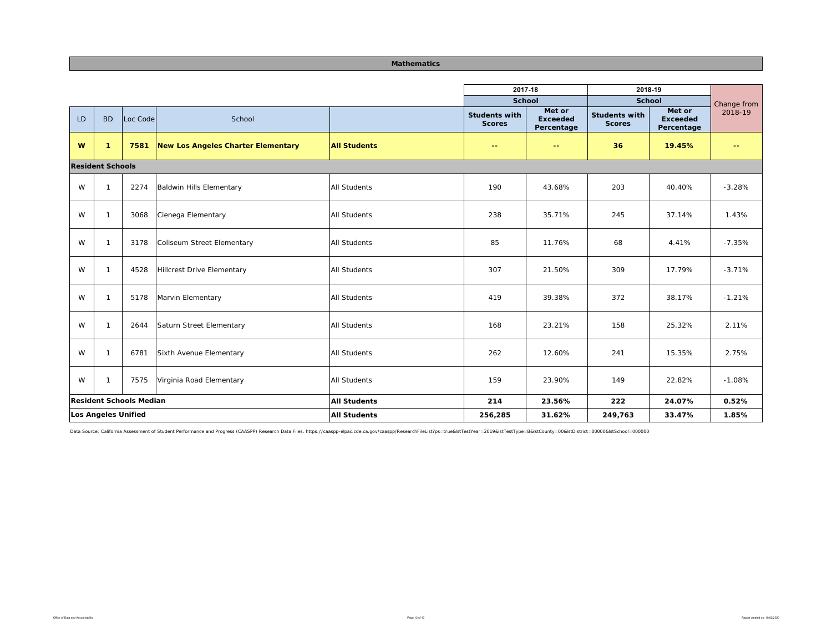#### **Mathematics**

| <b>School</b><br><b>School</b><br>Met or<br>Met or<br><b>Students with</b><br><b>Students with</b><br><b>BD</b><br>School<br>LD<br>Loc Code<br><b>Exceeded</b><br><b>Exceeded</b><br><b>Scores</b><br><b>Scores</b><br>Percentage<br>Percentage<br>W<br>$\mathbf{1}$<br>New Los Angeles Charter Elementary<br><b>All Students</b><br>36<br>19.45%<br>7581<br>$\sim$ $\sim$<br>$\sim$ $\sim$ | Change from<br>2018-19<br>$\sim$ $\sim$ |
|---------------------------------------------------------------------------------------------------------------------------------------------------------------------------------------------------------------------------------------------------------------------------------------------------------------------------------------------------------------------------------------------|-----------------------------------------|
|                                                                                                                                                                                                                                                                                                                                                                                             |                                         |
|                                                                                                                                                                                                                                                                                                                                                                                             |                                         |
|                                                                                                                                                                                                                                                                                                                                                                                             |                                         |
| <b>Resident Schools</b>                                                                                                                                                                                                                                                                                                                                                                     |                                         |
| 203<br>W<br><b>All Students</b><br>190<br>43.68%<br>40.40%<br>$\mathbf{1}$<br>2274<br>Baldwin Hills Elementary                                                                                                                                                                                                                                                                              | $-3.28%$                                |
| W<br>Cienega Elementary<br><b>All Students</b><br>245<br>37.14%<br>$\overline{1}$<br>3068<br>238<br>35.71%                                                                                                                                                                                                                                                                                  | 1.43%                                   |
| W<br>85<br>68<br>4.41%<br>$\mathbf{1}$<br>3178<br>Coliseum Street Elementary<br><b>All Students</b><br>11.76%                                                                                                                                                                                                                                                                               | $-7.35%$                                |
| W<br>309<br>$\overline{1}$<br>4528<br>Hillcrest Drive Elementary<br>All Students<br>307<br>21.50%<br>17.79%                                                                                                                                                                                                                                                                                 | $-3.71%$                                |
| W<br>372<br>$\mathbf{1}$<br>5178<br>Marvin Elementary<br>All Students<br>419<br>39.38%<br>38.17%                                                                                                                                                                                                                                                                                            | $-1.21%$                                |
| W<br>Saturn Street Elementary<br>158<br>$\mathbf{1}$<br>2644<br>All Students<br>168<br>23.21%<br>25.32%                                                                                                                                                                                                                                                                                     | 2.11%                                   |
| W<br>12.60%<br>241<br>15.35%<br>$\mathbf{1}$<br>6781<br>Sixth Avenue Elementary<br>All Students<br>262                                                                                                                                                                                                                                                                                      | 2.75%                                   |
| W<br>$\overline{1}$<br>Virginia Road Elementary<br>All Students<br>149<br>7575<br>159<br>23.90%<br>22.82%                                                                                                                                                                                                                                                                                   | $-1.08%$                                |
| 222<br><b>All Students</b><br><b>Resident Schools Median</b><br>214<br>23.56%<br>24.07%                                                                                                                                                                                                                                                                                                     | 0.52%                                   |
| Los Angeles Unified<br><b>All Students</b><br>256,285<br>31.62%<br>249,763<br>33.47%                                                                                                                                                                                                                                                                                                        | 1.85%                                   |

Data Source: California Assessment of Student Performance and Progress (CAASPP) Research Data Files. https://caaspp-elpac.cde.ca.gov/caaspp/ResearchFileList?ps=true&istTestYear=2019&istTestType=B&istCounty=00&istDistrict=0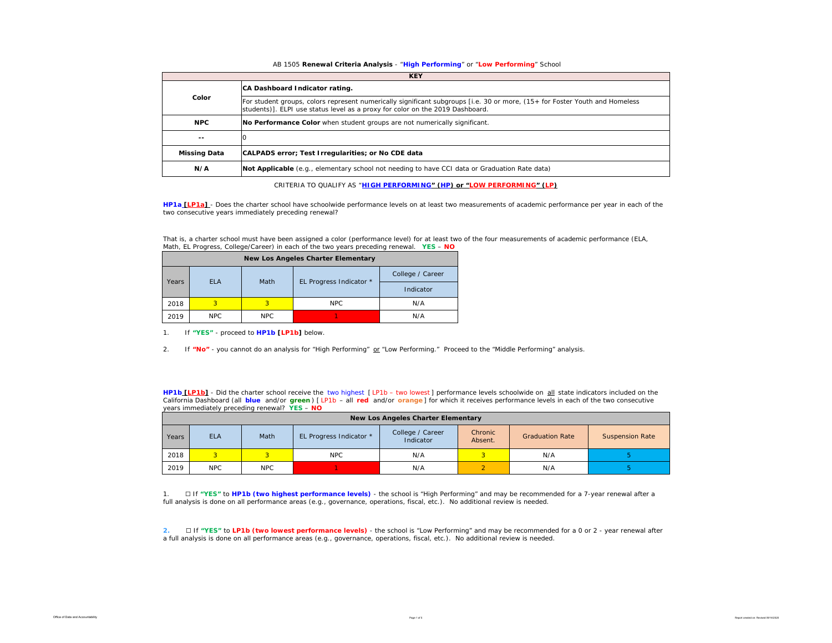#### AB 1505 **Renewal Criteria Analysis** - "**High Performing**" or "**Low Performing**" School

|                     | <b>KEY</b>                                                                                                                                                                                                   |
|---------------------|--------------------------------------------------------------------------------------------------------------------------------------------------------------------------------------------------------------|
|                     | CA Dashboard Indicator rating.                                                                                                                                                                               |
| Color               | For student groups, colors represent numerically significant subgroups [i.e. 30 or more, (15+ for Foster Youth and Homeless<br>students)]. ELPI use status level as a proxy for color on the 2019 Dashboard. |
| <b>NPC</b>          | No Performance Color when student groups are not numerically significant.                                                                                                                                    |
| --                  |                                                                                                                                                                                                              |
| <b>Missing Data</b> | CALPADS error; Test Irregularities; or No CDE data                                                                                                                                                           |
| N/A                 | Not Applicable (e.g., elementary school not needing to have CCI data or Graduation Rate data)                                                                                                                |

CRITERIA TO QUALIFY AS "**HIGH PERFORMING" (HP) or "LOW PERFORMING" (LP)**

**HP1a [LP1a]** - *Does the charter school have schoolwide performance levels on at least two measurements of academic performance per year in each of the two consecutive years immediately preceding renewal?* 

| That is, a charter school must have been assigned a color (performance level) for at least two of the four measurements of academic performance (ELA, |  |
|-------------------------------------------------------------------------------------------------------------------------------------------------------|--|
| Math, EL Progress, College/Career) in each of the two years preceding renewal. YES - NO                                                               |  |

|       | <b>New Los Angeles Charter Elementary</b> |      |                         |                  |  |  |  |  |  |  |  |  |  |
|-------|-------------------------------------------|------|-------------------------|------------------|--|--|--|--|--|--|--|--|--|
|       | <b>FLA</b>                                | Math |                         | College / Career |  |  |  |  |  |  |  |  |  |
| Years |                                           |      | EL Progress Indicator * | Indicator        |  |  |  |  |  |  |  |  |  |
| 2018  | 3                                         | з    | NPC.                    | N/A              |  |  |  |  |  |  |  |  |  |
| 2019  | NPC.                                      | NPC. |                         | N/A              |  |  |  |  |  |  |  |  |  |

1. If **"YES"** - proceed to **HP1b [LP1b]** below.

2. If "No" - you cannot do an analysis for "High Performing" or "Low Performing." Proceed to the "Middle Performing" analysis.

**HP1b [LP1b]** - *Did the charter school receive the two highest [ LP1b – two lowest ] performance levels schoolwide on all state indicators included on the California Dashboard (all blue and/or green ) [ LP1b – all red and/or orange ] for which it receives performance levels in each of the two consecutive years immediately preceding renewal?* **YES** – **NO**

|       | <b>New Los Angeles Charter Elementary</b> |            |                         |                               |                    |                        |                        |  |  |  |  |  |  |
|-------|-------------------------------------------|------------|-------------------------|-------------------------------|--------------------|------------------------|------------------------|--|--|--|--|--|--|
| Years | <b>ELA</b>                                | Math       | EL Progress Indicator * | College / Career<br>Indicator | Chronic<br>Absent. | <b>Graduation Rate</b> | <b>Suspension Rate</b> |  |  |  |  |  |  |
| 2018  | 2.                                        |            | <b>NPC</b>              | N/A                           |                    | N/A                    |                        |  |  |  |  |  |  |
| 2019  | <b>NPC</b>                                | <b>NPC</b> |                         | N/A                           |                    | N/A                    |                        |  |  |  |  |  |  |

1. ☐ If **"YES"** to **HP1b (two highest performance levels)** - the school is "High Performing" and may be recommended for a 7-year renewal after a full analysis is done on all performance areas (e.g., governance, operations, fiscal, etc.). No additional review is needed.

**2.** □ If "YES" to LP1b (two lowest performance levels) - the school is "Low Performing" and may be recommended for a 0 or 2 - year renewal after a full analysis is done on all performance areas (e.g., governance, operations, fiscal, etc.). No additional review is needed.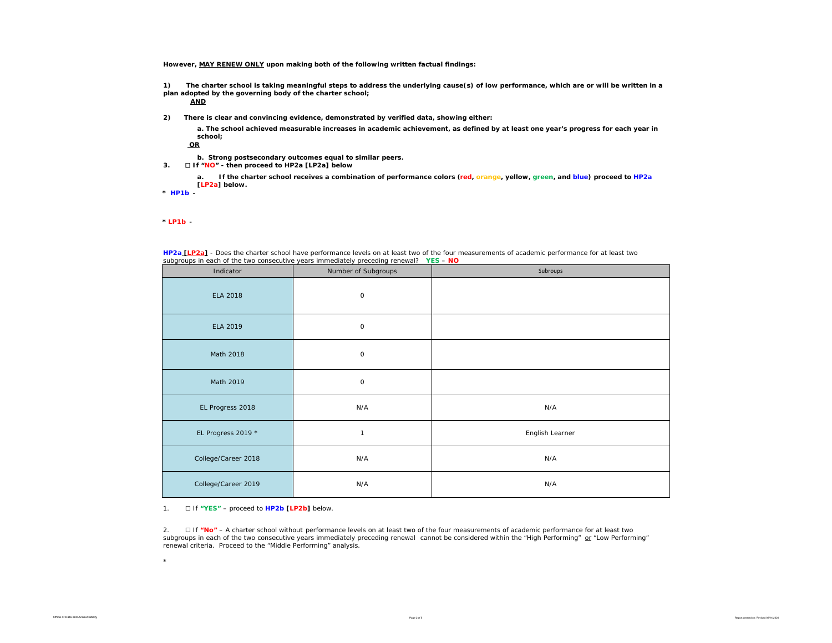**However, MAY RENEW ONLY upon making both of the following written factual findings:**

**1) The charter school is taking meaningful steps to address the underlying cause(s) of low performance, which are or will be written in a plan adopted by the governing body of the charter school;** 

**AND**

**2) There is clear and convincing evidence, demonstrated by verified data, showing either:**

**a. The school achieved measurable increases in academic achievement, as defined by at least one year's progress for each year in school;**

**OR**

- **b. Strong postsecondary outcomes equal to similar peers.**
- **3.** ☐ **If "NO" then proceed to HP2a [LP2a] below**

**a. If the charter school receives a combination of performance colors (red, orange, yellow, green, and blue) proceed to HP2a [LP2a] below.** 

**\*** *HP1b -* 

*\* LP1b -* 

\*

| Indicator           | Number of Subgroups | Subroups        |
|---------------------|---------------------|-----------------|
| <b>ELA 2018</b>     | 0                   |                 |
| ELA 2019            | 0                   |                 |
| Math 2018           | 0                   |                 |
| Math 2019           | 0                   |                 |
| EL Progress 2018    | N/A                 | N/A             |
| EL Progress 2019 *  | $\mathbf{1}$        | English Learner |
| College/Career 2018 | N/A                 | N/A             |
| College/Career 2019 | N/A                 | N/A             |

**HP2a [LP2a]** - *Does the charter school have performance levels on at least two of the four measurements of academic performance for at least two* 

1. ☐ If **"YES"** – proceed to **HP2b [LP2b]** below.

2. ☐ If **"No"** – A charter school without *performance levels on at least two of the four measurements of academic performance for at least two*  subgroups in each of the two consecutive years immediately preceding renewal cannot be considered within the "High Performing" or "Low Performing" renewal criteria. Proceed to the "Middle Performing" analysis.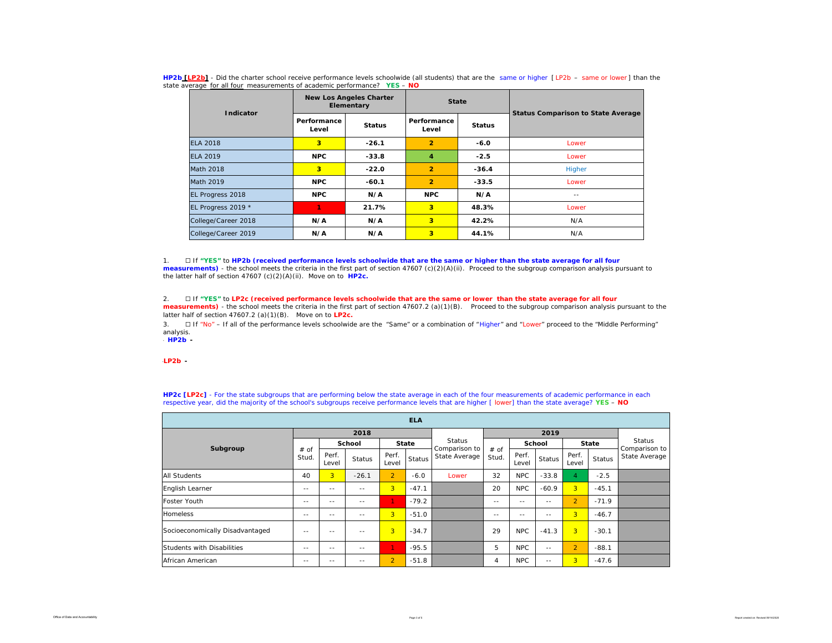| Indicator           |                      | <b>New Los Angeles Charter</b><br>Elementary | <b>State</b>            |               | <b>Status Comparison to State Average</b> |  |  |
|---------------------|----------------------|----------------------------------------------|-------------------------|---------------|-------------------------------------------|--|--|
|                     | Performance<br>Level | <b>Status</b>                                | Performance<br>Level    | <b>Status</b> |                                           |  |  |
| <b>ELA 2018</b>     | 3                    | $-26.1$                                      | $\overline{2}$          | $-6.0$        | Lower                                     |  |  |
| FLA 2019            | <b>NPC</b>           | $-33.8$                                      | 4                       | $-2.5$        | Lower                                     |  |  |
| <b>Math 2018</b>    | 3                    | $-22.0$                                      | $\overline{2}$          | $-36.4$       | Higher                                    |  |  |
| Math 2019           | <b>NPC</b>           | $-60.1$                                      | $\overline{2}$          | $-33.5$       | Lower                                     |  |  |
| EL Progress 2018    | <b>NPC</b>           | N/A                                          | <b>NPC</b>              | N/A           | $- -$                                     |  |  |
| EL Progress 2019 *  | 1.                   | 21.7%                                        | 3                       | 48.3%         | Lower                                     |  |  |
| College/Career 2018 | N/A                  | N/A                                          | 3                       | 42.2%         | N/A                                       |  |  |
| College/Career 2019 | N/A                  | N/A                                          | $\overline{\mathbf{3}}$ | 44.1%         | N/A                                       |  |  |

**HP2b [LP2b]** - *Did the charter school receive performance levels schoolwide (all students) that are the same or higher [ LP2b – same or lower ] than the state average for all four measurements of academic performance?* **YES** – **NO**

1. ☐ If **"YES"** to **HP2b (received performance levels schoolwide that are the same or higher than the state average for all four**  measurements) - the school meets the criteria in the first part of section 47607 (c)(2)(A)(ii). Proceed to the subgroup comparison analysis pursuant to the latter half of section 47607 (c)(2)(A)(ii). Move on to **HP2c.**

2. ☐ If **"YES"** to **LP2c (received performance levels schoolwide that are the same or lower than the state average for all four measurements)** - the school meets the criteria in the first part of section 47607.2 (a)(1)(B). Proceed to the subgroup comparison analysis pursuant to the latter half of section 47607.2 (a)(1)(B). Move on to **LP2c.**

3. □ If "No" – If all of the performance levels schoolwide are the "Same" or a combination of "Higher" and "Lower" proceed to the "Middle Performing" analysis.

\* *HP2b -* 

\**LP2b -* 

**HP2c [LP2c]** - For the state subgroups that are performing below the state average in each of the four measurements of academic performance in each respective year, did the majority of the school's subgroups receive performance levels that are higher [ lower] than the state average? **YES** – **NO**

| <b>ELA</b>                      |               |                |               |                |               |                         |               |                |                         |                |         |               |  |
|---------------------------------|---------------|----------------|---------------|----------------|---------------|-------------------------|---------------|----------------|-------------------------|----------------|---------|---------------|--|
|                                 |               |                | 2018          |                |               |                         |               |                | Status<br>Comparison to |                |         |               |  |
| Subgroup                        |               |                | School        | <b>State</b>   |               | Status<br>Comparison to | # of          | School         |                         | <b>State</b>   |         |               |  |
|                                 | # of<br>Stud. | Perf.<br>Level | <b>Status</b> | Perf.<br>Level | <b>Status</b> | State Average           | Stud.         | Perf.<br>Level | <b>Status</b>           | Perf.<br>Level | Status  | State Average |  |
| <b>All Students</b>             | 40            | 3 <sup>1</sup> | $-26.1$       | $\overline{2}$ | $-6.0$        | Lower                   | 32            | <b>NPC</b>     | $-33.8$                 | 4              | $-2.5$  |               |  |
| English Learner                 | $\sim$ $\sim$ | --             | $\sim$ $\sim$ | 3 <sup>1</sup> | $-47.1$       |                         | 20            | <b>NPC</b>     | $-60.9$                 | $\overline{3}$ | $-45.1$ |               |  |
| <b>Foster Youth</b>             | $\sim$ $\sim$ | $ -$           | $- -$         | 1.             | $-79.2$       |                         | $\sim$ $\sim$ | $\sim$ $\sim$  | $- -$                   | $\overline{2}$ | $-71.9$ |               |  |
| Homeless                        | $\sim$ $\sim$ | $ -$           | $- -$         | $\overline{3}$ | $-51.0$       |                         | $\sim$ $\sim$ | --             | $- -$                   | $\overline{3}$ | $-46.7$ |               |  |
| Socioeconomically Disadvantaged | $\sim$ $-$    | --             | $\sim$ $\sim$ | 3              | $-34.7$       |                         | 29            | <b>NPC</b>     | $-41.3$                 | 3 <sup>1</sup> | $-30.1$ |               |  |
| Students with Disabilities      | $\sim$ $\sim$ | $ -$           | $- -$         | v.             | $-95.5$       |                         | 5             | <b>NPC</b>     | $- -$                   | $\overline{2}$ | $-88.1$ |               |  |
| African American                | $\sim$ $\sim$ | --             | $-$           | $\overline{2}$ | $-51.8$       |                         | 4             | <b>NPC</b>     | $=$ $-$                 | 3              | $-47.6$ |               |  |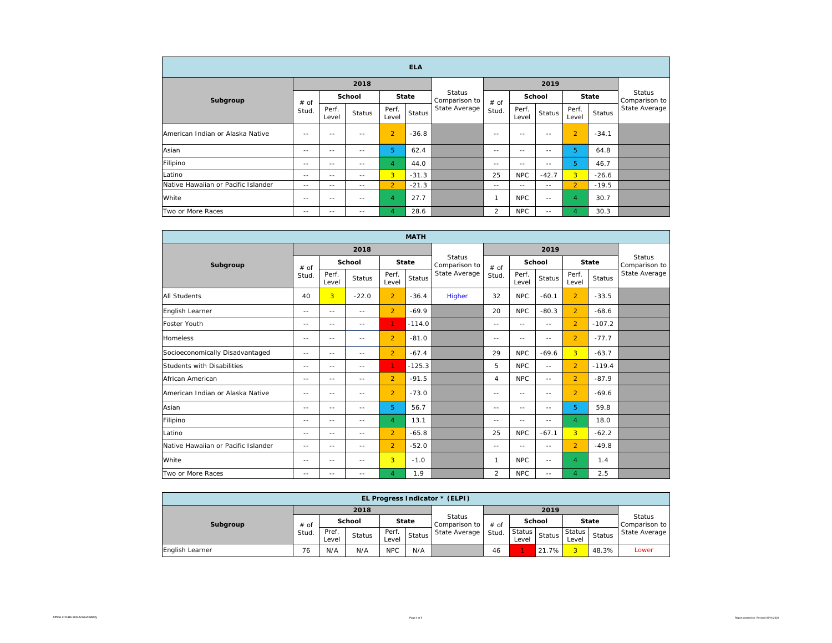| <b>ELA</b>                          |         |                |               |                |              |                                                 |               |                |         |                |         |                                |  |
|-------------------------------------|---------|----------------|---------------|----------------|--------------|-------------------------------------------------|---------------|----------------|---------|----------------|---------|--------------------------------|--|
|                                     |         |                | 2018          |                |              |                                                 |               |                | 2019    |                |         |                                |  |
| Subgroup                            | $#$ of  |                | School        |                | <b>State</b> | <b>Status</b><br>Comparison to<br>State Average | # of<br>Stud. | School         |         | <b>State</b>   |         | <b>Status</b><br>Comparison to |  |
|                                     | Stud.   | Perf.<br>Level | Status        | Perf.<br>Level | Status       |                                                 |               | Perf.<br>Level | Status  | Perf.<br>Level | Status  | State Average                  |  |
| American Indian or Alaska Native    | $-$     | $-$            | $\sim$ $-$    | $\overline{2}$ | $-36.8$      |                                                 | $\sim$ $-$    | --             | $=$ $-$ | $\overline{2}$ | $-34.1$ |                                |  |
| Asian                               | $=$ $-$ | $-$            | $-$           | 5              | 62.4         |                                                 | $\sim$ $\sim$ | --             | $-$     | 5              | 64.8    |                                |  |
| Filipino                            | $- -$   | $ -$           | --            | 4              | 44.0         |                                                 | $- -$         | --             | $- -$   | 5              | 46.7    |                                |  |
| Latino                              | $=$ $-$ | $\sim$ $\sim$  | $\sim$ $\sim$ | $\overline{3}$ | $-31.3$      |                                                 | 25            | <b>NPC</b>     | $-42.7$ | 3 <sup>1</sup> | $-26.6$ |                                |  |
| Native Hawaiian or Pacific Islander | $- -$   | $- -$          | $\frac{1}{2}$ | $\overline{2}$ | $-21.3$      |                                                 | $- -$         | $- -$          | $- -$   | $\overline{2}$ | $-19.5$ |                                |  |
| White                               | $-$     | $-$            | --            | $\overline{4}$ | 27.7         |                                                 | 1             | <b>NPC</b>     | $-1$    | 4              | 30.7    |                                |  |
| Two or More Races                   | $-$     | $-$            | $-$           | 4              | 28.6         |                                                 | 2             | <b>NPC</b>     | $-1$    | 4              | 30.3    |                                |  |

| <b>MATH</b>                         |       |                |               |                |               |                                |                |                |               |                |          |                         |
|-------------------------------------|-------|----------------|---------------|----------------|---------------|--------------------------------|----------------|----------------|---------------|----------------|----------|-------------------------|
|                                     |       |                | 2018          |                |               |                                | 2019           |                |               |                |          |                         |
| Subgroup                            | # of  |                | School        |                | <b>State</b>  | <b>Status</b><br>Comparison to | # of           | School         |               | State          |          | Status<br>Comparison to |
|                                     | Stud. | Perf.<br>Level | Status        | Perf.<br>Level | <b>Status</b> | State Average                  | Stud.          | Perf.<br>Level | <b>Status</b> | Perf.<br>Level | Status   | State Average           |
| <b>All Students</b>                 | 40    | $\overline{3}$ | $-22.0$       | $\overline{2}$ | $-36.4$       | Higher                         | 32             | <b>NPC</b>     | $-60.1$       | $\overline{2}$ | $-33.5$  |                         |
| English Learner                     | $- -$ | $- -$          | $\frac{1}{2}$ | $\overline{2}$ | $-69.9$       |                                | 20             | <b>NPC</b>     | $-80.3$       | $\overline{2}$ | $-68.6$  |                         |
| <b>Foster Youth</b>                 | $-$   | $-$            | $\sim$ $-$    | 1.             | $-114.0$      |                                | $- -$          | $-1$           | $-$           | $\overline{2}$ | $-107.2$ |                         |
| <b>Homeless</b>                     | $- -$ | $- -$          | $- -$         | $\overline{2}$ | $-81.0$       |                                | $- -$          | --             | $- -$         | $\overline{2}$ | $-77.7$  |                         |
| Socioeconomically Disadvantaged     | $-$   | $- -$          | $- -$         | $\overline{2}$ | $-67.4$       |                                | 29             | <b>NPC</b>     | $-69.6$       | 3              | $-63.7$  |                         |
| Students with Disabilities          | $-$   | $\sim$         | $\sim$ $-$    | 1.             | $-125.3$      |                                | 5              | NPC            | $\sim$ $-$    | $\overline{2}$ | $-119.4$ |                         |
| African American                    | $- -$ | $- -$          | $- -$         | $\overline{2}$ | $-91.5$       |                                | 4              | <b>NPC</b>     | $-$           | $\overline{2}$ | $-87.9$  |                         |
| American Indian or Alaska Native    | $-$   | $- -$          | $\frac{1}{2}$ | $\overline{2}$ | $-73.0$       |                                | $- -$          | $- -$          | $-$           | $\overline{2}$ | $-69.6$  |                         |
| Asian                               | $-$   | $-$            | $-$           | 5.             | 56.7          |                                | $- -$          | $-$            | $-$           | 5.             | 59.8     |                         |
| Filipino                            | $- -$ | $- -$          | $- -$         | 4              | 13.1          |                                | $- -$          | --             | $- -$         | $\overline{4}$ | 18.0     |                         |
| Latino                              | $-$   | $=$ $-$        | $-$           | $\overline{2}$ | $-65.8$       |                                | 25             | <b>NPC</b>     | $-67.1$       | $\overline{3}$ | $-62.2$  |                         |
| Native Hawaiian or Pacific Islander | $-$   | $- -$          | $-$           | $\overline{2}$ | $-52.0$       |                                | $- -$          | $-1$           | $-$           | $\overline{2}$ | $-49.8$  |                         |
| White                               | $- -$ | $-$            | $- -$         | 3              | $-1.0$        |                                | $\mathbf{1}$   | NPC            | $- -$         | $\overline{4}$ | 1.4      |                         |
| Two or More Races                   | $-$   | $-$            | $\frac{1}{2}$ | $\overline{4}$ | 1.9           |                                | $\overline{2}$ | <b>NPC</b>     | --            | $\overline{4}$ | 2.5      |                         |

| EL Progress Indicator * (ELPI) |        |                |        |                |        |                                |        |                                |               |                        |              |               |
|--------------------------------|--------|----------------|--------|----------------|--------|--------------------------------|--------|--------------------------------|---------------|------------------------|--------------|---------------|
|                                |        |                | 2018   |                |        |                                |        | <b>Status</b><br>Comparison to |               |                        |              |               |
| Subgroup                       | $#$ of | <b>School</b>  |        | <b>State</b>   |        | <b>Status</b><br>Comparison to | $#$ of |                                | <b>School</b> |                        | <b>State</b> |               |
|                                | Stud.  | Pref.<br>Level | Status | Perf.<br>Level | Status | State Average                  | Stud.  | Status  <br>Level              | Status        | <b>Status</b><br>Level | Status       | State Average |
| English Learner                | 76     | N/A            | N/A    | <b>NPC</b>     | N/A    |                                | 46     |                                | 21.7%         | $\overline{3}$         | 48.3%        | Lower         |